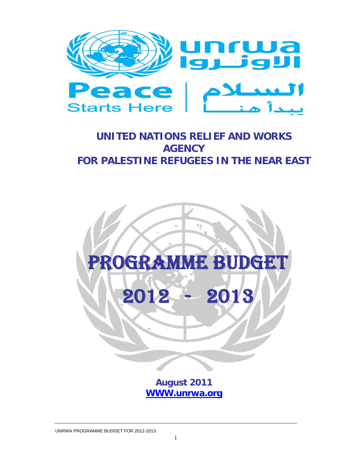

# **UNITED NATIONS RELIEF AND WORKS AGENCY FOR PALESTINE REFUGEES IN THE NEAR EAST**



**August 2011 WWW.unrwa.org**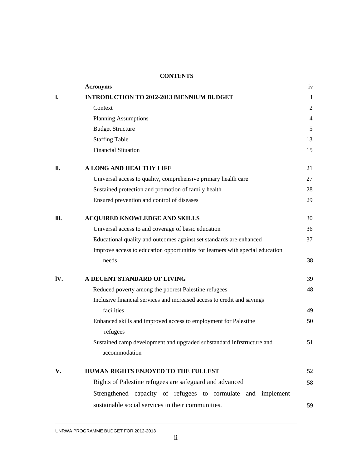# **CONTENTS**

|      | <b>Acronyms</b>                                                                        | iv             |
|------|----------------------------------------------------------------------------------------|----------------|
| 1.   | <b>INTRODUCTION TO 2012-2013 BIENNIUM BUDGET</b>                                       | 1              |
|      | Context                                                                                | 2              |
|      | <b>Planning Assumptions</b>                                                            | $\overline{4}$ |
|      | <b>Budget Structure</b>                                                                | 5              |
|      | <b>Staffing Table</b>                                                                  | 13             |
|      | <b>Financial Situation</b>                                                             | 15             |
| II.  | A LONG AND HEALTHY LIFE                                                                | 21             |
|      | Universal access to quality, comprehensive primary health care                         | 27             |
|      | Sustained protection and promotion of family health                                    | 28             |
|      | Ensured prevention and control of diseases                                             | 29             |
| III. | <b>ACQUIRED KNOWLEDGE AND SKILLS</b>                                                   | 30             |
|      | Universal access to and coverage of basic education                                    | 36             |
|      | Educational quality and outcomes against set standards are enhanced                    | 37             |
|      | Improve access to education opportunities for learners with special education          |                |
|      | needs                                                                                  | 38             |
| IV.  | A DECENT STANDARD OF LIVING                                                            | 39             |
|      | Reduced poverty among the poorest Palestine refugees                                   | 48             |
|      | Inclusive financial services and increased access to credit and savings                |                |
|      | facilities                                                                             | 49             |
|      | Enhanced skills and improved access to employment for Palestine<br>refugees            | 50             |
|      | Sustained camp development and upgraded substandard infrstructure and<br>accommodation | 51             |
| V.   | HUMAN RIGHTS ENJOYED TO THE FULLEST                                                    | 52             |
|      | Rights of Palestine refugees are safeguard and advanced                                | 58             |
|      | Strengthened capacity of refugees to formulate and implement                           |                |
|      | sustainable social services in their communities.                                      | 59             |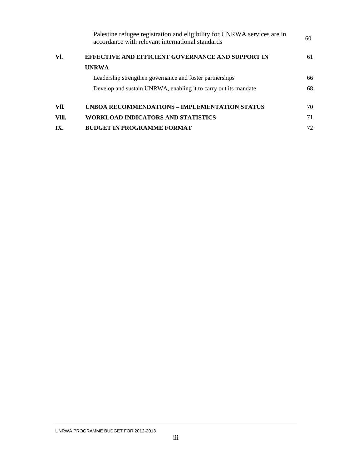|       | Palestine refugee registration and eligibility for UNRWA services are in<br>accordance with relevant international standards | 60 |
|-------|------------------------------------------------------------------------------------------------------------------------------|----|
| VI.   | EFFECTIVE AND EFFICIENT GOVERNANCE AND SUPPORT IN                                                                            | 61 |
|       | <b>UNRWA</b>                                                                                                                 |    |
|       | Leadership strengthen governance and foster partnerships                                                                     | 66 |
|       | Develop and sustain UNRWA, enabling it to carry out its mandate                                                              | 68 |
| VII.  | UNBOA RECOMMENDATIONS – IMPLEMENTATION STATUS                                                                                | 70 |
| VIII. | <b>WORKLOAD INDICATORS AND STATISTICS</b>                                                                                    | 71 |
| IX.   | <b>BUDGET IN PROGRAMME FORMAT</b>                                                                                            | 72 |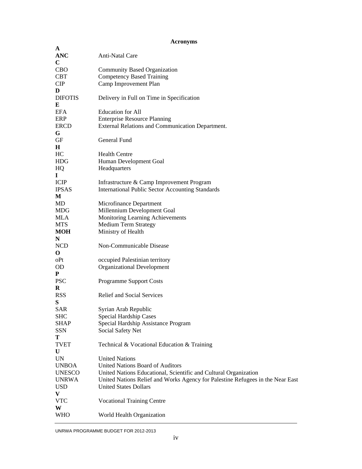# **Acronyms**

| A              |                                                                                |
|----------------|--------------------------------------------------------------------------------|
| <b>ANC</b>     | Anti-Natal Care                                                                |
| $\mathbf C$    |                                                                                |
| CBO            | Community Based Organization                                                   |
| <b>CBT</b>     | <b>Competency Based Training</b>                                               |
| <b>CIP</b>     | Camp Improvement Plan                                                          |
| D              |                                                                                |
| <b>DIFOTIS</b> | Delivery in Full on Time in Specification                                      |
| E              |                                                                                |
| <b>EFA</b>     | <b>Education</b> for All                                                       |
| ERP            | <b>Enterprise Resource Planning</b>                                            |
| <b>ERCD</b>    | External Relations and Communication Department.                               |
| G              |                                                                                |
| GF             | General Fund                                                                   |
| H              |                                                                                |
| HC             | <b>Health Centre</b>                                                           |
| <b>HDG</b>     | Human Development Goal                                                         |
| HQ             | Headquarters                                                                   |
| $\bf{I}$       |                                                                                |
| <b>ICIP</b>    | Infrastructure & Camp Improvement Program                                      |
| <b>IPSAS</b>   | <b>International Public Sector Accounting Standards</b>                        |
| M              |                                                                                |
| MD             | Microfinance Department                                                        |
| MDG            | Millennium Development Goal                                                    |
| MLA            | Monitoring Learning Achievements                                               |
| <b>MTS</b>     | <b>Medium Term Strategy</b>                                                    |
| <b>MOH</b>     | Ministry of Health                                                             |
| N              |                                                                                |
|                | Non-Communicable Disease                                                       |
| <b>NCD</b>     |                                                                                |
| $\mathbf 0$    |                                                                                |
| oPt            | occupied Palestinian territory                                                 |
| <b>OD</b>      | <b>Organizational Development</b>                                              |
| P              |                                                                                |
| <b>PSC</b>     | <b>Programme Support Costs</b>                                                 |
| R              |                                                                                |
| <b>RSS</b>     | <b>Relief and Social Services</b>                                              |
| S              |                                                                                |
| <b>SAR</b>     | Syrian Arab Republic                                                           |
| <b>SHC</b>     | Special Hardship Cases                                                         |
| <b>SHAP</b>    | Special Hardship Assistance Program                                            |
| <b>SSN</b>     | Social Safety Net                                                              |
| т              |                                                                                |
| <b>TVET</b>    | Technical & Vocational Education & Training                                    |
| U              |                                                                                |
| UN             | <b>United Nations</b>                                                          |
| <b>UNBOA</b>   | United Nations Board of Auditors                                               |
| <b>UNESCO</b>  | United Nations Educational, Scientific and Cultural Organization               |
| <b>UNRWA</b>   | United Nations Relief and Works Agency for Palestine Refugees in the Near East |
| <b>USD</b>     | <b>United States Dollars</b>                                                   |
| V              |                                                                                |
| <b>VTC</b>     | <b>Vocational Training Centre</b>                                              |
| W              |                                                                                |
|                |                                                                                |
| <b>WHO</b>     | World Health Organization                                                      |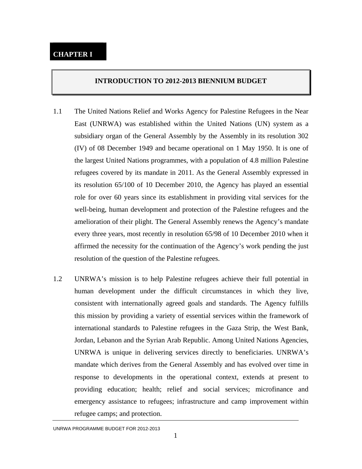#### **INTRODUCTION TO 2012-2013 BIENNIUM BUDGET**

- 1.1 The United Nations Relief and Works Agency for Palestine Refugees in the Near East (UNRWA) was established within the United Nations (UN) system as a subsidiary organ of the General Assembly by the Assembly in its resolution 302 (IV) of 08 December 1949 and became operational on 1 May 1950. It is one of the largest United Nations programmes, with a population of 4.8 million Palestine refugees covered by its mandate in 2011. As the General Assembly expressed in its resolution 65/100 of 10 December 2010, the Agency has played an essential role for over 60 years since its establishment in providing vital services for the well-being, human development and protection of the Palestine refugees and the amelioration of their plight. The General Assembly renews the Agency's mandate every three years, most recently in resolution 65/98 of 10 December 2010 when it affirmed the necessity for the continuation of the Agency's work pending the just resolution of the question of the Palestine refugees.
- 1.2 UNRWA's mission is to help Palestine refugees achieve their full potential in human development under the difficult circumstances in which they live, consistent with internationally agreed goals and standards. The Agency fulfills this mission by providing a variety of essential services within the framework of international standards to Palestine refugees in the Gaza Strip, the West Bank, Jordan, Lebanon and the Syrian Arab Republic. Among United Nations Agencies, UNRWA is unique in delivering services directly to beneficiaries. UNRWA's mandate which derives from the General Assembly and has evolved over time in response to developments in the operational context, extends at present to providing education; health; relief and social services; microfinance and emergency assistance to refugees; infrastructure and camp improvement within refugee camps; and protection.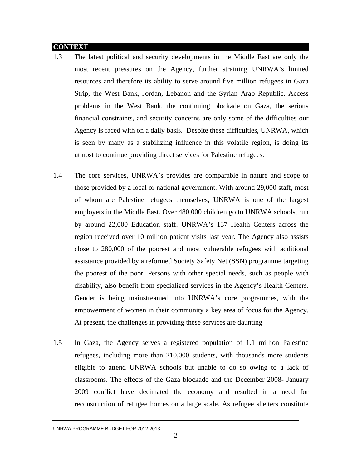#### **CONTEXT**

- 1.3 The latest political and security developments in the Middle East are only the most recent pressures on the Agency, further straining UNRWA's limited resources and therefore its ability to serve around five million refugees in Gaza Strip, the West Bank, Jordan, Lebanon and the Syrian Arab Republic. Access problems in the West Bank, the continuing blockade on Gaza, the serious financial constraints, and security concerns are only some of the difficulties our Agency is faced with on a daily basis. Despite these difficulties, UNRWA, which is seen by many as a stabilizing influence in this volatile region, is doing its utmost to continue providing direct services for Palestine refugees.
- 1.4 The core services, UNRWA's provides are comparable in nature and scope to those provided by a local or national government. With around 29,000 staff, most of whom are Palestine refugees themselves, UNRWA is one of the largest employers in the Middle East. Over 480,000 children go to UNRWA schools, run by around 22,000 Education staff. UNRWA's 137 Health Centers across the region received over 10 million patient visits last year. The Agency also assists close to 280,000 of the poorest and most vulnerable refugees with additional assistance provided by a reformed Society Safety Net (SSN) programme targeting the poorest of the poor. Persons with other special needs, such as people with disability, also benefit from specialized services in the Agency's Health Centers. Gender is being mainstreamed into UNRWA's core programmes, with the empowerment of women in their community a key area of focus for the Agency. At present, the challenges in providing these services are daunting
- 1.5 In Gaza, the Agency serves a registered population of 1.1 million Palestine refugees, including more than 210,000 students, with thousands more students eligible to attend UNRWA schools but unable to do so owing to a lack of classrooms. The effects of the Gaza blockade and the December 2008- January 2009 conflict have decimated the economy and resulted in a need for reconstruction of refugee homes on a large scale. As refugee shelters constitute

UNRWA PROGRAMME BUDGET FOR 2012-2013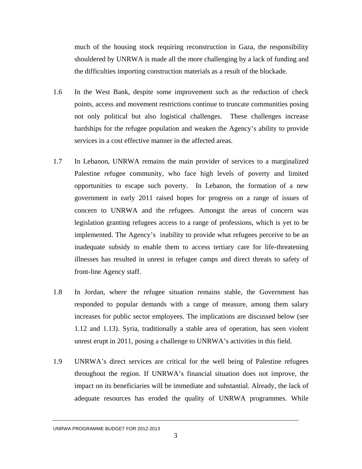much of the housing stock requiring reconstruction in Gaza, the responsibility shouldered by UNRWA is made all the more challenging by a lack of funding and the difficulties importing construction materials as a result of the blockade.

- 1.6 In the West Bank, despite some improvement such as the reduction of check points, access and movement restrictions continue to truncate communities posing not only political but also logistical challenges. These challenges increase hardships for the refugee population and weaken the Agency's ability to provide services in a cost effective manner in the affected areas.
- 1.7 In Lebanon, UNRWA remains the main provider of services to a marginalized Palestine refugee community, who face high levels of poverty and limited opportunities to escape such poverty. In Lebanon, the formation of a new government in early 2011 raised hopes for progress on a range of issues of concern to UNRWA and the refugees. Amongst the areas of concern was legislation granting refugees access to a range of professions, which is yet to be implemented. The Agency's inability to provide what refugees perceive to be an inadequate subsidy to enable them to access tertiary care for life-threatening illnesses has resulted in unrest in refugee camps and direct threats to safety of front-line Agency staff.
- 1.8 In Jordan, where the refugee situation remains stable, the Government has responded to popular demands with a range of measure, among them salary increases for public sector employees. The implications are discussed below (see 1.12 and 1.13). Syria, traditionally a stable area of operation, has seen violent unrest erupt in 2011, posing a challenge to UNRWA's activities in this field.
- 1.9 UNRWA's direct services are critical for the well being of Palestine refugees throughout the region. If UNRWA's financial situation does not improve, the impact on its beneficiaries will be immediate and substantial. Already, the lack of adequate resources has eroded the quality of UNRWA programmes. While

UNRWA PROGRAMME BUDGET FOR 2012-2013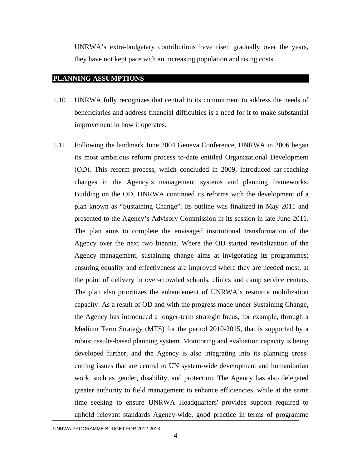UNRWA's extra-budgetary contributions have risen gradually over the years, they have not kept pace with an increasing population and rising costs.

#### **PLANNING ASSUMPTIONS**

- 1.10 UNRWA fully recognizes that central to its commitment to address the needs of beneficiaries and address financial difficulties is a need for it to make substantial improvement in how it operates.
- 1.11 Following the landmark June 2004 Geneva Conference, UNRWA in 2006 began its most ambitious reform process to-date entitled Organizational Development (OD). This reform process, which concluded in 2009, introduced far-reaching changes in the Agency's management systems and planning frameworks. Building on the OD, UNRWA continued its reforms with the development of a plan known as "Sustaining Change". Its outline was finalized in May 2011 and presented to the Agency's Advisory Commission in its session in late June 2011. The plan aims to complete the envisaged institutional transformation of the Agency over the next two biennia. Where the OD started revitalization of the Agency management, sustaining change aims at invigorating its programmes; ensuring equality and effectiveness are improved where they are needed most, at the point of delivery in over-crowded schools, clinics and camp service centers. The plan also prioritizes the enhancement of UNRWA's resource mobilization capacity. As a result of OD and with the progress made under Sustaining Change, the Agency has introduced a longer-term strategic focus, for example, through a Medium Term Strategy (MTS) for the period 2010-2015, that is supported by a robust results-based planning system. Monitoring and evaluation capacity is being developed further, and the Agency is also integrating into its planning crosscutting issues that are central to UN system-wide development and humanitarian work, such as gender, disability, and protection. The Agency has also delegated greater authority to field management to enhance efficiencies, while at the same time seeking to ensure UNRWA Headquarters' provides support required to uphold relevant standards Agency-wide, good practice in terms of programme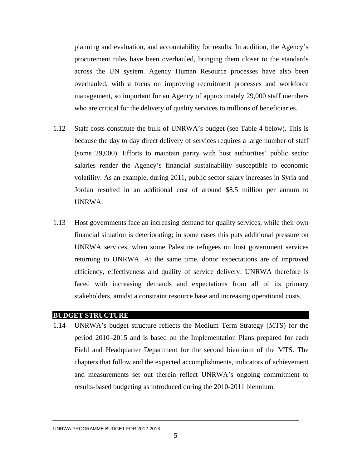planning and evaluation, and accountability for results. In addition, the Agency's procurement rules have been overhauled, bringing them closer to the standards across the UN system. Agency Human Resource processes have also been overhauled, with a focus on improving recruitment processes and workforce management, so important for an Agency of approximately 29,000 staff members who are critical for the delivery of quality services to millions of beneficiaries.

- 1.12 Staff costs constitute the bulk of UNRWA's budget (see Table 4 below). This is because the day to day direct delivery of services requires a large number of staff (some 29,000). Efforts to maintain parity with host authorities' public sector salaries render the Agency's financial sustainability susceptible to economic volatility. As an example, during 2011, public sector salary increases in Syria and Jordan resulted in an additional cost of around \$8.5 million per annum to UNRWA.
- 1.13 Host governments face an increasing demand for quality services, while their own financial situation is deteriorating; in some cases this puts additional pressure on UNRWA services, when some Palestine refugees on host government services returning to UNRWA. At the same time, donor expectations are of improved efficiency, effectiveness and quality of service delivery. UNRWA therefore is faced with increasing demands and expectations from all of its primary stakeholders, amidst a constraint resource base and increasing operational costs.

#### **BUDGET STRUCTURE**

1.14 UNRWA's budget structure reflects the Medium Term Strategy (MTS) for the period 2010–2015 and is based on the Implementation Plans prepared for each Field and Headquarter Department for the second biennium of the MTS. The chapters that follow and the expected accomplishments, indicators of achievement and measurements set out therein reflect UNRWA's ongoing commitment to results-based budgeting as introduced during the 2010-2011 biennium.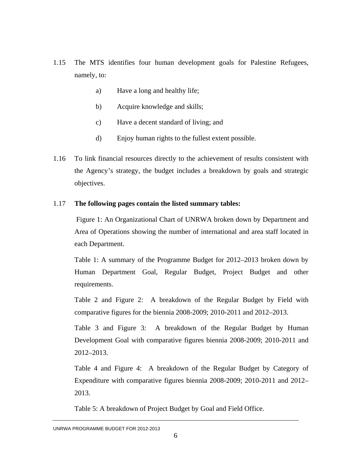- 1.15 The MTS identifies four human development goals for Palestine Refugees, namely, to:
	- a) Have a long and healthy life;
	- b) Acquire knowledge and skills;
	- c) Have a decent standard of living; and
	- d) Enjoy human rights to the fullest extent possible.
- 1.16 To link financial resources directly to the achievement of results consistent with the Agency's strategy, the budget includes a breakdown by goals and strategic objectives.

# 1.17 **The following pages contain the listed summary tables:**

Figure 1: An Organizational Chart of UNRWA broken down by Department and Area of Operations showing the number of international and area staff located in each Department.

Table 1: A summary of the Programme Budget for 2012–2013 broken down by Human Department Goal, Regular Budget, Project Budget and other requirements.

Table 2 and Figure 2: A breakdown of the Regular Budget by Field with comparative figures for the biennia 2008-2009; 2010-2011 and 2012–2013.

Table 3 and Figure 3: A breakdown of the Regular Budget by Human Development Goal with comparative figures biennia 2008-2009; 2010-2011 and 2012–2013.

Table 4 and Figure 4: A breakdown of the Regular Budget by Category of Expenditure with comparative figures biennia 2008-2009; 2010-2011 and 2012– 2013.

Table 5: A breakdown of Project Budget by Goal and Field Office.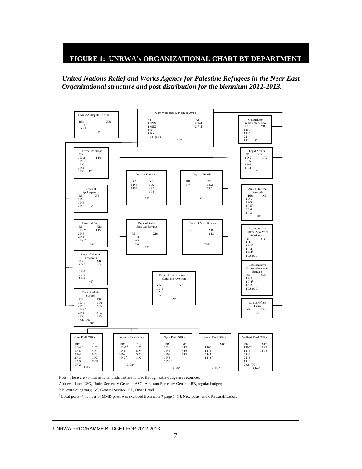### **FIGURE 1: UNRWA's ORGANIZATIONAL CHART BY DEPARTMENT**

 *United Nations Relief and Works Agency for Palestine Refugees in the Near East Organizational structure and post distribution for the biennium 2012-2013.* 



Note: There are 75 international posts that are funded through extra-budgetary resources.

Abbreviations: USG, Under Secretary-General; ASG, Assistant Secretary-General; RB, regular budget;

XB, extra-budgetary; GS, General Service; OL, Other Level. a

Local posts (\* number of MMD posts was excluded from table 7 page 14); b New posts; and c Reclassification**.**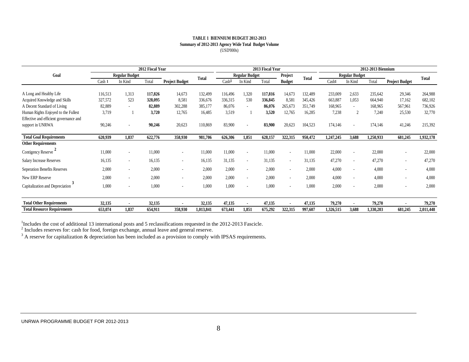#### **Summary of 2012-2013 Agency Wide Total Budget Volume** (USD'000s) **TABLE 1 BIENNIUM BUDGET 2012-2013**

|                                        | 2012 Fiscal Year      |                |         |                       |           | 2013 Fiscal Year      |                          |         |                          | 2012-2013 Biennium    |           |                |           |                       |           |
|----------------------------------------|-----------------------|----------------|---------|-----------------------|-----------|-----------------------|--------------------------|---------|--------------------------|-----------------------|-----------|----------------|-----------|-----------------------|-----------|
| Goal                                   | <b>Regular Budget</b> |                |         | <b>Total</b>          |           | <b>Regular Budget</b> |                          | Project | <b>Total</b>             | <b>Regular Budget</b> |           |                |           | <b>Total</b>          |           |
|                                        | Cash 1                | In Kind        | Total   | <b>Project Budget</b> |           | Cash <sup>1</sup>     | In Kind                  | Total   | <b>Budget</b>            |                       | Cash1     | In Kind        | Total     | <b>Project Budget</b> |           |
|                                        |                       |                |         |                       |           |                       |                          |         |                          |                       |           |                |           |                       |           |
| A Long and Healthy Life                | 116,513               | 1,313          | 117,826 | 14,673                | 132,499   | 116,496               | 1,320                    | 117,816 | 14,673                   | 132,489               | 233,009   | 2,633          | 235,642   | 29,346                | 264,988   |
| Acquired Knowledge and Skills          | 327,572               | 523            | 328,095 | 8,581                 | 336,676   | 336,315               | 530                      | 336,845 | 8,581                    | 345,426               | 663,887   | 1,053          | 664,940   | 17,162                | 682,102   |
| A Decent Standard of Living            | 82,889                | ٠              | 82,889  | 302,288               | 385,177   | 86,076                |                          | 86,076  | 265,673                  | 351,749               | 168,965   | ٠              | 168,965   | 567,961               | 736,926   |
| Human Rights Enjoyed to the Fullest    | 3,719                 |                | 3,720   | 12,765                | 16,485    | 3,519                 |                          | 3,520   | 12,765                   | 16,285                | 7,238     | 2              | 7,240     | 25,530                | 32,770    |
| Effective and efficient governance and |                       |                |         |                       |           |                       |                          |         |                          |                       |           |                |           |                       |           |
| support in UNRWA                       | 90,246                | ٠              | 90,246  | 20,623                | 110,869   | 83,900                | $\sim$                   | 83,900  | 20,623                   | 104,523               | 174,146   | $\blacksquare$ | 174,146   | 41,246                | 215,392   |
| <b>Total Goal Requirements</b>         | 620,939               | 1,837          | 622,776 | 358,930               | 981,706   | 626,306               | 1,851                    | 628,157 | 322,315                  | 950,472               | 1,247,245 | 3,688          | 1,250,933 | 681,245               | 1,932,178 |
| <b>Other Requirements</b>              |                       |                |         |                       |           |                       |                          |         |                          |                       |           |                |           |                       |           |
| Contigency Reserve <sup>2</sup>        | 11,000                | $\sim$         | 11,000  |                       | 11,000    | 11,000                | $\overline{\phantom{a}}$ | 11,000  | $\overline{\phantom{a}}$ | 11,000                | 22,000    | $\blacksquare$ | 22,000    |                       | 22,000    |
| <b>Salary Increase Reserves</b>        | 16,135                | $\sim$         | 16,135  | $\sim$                | 16,135    | 31,135                | $\sim$                   | 31,135  | $\sim$                   | 31,135                | 47,270    | ٠              | 47,270    |                       | 47,270    |
| Seperation Benefits Reserves           | 2,000                 | $\sim$         | 2,000   | $\sim$                | 2,000     | 2,000                 | $\overline{\phantom{a}}$ | 2,000   | $\sim$                   | 2,000                 | 4,000     | ٠              | 4,000     |                       | 4,000     |
| New ERP Reserve                        | 2,000                 | $\sim$         | 2,000   | $\sim$                | 2,000     | 2,000                 | $\overline{\phantom{a}}$ | 2,000   | $\overline{\phantom{a}}$ | 2,000                 | 4,000     | ٠              | 4,000     |                       | 4,000     |
| Capitalization and Depreciation        | 1,000                 | ä,             | 1,000   |                       | 1,000     | 1,000                 |                          | 1,000   |                          | 1,000                 | 2,000     |                | 2,000     |                       | 2,000     |
| <b>Total Other Requirements</b>        | 32,135                | $\blacksquare$ | 32,135  |                       | 32,135    | 47,135                |                          | 47,135  |                          | 47,135                | 79,270    |                | 79,270    |                       | 79,270    |
| <b>Total Resource Requirements</b>     | 653,074               | 1,837          | 654,911 | 358,930               | 1,013,841 | 673,441               | 1.851                    | 675,292 | 322,315                  | 997,607               | 1,326,515 | 3,688          | 1,330,203 | 681,245               | 2,011,448 |

<sup>1</sup>Includes the cost of additional 13 international posts and 5 reclassifications requested in the 2012-2013 Fascicle.

 $2$  Includes reserves for: cash for food, foreign exchange, annual leave and general reserve.

 $3$  A reserve for capitalization & depreciation has been included as a provision to comply with IPSAS requirements.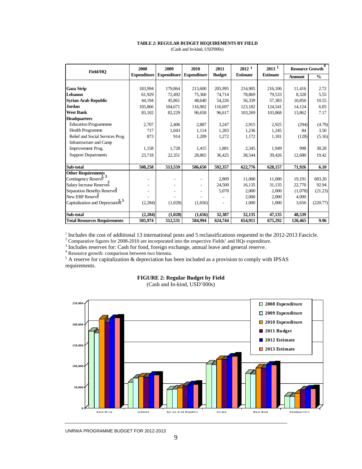#### **TABLE 2: REGULAR BUDGET REQUIREMENTS BY FIELD** (Cash and In-kind, USD'000s)

| Field/HO                                     | 2008               | 2009                     | 2010               | 2011          | 2012 <sup>1</sup> | $2013$ <sup>1</sup> | <b>Resource Growth</b> |               |
|----------------------------------------------|--------------------|--------------------------|--------------------|---------------|-------------------|---------------------|------------------------|---------------|
|                                              | <b>Expenditure</b> | <b>Expenditure</b>       | <b>Expenditure</b> | <b>Budget</b> | <b>Estimate</b>   | <b>Estimate</b>     | <b>Amount</b>          | $\frac{6}{9}$ |
|                                              |                    |                          |                    |               |                   |                     |                        |               |
| <b>Gaza Strip</b>                            | 183.994            | 179,864                  | 213,600            | 205,995       | 214,905           | 216,106             | 11,416                 | 2.72          |
| Lebanon                                      | 61,929             | 72,492                   | 75,360             | 74,714        | 78,869            | 79,533              | 8,328                  | 5.55          |
| <b>Syrian Arab Republic</b>                  | 44,194             | 45,861                   | 48.640             | 54,226        | 56,339            | 57,383              | 10,856                 | 10.55         |
| <b>Jordan</b>                                | 105,866            | 104,671                  | 116,902            | 116,697       | 123,182           | 124,541             | 14,124                 | 6.05          |
| <b>West Bank</b>                             | 83,102             | 82,229                   | 96,658             | 96,617        | 103,269           | 103,868             | 13,862                 | 7.17          |
| <b>Headquarters</b>                          |                    |                          |                    |               |                   |                     |                        |               |
| <b>Education Programmme</b>                  | 2,707              | 2,406                    | 2,887              | 3,247         | 2,915             | 2,925               | (294)                  | (4.79)        |
| <b>Health Programme</b>                      | 717                | 1,043                    | 1,114              | 1,283         | 1,236             | 1,245               | 84                     | 3.50          |
| Relief and Social Services Prog.             | 873                | 914                      | 1,209              | 1,272         | 1,172             | 1,181               | (128)                  | (5.16)        |
| Infrastructure and Camp                      |                    |                          |                    |               |                   |                     |                        |               |
| Improvement Prog.                            | 1,158              | 1,728                    | 1,415              | 1,881         | 2,345             | 1,949               | 998                    | 30.28         |
| <b>Support Departments</b>                   | 23,718             | 22,351                   | 28,865             | 36,425        | 38,544            | 39,426              | 12,680                 | 19.42         |
|                                              |                    |                          |                    |               |                   |                     |                        |               |
| Sub-total                                    | 508,258            | 513,559                  | 586,650            | 592,357       | 622,776           | 628,157             | 71,926                 | 6.10          |
| <b>Other Requirements</b><br>2.3             |                    |                          |                    |               |                   |                     |                        |               |
| Contingency Reserve                          |                    | $\overline{\phantom{0}}$ |                    | 2,809         | 11,000            | 11,000              | 19,191                 | 683.20        |
| Salary Increase Reserves                     |                    |                          |                    | 24,500        | 16,135            | 31,135              | 22,770                 | 92.94         |
| Separation Benefits Reserves                 |                    |                          |                    | 5,078         | 2,000             | 2,000               | (1,078)                | (21.23)       |
| New ERP Reserve                              |                    |                          |                    |               | 2,000             | 2,000               | 4,000                  |               |
| Capitalization and Depreciation <sup>5</sup> | (2,284)            | (1,028)                  | (1,656)            |               | 1,000             | 1,000               | 3,656                  | (220.77)      |
|                                              |                    |                          |                    |               |                   |                     |                        |               |
| Sub-total                                    | (2, 284)           | (1,028)                  | (1,656)            | 32,387        | 32,135            | 47,135              | 48,539                 |               |
| <b>Total Resources Requirements</b>          | 505,974            | 512,531                  | 584,994            | 624,744       | 654,911           | 675,292             | 120,465                | 9.96          |

<sup>1</sup> Includes the cost of additional 13 international posts and 5 reclassifications requested in the 2012-2013 Fascicle.<br><sup>2</sup> Comparative figures for 2008-2010 are incorporated into the respective Fields' and HQs expenditur

 $<sup>5</sup>$  A reserve for capitalization & depreciation has been included as a provision to comply with IPSAS</sup> requirements.



#### **FIGURE 2: Regular Budget by Field**

(Cash and In-kind, USD'000s)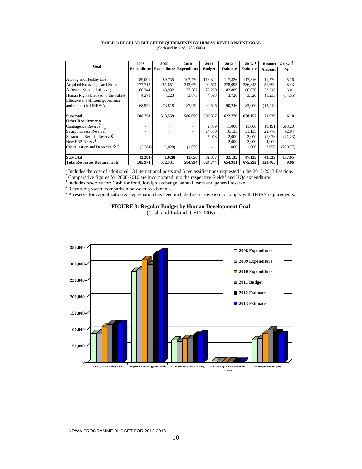| TABLE 3: REGULAR BUDGET REQUIREMENTS BY HUMAN DEVELOPMENT GOAL |  |
|----------------------------------------------------------------|--|
| (Cash and In-kind, USD'000s)                                   |  |

| Goal                                            | 2008               | 2009    | 2010                           | 2011          | 2012 1          | 2013 1          | <b>Resource Growth</b> |          |
|-------------------------------------------------|--------------------|---------|--------------------------------|---------------|-----------------|-----------------|------------------------|----------|
|                                                 | <b>Expenditure</b> |         | <b>Expenditure Expenditure</b> | <b>Budget</b> | <b>Estimate</b> | <b>Estimate</b> | Amount                 | $\%$     |
|                                                 |                    |         |                                |               |                 |                 |                        |          |
| A Long and Healthy Life                         | 89,001             | 89,735  | 107,770                        | 116.302       | 117,826         | 117,816         | 11,570                 | 5.16     |
| Acquired Knowledge and Skills                   | 277,713            | 281,851 | 313,679                        | 299,571       | 328,095         | 336,845         | 51,690                 | 8.43     |
| A Decent Standard of Living                     | 68,344             | 63,932  | 73,387                         | 72,260        | 82,889          | 86,076          | 23,318                 | 16.01    |
| Human Rights Enjoyed to the Fullest             | 4,279              | 4,223   | 3,875                          | 4,598         | 3,720           | 3,520           | (1,233)                | (14.55)  |
| Effective and efficient governance              |                    |         |                                |               |                 |                 |                        |          |
| and support in UNRWA                            | 68,921             | 73,818  | 87,939                         | 99,626        | 90,246          | 83,900          | (13, 419)              |          |
|                                                 |                    |         |                                |               |                 |                 |                        |          |
| Sub-total                                       | 508,258            | 513,559 | 586,650                        | 592,357       | 622,776         | 628,157         | 71,926                 | 6.10     |
| <b>Other Requirements</b>                       |                    |         |                                |               |                 |                 |                        |          |
| Contingency Reserve <sup>2</sup> , <sup>3</sup> | ۰                  |         | ۰                              | 2,809         | 11,000          | 11,000          | 19,191                 | 683.20   |
| Salary Increase Reserves                        |                    |         | ۰                              | 24,500        | 16,135          | 31,135          | 22,770                 | 92.94    |
| Separation Benefits Reserves                    |                    |         |                                | 5,078         | 2,000           | 2,000           | (1,078)                | (21.23)  |
| New ERP Reserve                                 |                    |         |                                |               | 2,000           | 2,000           | 4,000                  |          |
| Capitalization and Depreciation <sup>5</sup>    | (2, 284)           | (1,028) | (1,656)                        |               | 1,000           | 1,000           | 3,656                  | (220.77) |
|                                                 |                    |         |                                |               |                 |                 |                        |          |
| Sub-total                                       | (2, 284)           | (1,028) | (1,656)                        | 32,387        | 32,135          | 47,135          | 48,539                 | 157.95   |
| <b>Total Resources Requirements</b>             | 505,974            | 512,531 | 584,994                        | 624,744       | 654,911         | 675,292         | 120,465                | 9.96     |

<sup>1</sup> Includes the cost of additional 13 international posts and 5 reclassifications requested in the 2012-2013 Fascicle. <sup>2</sup> Comparative figures for 2008-2010 are incorporated into the respective Fields' and HQs expenditur

 $3$  Includes reserves for: Cash for food, foreign exchange, annual leave and general reserve.

<sup>4</sup> Resource growth: comparison between two biennia.

 $<sup>5</sup>$  A reserve for capitalization & depreciation has been included as a provision to comply with IPSAS requirements.</sup>

#### **FIGURE 3: Regular Budget by Human Development Goal**

(Cash and In-kind, USD'000s)

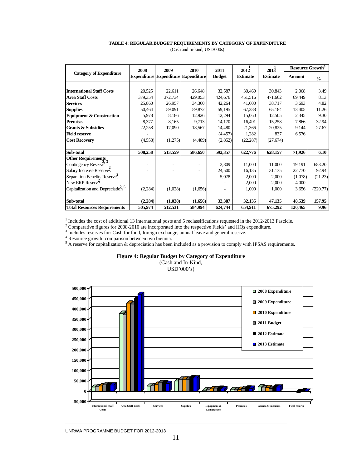# **TABLE 4: REGULAR BUDGET REQUIREMENTS BY CATEGORY OF EXPENDITURE**

| (Cash and In-kind, USD'000s) |  |
|------------------------------|--|
|------------------------------|--|

|                                              | 2008     | 2009                                       | 2010     | 2011          | 2012            | 2013            | Resource Growth <sup>4</sup> |               |
|----------------------------------------------|----------|--------------------------------------------|----------|---------------|-----------------|-----------------|------------------------------|---------------|
| <b>Category of Expenditure</b>               |          | <b>Expenditure Expenditure Expenditure</b> |          | <b>Budget</b> | <b>Estimate</b> | <b>Estimate</b> | <b>Amount</b>                | $\frac{0}{0}$ |
|                                              |          |                                            |          |               |                 |                 |                              |               |
| <b>International Staff Costs</b>             | 20,525   | 22,611                                     | 26,648   | 32,587        | 30,460          | 30,843          | 2,068                        | 3.49          |
| <b>Area Staff Costs</b>                      | 379,354  | 372,734                                    | 429,053  | 424,676       | 451,516         | 471,662         | 69,449                       | 8.13          |
| <b>Services</b>                              | 25,860   | 26,957                                     | 34,360   | 42,264        | 41,600          | 38,717          | 3,693                        | 4.82          |
| <b>Supplies</b>                              | 50,464   | 59,091                                     | 59,872   | 59,195        | 67,288          | 65,184          | 13,405                       | 11.26         |
| <b>Equipment &amp; Construction</b>          | 5,978    | 8,186                                      | 12,926   | 12,294        | 15,060          | 12,505          | 2,345                        | 9.30          |
| <b>Premises</b>                              | 8,377    | 8,165                                      | 9,713    | 14,170        | 16,491          | 15,258          | 7,866                        | 32.94         |
| <b>Grants &amp; Subsidies</b>                | 22,258   | 17,090                                     | 18,567   | 14,480        | 21,366          | 20,825          | 9,144                        | 27.67         |
| <b>Field reserve</b>                         |          |                                            |          | (4, 457)      | 1,282           | 837             | 6,576                        |               |
| <b>Cost Recovery</b>                         | (4,558)  | (1,275)                                    | (4, 489) | (2,852)       | (22, 287)       | (27, 674)       |                              |               |
| Sub-total                                    | 508,258  | 513,559                                    | 586,650  | 592,357       | 622,776         | 628,157         | 71,926                       | 6.10          |
| <b>Other Requirements</b>                    |          |                                            |          |               |                 |                 |                              |               |
| Contingency Reserve                          |          |                                            |          | 2,809         | 11,000          | 11,000          | 19,191                       | 683.20        |
| Salary Increase Reserves                     |          |                                            |          | 24,500        | 16,135          | 31,135          | 22,770                       | 92.94         |
| Separation Benefits Reserves                 |          |                                            |          | 5,078         | 2,000           | 2,000           | (1,078)                      | (21.23)       |
| New ERP Reserve                              |          |                                            |          |               | 2,000           | 2,000           | 4,000                        |               |
| Capitalization and Depreciation <sup>5</sup> | (2, 284) | (1,028)                                    | (1,656)  |               | 1,000           | 1,000           | 3,656                        | (220.77)      |
| Sub-total                                    | (2, 284) | (1,028)                                    | (1,656)  | 32,387        | 32,135          | 47,135          | 48,539                       | 157.95        |
| <b>Total Resources Requirements</b>          | 505,974  | 512,531                                    | 584,994  | 624,744       | 654,911         | 675,292         | 120,465                      | 9.96          |

<sup>1</sup> Includes the cost of additional 13 international posts and 5 reclassifications requested in the 2012-2013 Fascicle.

<sup>2</sup> Comparative figures for 2008-2010 are incorporated into the respective Fields' and HQs expenditure.

 $3$  Includes reserves for: Cash for food, foreign exchange, annual leave and general reserve.

<sup>4</sup> Resource growth: comparison between two biennia.

 $<sup>5</sup>$  A reserve for capitalization & depreciation has been included as a provision to comply with IPSAS requirements.</sup>

#### **Figure 4: Regular Budget by Category of Expenditure**

(Cash and In-Kind, USD'000's)

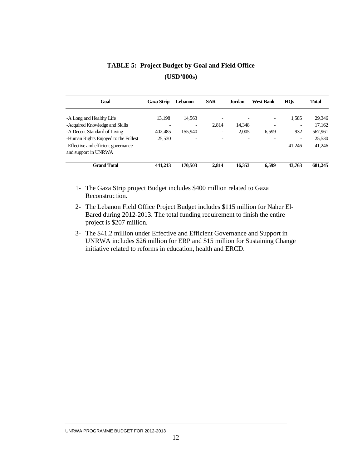| Goal                                 | <b>Gaza Strip</b>        | <b>Lebanon</b> | <b>SAR</b> | <b>Jordan</b> | <b>West Bank</b> | <b>HQs</b>               | <b>Total</b> |
|--------------------------------------|--------------------------|----------------|------------|---------------|------------------|--------------------------|--------------|
|                                      |                          |                |            |               |                  |                          |              |
| -A Long and Healthy Life             | 13.198                   | 14.563         |            |               |                  | 1,585                    | 29,346       |
| -Acquired Knowledge and Skills       |                          |                | 2,814      | 14,348        |                  | $\overline{a}$           | 17,162       |
| -A Decent Standard of Living         | 402,485                  | 155,940        | ۰          | 2,005         | 6,599            | 932                      | 567,961      |
| -Human Rights Enjoyed to the Fullest | 25,530                   |                |            |               |                  | $\overline{\phantom{a}}$ | 25,530       |
| -Effective and efficient governance  | $\overline{\phantom{0}}$ |                |            |               |                  | 41.246                   | 41,246       |
| and support in UNRWA                 |                          |                |            |               |                  |                          |              |
| <b>Grand Total</b>                   | 441,213                  | 170.503        | 2.814      | 16.353        | 6.599            | 43,763                   | 681.245      |

**TABLE 5: Project Budget by Goal and Field Office (USD'000s)** 

- 1- The Gaza Strip project Budget includes \$400 million related to Gaza Reconstruction.
- 2- The Lebanon Field Office Project Budget includes \$115 million for Naher El-Bared during 2012-2013. The total funding requirement to finish the entire project is \$207 million.
- 3- The \$41.2 million under Effective and Efficient Governance and Support in UNRWA includes \$26 million for ERP and \$15 million for Sustaining Change initiative related to reforms in education, health and ERCD.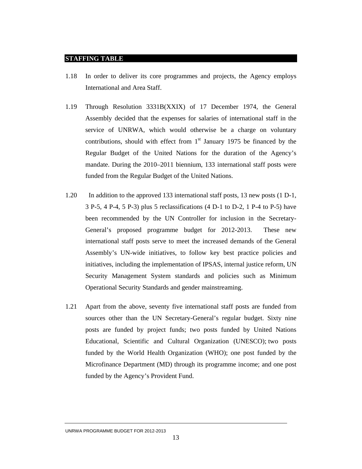#### **STAFFING TABLE**

- 1.18 In order to deliver its core programmes and projects, the Agency employs International and Area Staff.
- 1.19 Through Resolution 3331B(XXIX) of 17 December 1974, the General Assembly decided that the expenses for salaries of international staff in the service of UNRWA, which would otherwise be a charge on voluntary contributions, should with effect from  $1<sup>st</sup>$  January 1975 be financed by the Regular Budget of the United Nations for the duration of the Agency's mandate. During the 2010–2011 biennium, 133 international staff posts were funded from the Regular Budget of the United Nations.
- 1.20 In addition to the approved 133 international staff posts, 13 new posts (1 D-1, 3 P-5, 4 P-4, 5 P-3) plus 5 reclassifications (4 D-1 to D-2, 1 P-4 to P-5) have been recommended by the UN Controller for inclusion in the Secretary-General's proposed programme budget for 2012-2013. These new international staff posts serve to meet the increased demands of the General Assembly's UN-wide initiatives, to follow key best practice policies and initiatives, including the implementation of IPSAS, internal justice reform, UN Security Management System standards and policies such as Minimum Operational Security Standards and gender mainstreaming.
- 1.21 Apart from the above, seventy five international staff posts are funded from sources other than the UN Secretary-General's regular budget. Sixty nine posts are funded by project funds; two posts funded by United Nations Educational, Scientific and Cultural Organization (UNESCO); two posts funded by the World Health Organization (WHO); one post funded by the Microfinance Department (MD) through its programme income; and one post funded by the Agency's Provident Fund.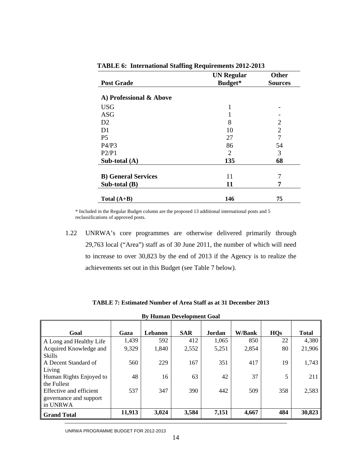| <b>Post Grade</b>          | <b>UN Regular</b><br>Budget* | <b>Other</b><br><b>Sources</b> |
|----------------------------|------------------------------|--------------------------------|
|                            |                              |                                |
| A) Professional & Above    |                              |                                |
| <b>USG</b>                 |                              |                                |
| <b>ASG</b>                 |                              |                                |
| D2                         | 8                            | $\overline{2}$                 |
| D1                         | 10                           | $\overline{2}$                 |
| P <sub>5</sub>             | 27                           | 7                              |
| P4/P3                      | 86                           | 54                             |
| P2/P1                      | 2                            | 3                              |
| Sub-total (A)              | 135                          | 68                             |
|                            |                              |                                |
| <b>B)</b> General Services | 11                           | 7                              |
| Sub-total (B)              | 11                           | 7                              |
| Total $(A+B)$              | 146                          | 75                             |

**TABLE 6: International Staffing Requirements 2012-2013** 

\* Included in the Regular Budget column are the proposed 13 additional international posts and 5 reclassifications of approved posts.

1.22 UNRWA's core programmes are otherwise delivered primarily through 29,763 local ("Area") staff as of 30 June 2011, the number of which will need to increase to over 30,823 by the end of 2013 if the Agency is to realize the achievements set out in this Budget (see Table 7 below).

| <b>By Human Development Goal</b> |        |         |            |               |               |            |              |  |  |  |  |  |
|----------------------------------|--------|---------|------------|---------------|---------------|------------|--------------|--|--|--|--|--|
| Goal                             | Gaza   | Lebanon | <b>SAR</b> | <b>Jordan</b> | <b>W/Bank</b> | <b>HQs</b> | <b>Total</b> |  |  |  |  |  |
| A Long and Healthy Life          | 1,439  | 592     | 412        | 1,065         | 850           | 22         | 4,380        |  |  |  |  |  |
| Acquired Knowledge and           | 9,329  | 1,840   | 2,552      | 5,251         | 2,854         | 80         | 21,906       |  |  |  |  |  |
| <b>Skills</b>                    |        |         |            |               |               |            |              |  |  |  |  |  |
| A Decent Standard of             | 560    | 229     | 167        | 351           | 417           | 19         | 1,743        |  |  |  |  |  |
| Living                           |        |         |            |               |               |            |              |  |  |  |  |  |
| Human Rights Enjoyed to          | 48     | 16      | 63         | 42            | 37            | 5          | 211          |  |  |  |  |  |
| the Fullest                      |        |         |            |               |               |            |              |  |  |  |  |  |
| Effective and efficient          | 537    | 347     | 390        | 442           | 509           | 358        | 2,583        |  |  |  |  |  |
| governance and support           |        |         |            |               |               |            |              |  |  |  |  |  |
| in UNRWA                         |        |         |            |               |               |            |              |  |  |  |  |  |
| <b>Grand Total</b>               | 11,913 | 3,024   | 3,584      | 7,151         | 4,667         | 484        | 30,823       |  |  |  |  |  |

**TABLE 7: Estimated Number of Area Staff as at 31 December 2013**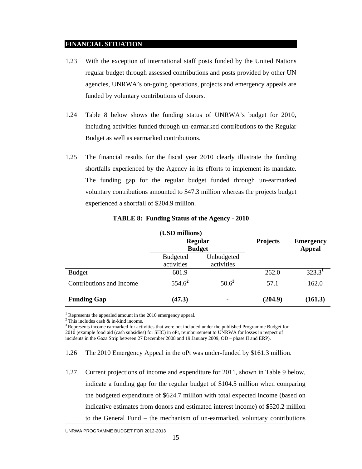#### **FINANCIAL SITUATION**

- 1.23 With the exception of international staff posts funded by the United Nations regular budget through assessed contributions and posts provided by other UN agencies, UNRWA's on-going operations, projects and emergency appeals are funded by voluntary contributions of donors.
- 1.24 Table 8 below shows the funding status of UNRWA's budget for 2010, including activities funded through un-earmarked contributions to the Regular Budget as well as earmarked contributions.
- 1.25 The financial results for the fiscal year 2010 clearly illustrate the funding shortfalls experienced by the Agency in its efforts to implement its mandate. The funding gap for the regular budget funded through un-earmarked voluntary contributions amounted to \$47.3 million whereas the projects budget experienced a shortfall of \$204.9 million.

| (USD millions)           |                               |                                 |                 |                                   |  |  |  |
|--------------------------|-------------------------------|---------------------------------|-----------------|-----------------------------------|--|--|--|
|                          |                               | <b>Regular</b><br><b>Budget</b> | <b>Projects</b> | <b>Emergency</b><br><b>Appeal</b> |  |  |  |
|                          | <b>Budgeted</b><br>activities | Unbudgeted<br>activities        |                 |                                   |  |  |  |
| <b>Budget</b>            | 601.9                         |                                 | 262.0           | 323.3 <sup>1</sup>                |  |  |  |
| Contributions and Income | $554.6^2$                     | $50.6^3$                        | 57.1            | 162.0                             |  |  |  |
| <b>Funding Gap</b>       | (47.3)                        |                                 | (204.9)         | (161.3)                           |  |  |  |

**TABLE 8: Funding Status of the Agency - 2010** 

<sup>1</sup> Represents the appealed amount in the 2010 emergency appeal.

2 This includes cash & in-kind income.

<sup>3</sup> Represents income earmarked for activities that were not included under the published Programme Budget for 2010 (example food aid (cash subsidies) for SHC) in oPt, reimbursement to UNRWA for losses in respect of incidents in the Gaza Strip between 27 December 2008 and 19 January 2009, OD – phase II and ERP).

1.27 Current projections of income and expenditure for 2011, shown in Table 9 below, indicate a funding gap for the regular budget of \$104.5 million when comparing the budgeted expenditure of \$624.7 million with total expected income (based on indicative estimates from donors and estimated interest income) of **\$**520.2 million to the General Fund – the mechanism of un-earmarked, voluntary contributions

<sup>1.26</sup> The 2010 Emergency Appeal in the oPt was under-funded by \$161.3 million.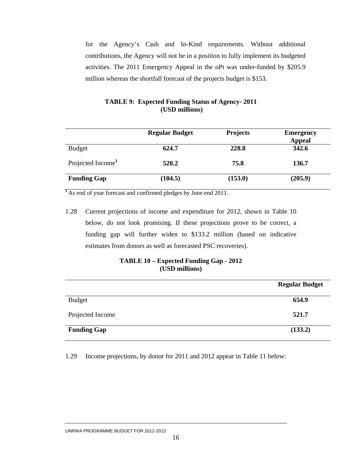for the Agency's Cash and In-Kind requirements. Without additional contributions, the Agency will not be in a position to fully implement its budgeted activities. The 2011 Emergency Appeal in the oPt was under-funded by \$205.9 million whereas the shortfall forecast of the projects budget is \$153.

|                               | <b>Regular Budget</b> | <b>Projects</b> | <b>Emergency</b><br><b>Appeal</b> |
|-------------------------------|-----------------------|-----------------|-----------------------------------|
| <b>Budget</b>                 | 624.7                 | 228.8           | 342.6                             |
| Projected Income <sup>1</sup> | 520.2                 | 75.8            | 136.7                             |
| <b>Funding Gap</b>            | (104.5)               | (153.0)         | (205.9)                           |

### **TABLE 9: Expected Funding Status of Agency- 2011 (USD millions)**

<sup>1</sup>As end of year forecast and confirmed pledges by June end 2011.

1.28 Current projections of income and expenditure for 2012, shown in Table 10 below, do not look promising. If these projections prove to be correct, a funding gap will further widen to \$133.2 million (based on indicative estimates from donors as well as forecasted PSC recoveries).

#### **TABLE 10 – Expected Funding Gap - 2012 (USD millions)**

|                    | <b>Regular Budget</b> |
|--------------------|-----------------------|
| <b>Budget</b>      | 654.9                 |
| Projected Income   | 521.7                 |
| <b>Funding Gap</b> | (133.2)               |

1.29 Income projections, by donor for 2011 and 2012 appear in Table 11 below: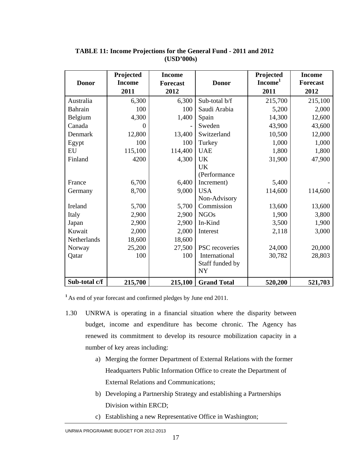|               | Projected     | <b>Income</b>   |                    | Projected           | <b>Income</b> |
|---------------|---------------|-----------------|--------------------|---------------------|---------------|
| <b>Donor</b>  | <b>Income</b> | <b>Forecast</b> | <b>Donor</b>       | Income <sup>1</sup> | Forecast      |
|               | 2011          | 2012            |                    | 2011                | 2012          |
| Australia     | 6,300         | 6,300           | Sub-total b/f      | 215,700             | 215,100       |
| Bahrain       | 100           | 100             | Saudi Arabia       | 5,200               | 2,000         |
| Belgium       | 4,300         | 1,400           | Spain              | 14,300              | 12,600        |
| Canada        | $\Omega$      |                 | Sweden             | 43,900              | 43,600        |
| Denmark       | 12,800        | 13,400          | Switzerland        | 10,500              | 12,000        |
| Egypt         | 100           | 100             | Turkey             | 1,000               | 1,000         |
| ${\rm EU}$    | 115,100       | 114,400         | <b>UAE</b>         | 1,800               | 1,800         |
| Finland       | 4200          | 4,300           | <b>UK</b>          | 31,900              | 47,900        |
|               |               |                 | UK                 |                     |               |
|               |               |                 | (Performance       |                     |               |
| France        | 6,700         | 6,400           | Increment)         | 5,400               |               |
| Germany       | 8,700         | 9,000           | <b>USA</b>         | 114,600             | 114,600       |
|               |               |                 | Non-Advisory       |                     |               |
| Ireland       | 5,700         | 5,700           | Commission         | 13,600              | 13,600        |
| Italy         | 2,900         | 2,900           | <b>NGOs</b>        | 1,900               | 3,800         |
| Japan         | 2,900         | 2,900           | In-Kind            | 3,500               | 1,900         |
| Kuwait        | 2,000         | 2,000           | Interest           | 2,118               | 3,000         |
| Netherlands   | 18,600        | 18,600          |                    |                     |               |
| Norway        | 25,200        | 27,500          | PSC recoveries     | 24,000              | 20,000        |
| Qatar         | 100           | 100             | International      | 30,782              | 28,803        |
|               |               |                 | Staff funded by    |                     |               |
|               |               |                 | <b>NY</b>          |                     |               |
| Sub-total c/f | 215,700       | 215,100         | <b>Grand Total</b> | 520,200             | 521,703       |

# **(USD'000s) TABLE 11: Income Projections for the General Fund - 2011 and 2012**

**<sup>1</sup>**As end of year forecast and confirmed pledges by June end 2011.

- 1.30 UNRWA is operating in a financial situation where the disparity between budget, income and expenditure has become chronic. The Agency has renewed its commitment to develop its resource mobilization capacity in a number of key areas including:
	- a) Merging the former Department of External Relations with the former Headquarters Public Information Office to create the Department of External Relations and Communications;
	- b) Developing a Partnership Strategy and establishing a Partnerships Division within ERCD;
	- c) Establishing a new Representative Office in Washington;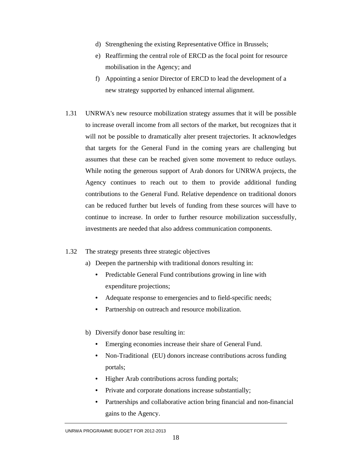- d) Strengthening the existing Representative Office in Brussels;
- e) Reaffirming the central role of ERCD as the focal point for resource mobilisation in the Agency; and
- f) Appointing a senior Director of ERCD to lead the development of a new strategy supported by enhanced internal alignment.
- 1.31 UNRWA's new resource mobilization strategy assumes that it will be possible to increase overall income from all sectors of the market, but recognizes that it will not be possible to dramatically alter present trajectories. It acknowledges that targets for the General Fund in the coming years are challenging but assumes that these can be reached given some movement to reduce outlays. While noting the generous support of Arab donors for UNRWA projects, the Agency continues to reach out to them to provide additional funding contributions to the General Fund. Relative dependence on traditional donors can be reduced further but levels of funding from these sources will have to continue to increase. In order to further resource mobilization successfully, investments are needed that also address communication components.

#### 1.32 The strategy presents three strategic objectives

- a) Deepen the partnership with traditional donors resulting in:
	- Predictable General Fund contributions growing in line with expenditure projections;
	- Adequate response to emergencies and to field-specific needs;
	- Partnership on outreach and resource mobilization.
- b) Diversify donor base resulting in:
	- Emerging economies increase their share of General Fund.
	- Non-Traditional (EU) donors increase contributions across funding portals;
	- Higher Arab contributions across funding portals;
	- Private and corporate donations increase substantially;
	- Partnerships and collaborative action bring financial and non-financial gains to the Agency.

UNRWA PROGRAMME BUDGET FOR 2012-2013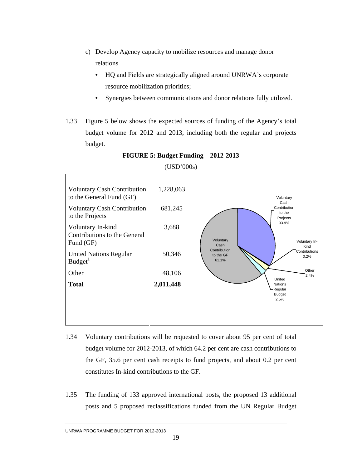- c) Develop Agency capacity to mobilize resources and manage donor relations
	- HQ and Fields are strategically aligned around UNRWA's corporate resource mobilization priorities;
	- Synergies between communications and donor relations fully utilized.
- 1.33 Figure 5 below shows the expected sources of funding of the Agency's total budget volume for 2012 and 2013, including both the regular and projects budget.



**FIGURE 5: Budget Funding – 2012-2013** 

- 1.34 Voluntary contributions will be requested to cover about 95 per cent of total budget volume for 2012-2013, of which 64.2 per cent are cash contributions to the GF, 35.6 per cent cash receipts to fund projects, and about 0.2 per cent constitutes In-kind contributions to the GF.
- 1.35 The funding of 133 approved international posts, the proposed 13 additional posts and 5 proposed reclassifications funded from the UN Regular Budget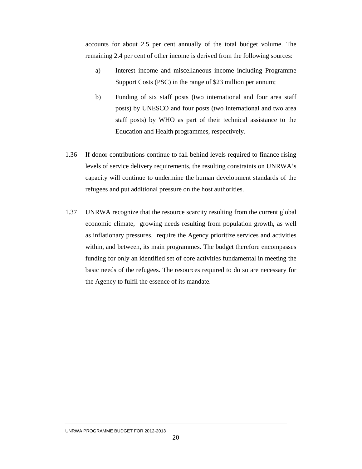accounts for about 2.5 per cent annually of the total budget volume. The remaining 2.4 per cent of other income is derived from the following sources:

- a) Interest income and miscellaneous income including Programme Support Costs (PSC) in the range of \$23 million per annum;
- b) Funding of six staff posts (two international and four area staff posts) by UNESCO and four posts (two international and two area staff posts) by WHO as part of their technical assistance to the Education and Health programmes, respectively.
- 1.36 If donor contributions continue to fall behind levels required to finance rising levels of service delivery requirements, the resulting constraints on UNRWA's capacity will continue to undermine the human development standards of the refugees and put additional pressure on the host authorities.
- 1.37 UNRWA recognize that the resource scarcity resulting from the current global economic climate, growing needs resulting from population growth, as well as inflationary pressures, require the Agency prioritize services and activities within, and between, its main programmes. The budget therefore encompasses funding for only an identified set of core activities fundamental in meeting the basic needs of the refugees. The resources required to do so are necessary for the Agency to fulfil the essence of its mandate.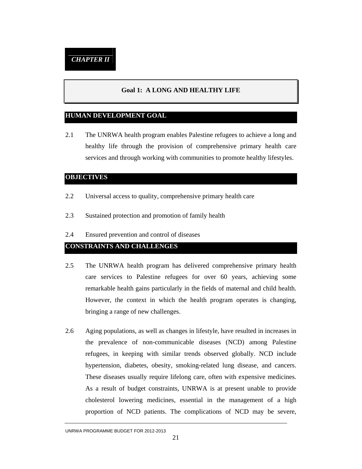### **Goal 1: A LONG AND HEALTHY LIFE**

#### **HUMAN DEVELOPMENT GOAL**

2.1 The UNRWA health program enables Palestine refugees to achieve a long and healthy life through the provision of comprehensive primary health care services and through working with communities to promote healthy lifestyles.

#### **OBJECTIVES**

- 2.2 Universal access to quality, comprehensive primary health care
- 2.3 Sustained protection and promotion of family health
- 2.4 Ensured prevention and control of diseases

# **CONSTRAINTS AND CHALLENGES**

- 2.5 The UNRWA health program has delivered comprehensive primary health care services to Palestine refugees for over 60 years, achieving some remarkable health gains particularly in the fields of maternal and child health. However, the context in which the health program operates is changing, bringing a range of new challenges.
- 2.6 Aging populations, as well as changes in lifestyle, have resulted in increases in the prevalence of non-communicable diseases (NCD) among Palestine refugees, in keeping with similar trends observed globally. NCD include hypertension, diabetes, obesity, smoking-related lung disease, and cancers. These diseases usually require lifelong care, often with expensive medicines. As a result of budget constraints, UNRWA is at present unable to provide cholesterol lowering medicines, essential in the management of a high proportion of NCD patients. The complications of NCD may be severe,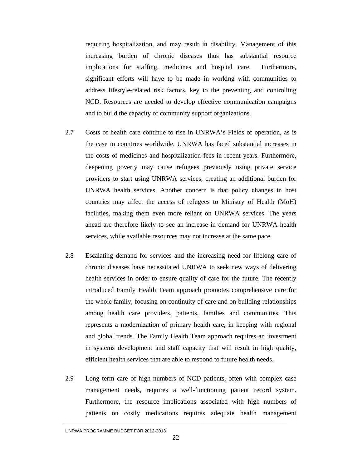requiring hospitalization, and may result in disability. Management of this increasing burden of chronic diseases thus has substantial resource implications for staffing, medicines and hospital care. Furthermore, significant efforts will have to be made in working with communities to address lifestyle-related risk factors, key to the preventing and controlling NCD. Resources are needed to develop effective communication campaigns and to build the capacity of community support organizations.

- 2.7 Costs of health care continue to rise in UNRWA's Fields of operation, as is the case in countries worldwide. UNRWA has faced substantial increases in the costs of medicines and hospitalization fees in recent years. Furthermore, deepening poverty may cause refugees previously using private service providers to start using UNRWA services, creating an additional burden for UNRWA health services. Another concern is that policy changes in host countries may affect the access of refugees to Ministry of Health (MoH) facilities, making them even more reliant on UNRWA services. The years ahead are therefore likely to see an increase in demand for UNRWA health services, while available resources may not increase at the same pace.
- 2.8 Escalating demand for services and the increasing need for lifelong care of chronic diseases have necessitated UNRWA to seek new ways of delivering health services in order to ensure quality of care for the future. The recently introduced Family Health Team approach promotes comprehensive care for the whole family, focusing on continuity of care and on building relationships among health care providers, patients, families and communities. This represents a modernization of primary health care, in keeping with regional and global trends. The Family Health Team approach requires an investment in systems development and staff capacity that will result in high quality, efficient health services that are able to respond to future health needs.
- 2.9 Long term care of high numbers of NCD patients, often with complex case management needs, requires a well-functioning patient record system. Furthermore, the resource implications associated with high numbers of patients on costly medications requires adequate health management

UNRWA PROGRAMME BUDGET FOR 2012-2013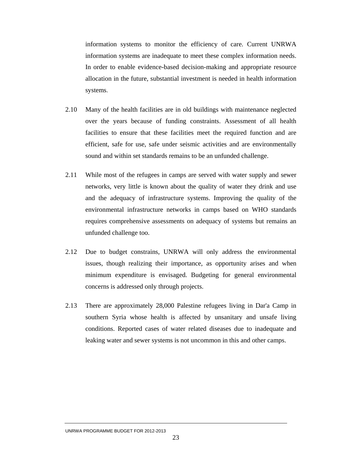information systems to monitor the efficiency of care. Current UNRWA information systems are inadequate to meet these complex information needs. In order to enable evidence-based decision-making and appropriate resource allocation in the future, substantial investment is needed in health information systems.

- 2.10 Many of the health facilities are in old buildings with maintenance neglected over the years because of funding constraints. Assessment of all health facilities to ensure that these facilities meet the required function and are efficient, safe for use, safe under seismic activities and are environmentally sound and within set standards remains to be an unfunded challenge.
- 2.11 While most of the refugees in camps are served with water supply and sewer networks, very little is known about the quality of water they drink and use and the adequacy of infrastructure systems. Improving the quality of the environmental infrastructure networks in camps based on WHO standards requires comprehensive assessments on adequacy of systems but remains an unfunded challenge too.
- 2.12 Due to budget constrains, UNRWA will only address the environmental issues, though realizing their importance, as opportunity arises and when minimum expenditure is envisaged. Budgeting for general environmental concerns is addressed only through projects.
- 2.13 There are approximately 28,000 Palestine refugees living in Dar'a Camp in southern Syria whose health is affected by unsanitary and unsafe living conditions. Reported cases of water related diseases due to inadequate and leaking water and sewer systems is not uncommon in this and other camps.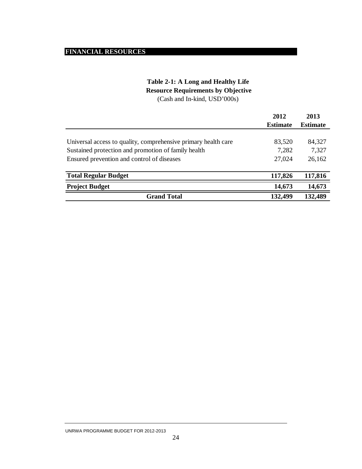# **FINANCIAL RESOURCES**

# **Table 2-1: A Long and Healthy Life Resource Requirements by Objective**

(Cash and In-kind, USD'000s)

|                                                                | 2012            | 2013            |
|----------------------------------------------------------------|-----------------|-----------------|
|                                                                | <b>Estimate</b> | <b>Estimate</b> |
|                                                                |                 |                 |
| Universal access to quality, comprehensive primary health care | 83,520          | 84,327          |
| Sustained protection and promotion of family health            | 7,282           | 7,327           |
| Ensured prevention and control of diseases                     | 27,024          | 26,162          |
|                                                                |                 |                 |
| <b>Total Regular Budget</b>                                    | 117,826         | 117,816         |
| <b>Project Budget</b>                                          | 14,673          | 14,673          |
| <b>Grand Total</b>                                             | 132,499         | 132,489         |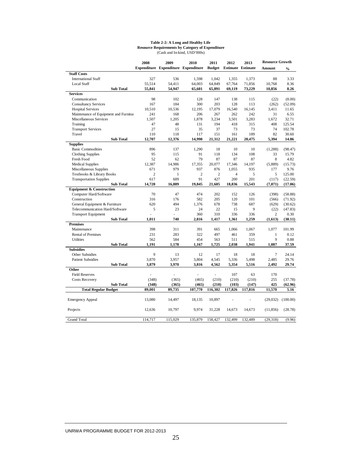#### **Table 2-2: A Long and Healthy Life Resource Requirements by Category of Expenditure**

| (Cash and In-kind, USD'000s) |  |
|------------------------------|--|
|------------------------------|--|

|                                       | 2008           | 2009         | 2010                                       | 2011           | 2012                            | 2013    | <b>Resource Growth</b> |               |
|---------------------------------------|----------------|--------------|--------------------------------------------|----------------|---------------------------------|---------|------------------------|---------------|
|                                       |                |              | <b>Expenditure Expenditure Expenditure</b> |                | <b>Budget</b> Estimate Estimate |         | Amount                 | $\frac{0}{0}$ |
| <b>Staff Costs</b>                    |                |              |                                            |                |                                 |         |                        |               |
| <b>International Staff</b>            | 327            | 536          | 1,598                                      | 1,042          | 1,355                           | 1,373   | 88                     | 3.33          |
| <b>Local Staff</b>                    | 55,514         | 54,411       | 64,003                                     | 64,849         | 67,764                          | 71,856  | 10,768                 | 8.36          |
| <b>Sub Total</b>                      | 55,841         | 54,947       | 65,601                                     | 65,891         | 69,119                          | 73,229  | 10,856                 | 8.26          |
| <b>Services</b>                       |                |              |                                            |                |                                 |         |                        |               |
| Communication                         | 98             | 102          | 128                                        | 147            | 138                             | 115     | (22)                   | (8.00)        |
| <b>Consultancy Services</b>           | 167            | 184          | 300                                        | 203            | 128                             | 113     | (262)                  | (52.09)       |
| <b>Hospital Services</b>              | 10,510         | 10,536       | 12,195                                     | 17,079         | 16,540                          | 16,145  | 3,411                  | 11.65         |
| Maintenance of Equipment and Furnitur | 241            | 168          | 206                                        | 267            | 262                             | 242     | 31                     | 6.55          |
| Miscellaneous Services                | 1,507          | 1,205        | 1,878                                      | 3,234          | 3,501                           | 3,283   | 1,672                  | 32.71         |
| Training                              | 47             | 48           | 131                                        | 194            | 418                             | 315     | 408                    | 125.54        |
| <b>Transport Services</b>             | 27             | 15           | 35                                         | 37             | 73                              | 73      | 74                     | 102.78        |
| Travel                                | 110            | 118          | 117                                        | 151            | 161                             | 189     | 82                     | 30.60         |
| <b>Sub Total</b>                      | 12,707         | 12.376       | 14.990                                     | 21,312         | 21,221                          | 20.475  | 5,394                  | 14.86         |
| <b>Supplies</b>                       |                |              |                                            |                |                                 |         |                        |               |
| <b>Basic Commodities</b>              | 896            | 137          | 1,290                                      | 18             | 10                              | 10      | (1,288)                | (98.47)       |
| <b>Clothing Supplies</b>              | 95             | 115          | 91                                         | 118            | 134                             | 108     | 33                     | 15.79         |
| Fresh Food                            | 52             | 62           | 79                                         | 87             | 87                              | 87      | 8                      | 4.82          |
| <b>Medical Supplies</b>               | 12.387         | 14.986       | 17,355                                     | 20.077         | 17.346                          | 14.197  | (5,889)                | (15.73)       |
| Miscellaneous Supplies                | 671            | 979          | 937                                        | 876            | 1,055                           | 935     | 177                    | 9.76          |
| Textbooks & Library Books             | $\overline{c}$ | $\mathbf{1}$ | $\overline{c}$                             | $\overline{c}$ | $\overline{4}$                  | 5       | 5                      | 125.00        |
| <b>Transportation Supplies</b>        | 617            | 609          | 91                                         | 427            | 200                             | 201     | (117)                  | (22.59)       |
| <b>Sub Total</b>                      | 14,720         | 16,889       | 19,845                                     | 21,605         | 18,836                          | 15,543  | (7,071)                | (17.06)       |
| <b>Equipment &amp; Construction</b>   |                |              |                                            |                |                                 |         |                        |               |
| Computer Hard/Software                | 70             | 47           | 474                                        | 202            | 152                             | 126     | (398)                  | (58.88)       |
| Construction                          | 316            | 176          | 582                                        | 205            | 120                             | 101     | (566)                  | (71.92)       |
| General Equipment & Furniture         | 620            | 494          | 1,376                                      | 678            | 738                             | 687     | (629)                  | (30.62)       |
| Telecommunication Hard/Software       | 5              | 23           | 24                                         | 22             | 15                              | 9       | (22)                   | (47.83)       |
| <b>Transport Equipment</b>            |                |              | 360                                        | 310            | 336                             | 336     | 2                      | 0.30          |
| <b>Sub Total</b>                      | 1.011          | 740          | 2,816                                      | 1,417          | 1,361                           | 1,259   | (1,613)                | (38.11)       |
| <b>Premises</b>                       |                |              |                                            |                |                                 |         |                        |               |
| Maintenance                           | 398            | 311          | 391                                        | 665            | 1,066                           | 1,067   | 1.077                  | 101.99        |
| <b>Rental of Premises</b>             | 231            | 283          | 322                                        | 497            | 461                             | 359     | $\mathbf{1}$           | 0.12          |
| <b>Utilities</b>                      | 562            | 584          | 454                                        | 563            | 511                             | 515     | 9                      | 0.88          |
| <b>Sub Total</b>                      | 1,191          | 1,178        | 1,167                                      | 1,725          | 2,038                           | 1,941   | 1,087                  | 37.59         |
| <b>Subsidies</b>                      |                |              |                                            |                |                                 |         |                        |               |
| Other Subsidies                       | 9              | 13           | 12                                         | 17             | 18                              | 18      | 7                      | 24.14         |
| <b>Patient Subsidies</b>              | 3,870          | 3,957        | 3,804                                      | 4,545          | 5,336                           | 5,498   | 2,485                  | 29.76         |
| <b>Sub Total</b>                      | 3,879          | 3,970        | 3,816                                      | 4,562          | 5,354                           | 5,516   | 2,492                  | 29.74         |
| Other                                 |                |              |                                            |                |                                 |         |                        |               |
| <b>Field Reserves</b>                 |                |              |                                            | L              | 107                             | 63      | 170                    |               |
| <b>Costs Recovery</b>                 | (348)          | (365)        | (465)                                      | (210)          | (210)                           | (210)   | 255                    | (37.78)       |
| <b>Sub Total</b>                      | (348)          | (365)        | (465)                                      | (210)          | (103)                           | (147)   | 425                    | (62.96)       |
| <b>Total Regular Budget</b>           | 89,001         | 89,735       | 107,770                                    | 116,302        | 117,826                         | 117,816 | 11,570                 | 5.16          |
| <b>Emergency Appeal</b>               | 13,080         | 14,497       | 18,135                                     | 10,897         |                                 |         | (29,032)               | (100.00)      |
| Projects                              | 12,636         | 10,797       | 9,974                                      | 31,228         | 14,673                          | 14,673  | (11, 856)              | (28.78)       |
| <b>Grand Total</b>                    | 114,717        | 115,029      | 135,879                                    | 158,427        | 132,499                         | 132,489 | (29, 318)              | (9.96)        |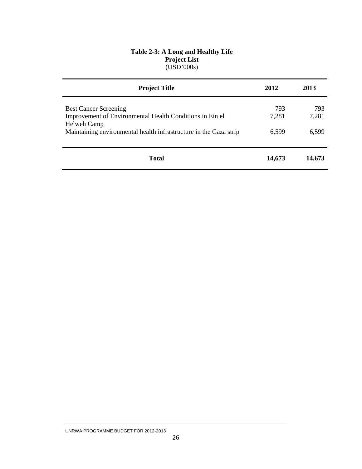#### **Table 2-3: A Long and Healthy Life Project List**  (USD'000s)

| <b>Project Title</b>                                                                                                                                                         | 2012                  | 2013                  |
|------------------------------------------------------------------------------------------------------------------------------------------------------------------------------|-----------------------|-----------------------|
| <b>Best Cancer Screening</b><br>Improvement of Environmental Health Conditions in Ein el<br>Helweh Camp<br>Maintaining environmental health infrastructure in the Gaza strip | 793<br>7,281<br>6,599 | 793<br>7,281<br>6,599 |
| <b>Total</b>                                                                                                                                                                 | 14,673                | 14,673                |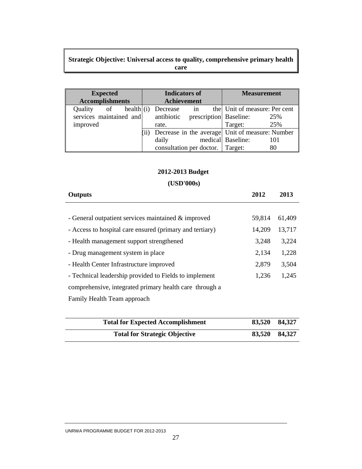# **Strategic Objective: Universal access to quality, comprehensive primary health care**

| <b>Expected</b>         |             |                                       | <b>Indicators of</b> |  | <b>Measurement</b>                              |     |
|-------------------------|-------------|---------------------------------------|----------------------|--|-------------------------------------------------|-----|
| <b>Accomplishments</b>  | Achievement |                                       |                      |  |                                                 |     |
| Quality<br>of           |             | $\text{health}(\text{i})$ Decrease in |                      |  | the Unit of measure: Per cent                   |     |
| services maintained and |             | antibiotic prescription Baseline:     |                      |  |                                                 | 25% |
| improved                |             | rate.                                 |                      |  | Target:                                         | 25% |
|                         | (ii)        |                                       |                      |  | Decrease in the average Unit of measure: Number |     |
|                         |             | daily                                 |                      |  | medical Baseline:                               | 101 |
|                         |             | consultation per doctor.   Target:    |                      |  |                                                 | 80  |

# **2012-2013 Budget**

# **(USD'000s)**

| <b>Outputs</b>                                           | 2012   | 2013   |
|----------------------------------------------------------|--------|--------|
|                                                          |        |        |
| - General outpatient services maintained & improved      | 59,814 | 61,409 |
| - Access to hospital care ensured (primary and tertiary) | 14,209 | 13,717 |
| - Health management support strengthened                 | 3,248  | 3,224  |
| - Drug management system in place                        | 2,134  | 1,228  |
| - Health Center Infrastructure improved                  | 2,879  | 3,504  |
| - Technical leadership provided to Fields to implement   | 1,236  | 1,245  |
| comprehensive, integrated primary health care through a  |        |        |
| Family Health Team approach                              |        |        |

| <b>Total for Expected Accomplishment</b> | 83,520 84,327 |  |
|------------------------------------------|---------------|--|
| <b>Total for Strategic Objective</b>     | 83,520 84,327 |  |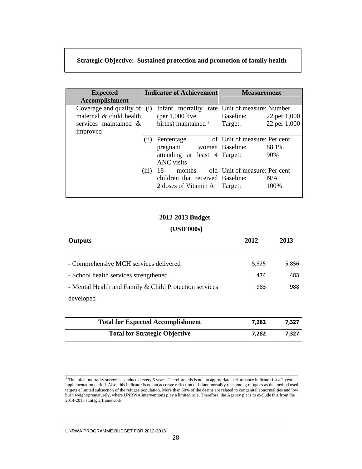# **Strategic Objective: Sustained protection and promotion of family health**

| <b>Expected</b>         |       | <b>Indicator of Achievement</b>               | <b>Measurement</b>            |              |
|-------------------------|-------|-----------------------------------------------|-------------------------------|--------------|
| Accomplishment          |       |                                               |                               |              |
| Coverage and quality of | (i)   | Infant mortality rate Unit of measure: Number |                               |              |
| maternal & child health |       | (per $1,000$ live                             | Baseline:                     | 22 per 1,000 |
| services maintained &   |       | births) maintained <sup>1</sup>               | Target:                       | 22 per 1,000 |
| improved                |       |                                               |                               |              |
|                         | (ii)  | Percentage                                    | of Unit of measure: Per cent  |              |
|                         |       | pregnant                                      | women Baseline:               | 88.1%        |
|                         |       | attending at least 4 Target:                  |                               | 90%          |
|                         |       | <b>ANC</b> visits                             |                               |              |
|                         | (iii) | 18<br>months                                  | old Unit of measure: Per cent |              |
|                         |       | children that received Baseline:              |                               | N/A          |
|                         |       | 2 doses of Vitamin A                          | Target:                       | 100%         |
|                         |       |                                               |                               |              |

#### **2012-2013 Budget**

#### **(USD'000s)**

| <b>Outputs</b>                                         | 2012  | 2013  |
|--------------------------------------------------------|-------|-------|
|                                                        |       |       |
| - Comprehensive MCH services delivered                 | 5,825 | 5,856 |
| - School health services strengthened                  | 474   | 483   |
| - Mental Health and Family & Child Protection services | 983   | 988   |
| developed                                              |       |       |
|                                                        |       |       |
| <b>Total for Expected Accomplishment</b>               | 7,282 | 7,327 |
| <b>Total for Strategic Objective</b>                   | 7,282 | 7.327 |

\_\_\_\_\_\_\_\_\_\_\_\_\_\_\_\_\_\_\_\_\_\_\_\_\_\_\_\_\_\_\_\_\_\_\_\_\_\_\_\_\_\_\_\_\_\_\_\_\_\_\_\_\_\_\_\_\_\_\_\_\_\_\_\_\_\_\_\_\_\_\_\_\_\_\_\_

 $<sup>1</sup>$  The infant mortality survey is conducted every 5 years. Therefore this is not an appropriate performance indicator for a 2 year</sup> implementation period. Also, this indicator is not an accurate reflection of infant mortality rate among refugees as the method used targets a limited subsection of the refugee population. More than 50% of the deaths are related to congenital abnormalities and low birth weight/prematurely, where UNRWA interventions play a limited role. Therefore, the Agency plans to exclude this from the 2014-2015 strategic framework.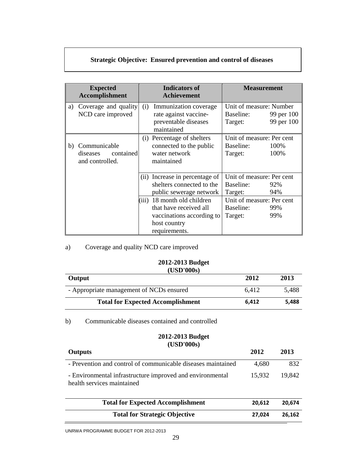# **Strategic Objective: Ensured prevention and control of diseases**

|    | <b>Expected</b><br><b>Accomplishment</b>                 |       | <b>Indicators of</b><br><b>Achievement</b>                                                                      | <b>Measurement</b>                                                             |                          |
|----|----------------------------------------------------------|-------|-----------------------------------------------------------------------------------------------------------------|--------------------------------------------------------------------------------|--------------------------|
| a) | Coverage and quality<br>NCD care improved                | (i)   | Immunization coverage<br>rate against vaccine-<br>preventable diseases<br>maintained                            | Unit of measure: Number<br>Baseline:<br>Target:                                | 99 per 100<br>99 per 100 |
| b) | Communicable<br>contained<br>diseases<br>and controlled. |       | (i) Percentage of shelters<br>connected to the public<br>water network<br>maintained                            | Unit of measure: Per cent<br>Baseline:<br>Target:                              | 100%<br>100%             |
|    |                                                          | (iii) | (ii) Increase in percentage of<br>shelters connected to the<br>public sewerage network<br>18 month old children | Unit of measure: Per cent<br>Baseline:<br>Target:<br>Unit of measure: Per cent | 92%<br>94%               |
|    |                                                          |       | that have received all<br>vaccinations according to<br>host country<br>requirements.                            | Baseline:<br>Target:                                                           | 99%<br>99%               |

a) Coverage and quality NCD care improved

#### **2012-2013 Budget (USD'000s)**

| Output                                   | 2012  | 2013  |
|------------------------------------------|-------|-------|
| - Appropriate management of NCDs ensured | 6.412 | 5,488 |
| <b>Total for Expected Accomplishment</b> | 6.412 | 5,488 |

b) Communicable diseases contained and controlled

#### **2012-2013 Budget (USD'000s)**

| , <del>.</del><br><b>Outputs</b>                                                        | 2012   | 2013   |
|-----------------------------------------------------------------------------------------|--------|--------|
| - Prevention and control of communicable diseases maintained                            | 4,680  | 832    |
| - Environmental infrastructure improved and environmental<br>health services maintained |        | 19,842 |
| <b>Total for Expected Accomplishment</b>                                                | 20.612 | 20,674 |
| <b>Total for Strategic Objective</b>                                                    | 27.024 | 26,162 |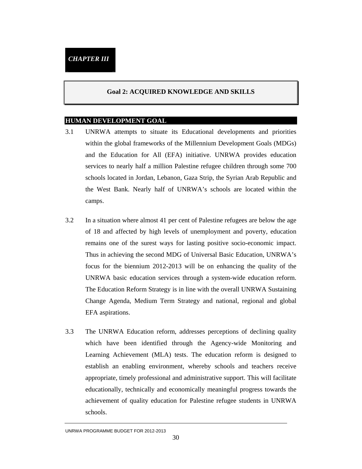#### **Goal 2: ACQUIRED KNOWLEDGE AND SKILLS**

#### **HUMAN DEVELOPMENT GOAL**

- 3.1 UNRWA attempts to situate its Educational developments and priorities within the global frameworks of the Millennium Development Goals (MDGs) and the Education for All (EFA) initiative. UNRWA provides education services to nearly half a million Palestine refugee children through some 700 schools located in Jordan, Lebanon, Gaza Strip, the Syrian Arab Republic and the West Bank. Nearly half of UNRWA's schools are located within the camps.
- 3.2 In a situation where almost 41 per cent of Palestine refugees are below the age of 18 and affected by high levels of unemployment and poverty, education remains one of the surest ways for lasting positive socio-economic impact. Thus in achieving the second MDG of Universal Basic Education, UNRWA's focus for the biennium 2012-2013 will be on enhancing the quality of the UNRWA basic education services through a system-wide education reform. The Education Reform Strategy is in line with the overall UNRWA Sustaining Change Agenda, Medium Term Strategy and national, regional and global EFA aspirations.
- 3.3 The UNRWA Education reform, addresses perceptions of declining quality which have been identified through the Agency-wide Monitoring and Learning Achievement (MLA) tests. The education reform is designed to establish an enabling environment, whereby schools and teachers receive appropriate, timely professional and administrative support. This will facilitate educationally, technically and economically meaningful progress towards the achievement of quality education for Palestine refugee students in UNRWA schools.

UNRWA PROGRAMME BUDGET FOR 2012-2013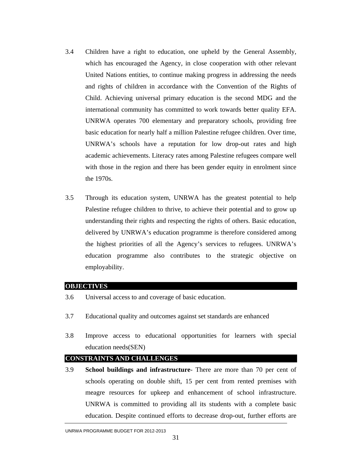- 3.4 Children have a right to education, one upheld by the General Assembly, which has encouraged the Agency, in close cooperation with other relevant United Nations entities, to continue making progress in addressing the needs and rights of children in accordance with the Convention of the Rights of Child. Achieving universal primary education is the second MDG and the international community has committed to work towards better quality EFA. UNRWA operates 700 elementary and preparatory schools, providing free basic education for nearly half a million Palestine refugee children. Over time, UNRWA's schools have a reputation for low drop-out rates and high academic achievements. Literacy rates among Palestine refugees compare well with those in the region and there has been gender equity in enrolment since the 1970s.
- 3.5 Through its education system, UNRWA has the greatest potential to help Palestine refugee children to thrive, to achieve their potential and to grow up understanding their rights and respecting the rights of others. Basic education, delivered by UNRWA's education programme is therefore considered among the highest priorities of all the Agency's services to refugees. UNRWA's education programme also contributes to the strategic objective on employability.

#### **OBJECTIVES**

- 3.6 Universal access to and coverage of basic education.
- 3.7 Educational quality and outcomes against set standards are enhanced
- 3.8 Improve access to educational opportunities for learners with special education needs(SEN)

#### **CONSTRAINTS AND CHALLENGES**

3.9 **School buildings and infrastructure**- There are more than 70 per cent of schools operating on double shift, 15 per cent from rented premises with meagre resources for upkeep and enhancement of school infrastructure. UNRWA is committed to providing all its students with a complete basic education. Despite continued efforts to decrease drop-out, further efforts are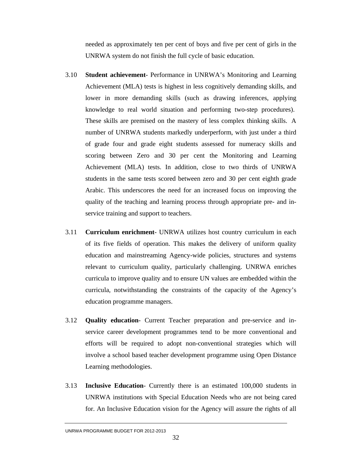needed as approximately ten per cent of boys and five per cent of girls in the UNRWA system do not finish the full cycle of basic education.

- 3.10 **Student achievement** Performance in UNRWA's Monitoring and Learning Achievement (MLA) tests is highest in less cognitively demanding skills, and lower in more demanding skills (such as drawing inferences, applying knowledge to real world situation and performing two-step procedures). These skills are premised on the mastery of less complex thinking skills. A number of UNRWA students markedly underperform, with just under a third of grade four and grade eight students assessed for numeracy skills and scoring between Zero and 30 per cent the Monitoring and Learning Achievement (MLA) tests. In addition, close to two thirds of UNRWA students in the same tests scored between zero and 30 per cent eighth grade Arabic. This underscores the need for an increased focus on improving the quality of the teaching and learning process through appropriate pre- and inservice training and support to teachers.
- 3.11 **Curriculum enrichment** UNRWA utilizes host country curriculum in each of its five fields of operation. This makes the delivery of uniform quality education and mainstreaming Agency-wide policies, structures and systems relevant to curriculum quality, particularly challenging. UNRWA enriches curricula to improve quality and to ensure UN values are embedded within the curricula, notwithstanding the constraints of the capacity of the Agency's education programme managers.
- 3.12 **Quality education** Current Teacher preparation and pre-service and inservice career development programmes tend to be more conventional and efforts will be required to adopt non-conventional strategies which will involve a school based teacher development programme using Open Distance Learning methodologies.
- 3.13 **Inclusive Education** Currently there is an estimated 100,000 students in UNRWA institutions with Special Education Needs who are not being cared for. An Inclusive Education vision for the Agency will assure the rights of all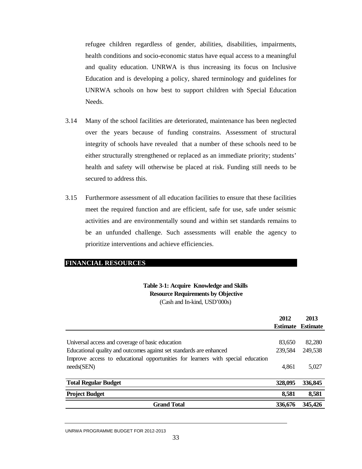refugee children regardless of gender, abilities, disabilities, impairments, health conditions and socio-economic status have equal access to a meaningful and quality education. UNRWA is thus increasing its focus on Inclusive Education and is developing a policy, shared terminology and guidelines for UNRWA schools on how best to support children with Special Education Needs.

- 3.14 Many of the school facilities are deteriorated, maintenance has been neglected over the years because of funding constrains. Assessment of structural integrity of schools have revealed that a number of these schools need to be either structurally strengthened or replaced as an immediate priority; students' health and safety will otherwise be placed at risk. Funding still needs to be secured to address this.
- 3.15 Furthermore assessment of all education facilities to ensure that these facilities meet the required function and are efficient, safe for use, safe under seismic activities and are environmentally sound and within set standards remains to be an unfunded challenge. Such assessments will enable the agency to prioritize interventions and achieve efficiencies.

#### **FINANCIAL RESOURCES**

#### **Table 3-1: Acquire Knowledge and Skills Resource Requirements by Objective** (Cash and In-kind, USD'000s)

|                                                                                 | 2012    | 2013                     |
|---------------------------------------------------------------------------------|---------|--------------------------|
|                                                                                 |         | <b>Estimate Estimate</b> |
|                                                                                 |         |                          |
| Universal access and coverage of basic education                                | 83,650  | 82,280                   |
| Educational quality and outcomes against set standards are enhanced             | 239,584 | 249,538                  |
| Improve access to educational opportunities for learners with special education |         |                          |
| needs(SEN)                                                                      | 4,861   | 5,027                    |
|                                                                                 |         |                          |
| <b>Total Regular Budget</b>                                                     | 328,095 | 336,845                  |
| <b>Project Budget</b>                                                           | 8,581   | 8,581                    |
| <b>Grand Total</b>                                                              | 336,676 | 345,426                  |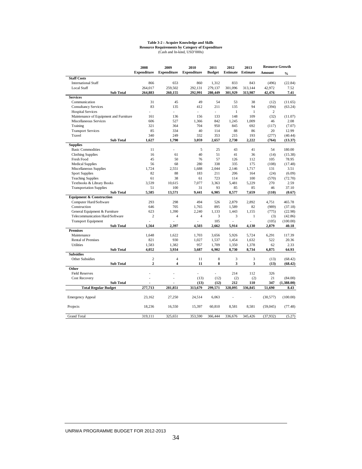#### **Table 3-2 : Acquire Knowledge and Skills Resource Requirements by Category of Expenditure**

(Cash and In-kind, USD'000s)

|                                        | 2008               | 2009               | 2010               | 2011           | 2012            | 2013            | <b>Resource Growth</b> |               |
|----------------------------------------|--------------------|--------------------|--------------------|----------------|-----------------|-----------------|------------------------|---------------|
|                                        | <b>Expenditure</b> | <b>Expenditure</b> | <b>Expenditure</b> | <b>Budget</b>  | <b>Estimate</b> | <b>Estimate</b> | Amount                 | $\frac{0}{0}$ |
| <b>Staff Costs</b>                     |                    |                    |                    |                |                 |                 |                        |               |
| <b>International Staff</b>             | 866                | 653                | 860                | 1,312          | 833             | 843             | (496)                  | (22.84)       |
| <b>Local Staff</b>                     | 264,017            | 259,502            | 292,131            | 279,137        | 301,096         | 313,144         | 42,972                 | 7.52          |
| <b>Sub Total</b>                       | 264,883            | 260,155            | 292,991            | 280,449        | 301,929         | 313,987         | 42,476                 | 7.41          |
| <b>Services</b>                        |                    |                    |                    |                |                 |                 |                        |               |
| Communication                          | 31                 | 45                 | 49                 | 54             | 53              | 38              | (12)                   | (11.65)       |
| <b>Consultancy Services</b>            | 83                 | 135                | 412                | 211            | 135             | 94              | (394)                  | (63.24)       |
| <b>Hospital Services</b>               |                    | $\overline{a}$     | ÷                  | ÷.             | $\mathbf{1}$    | $\mathbf{1}$    | $\overline{c}$         |               |
| Maintenance of Equipment and Furniture | 161                | 136                | 156                | 133            | 148             | 109             | (32)                   | (11.07)       |
| Miscellaneous Services                 | 606                | 527                | 1.366              | 842            | 1,245           | 1,009           | 46                     | 2.08          |
| Training                               | 321                | 364                | 704                | 950            | 845             | 692             | (117)                  | (7.07)        |
| <b>Transport Services</b>              | 85                 | 334                | 40                 | 114            | 88              | 86              | 20                     | 12.99         |
| Travel                                 | 340                | 249                | 332                | 353            | 215             | 193             | (277)                  | (40.44)       |
| <b>Sub Total</b>                       | 1,627              | 1,790              | 3,059              | 2,657          | 2,730           | 2,222           | (764)                  | (13.37)       |
| <b>Supplies</b>                        |                    |                    |                    |                |                 |                 |                        |               |
| <b>Basic Commodities</b>               | 11                 | ä,                 | 5                  | 25             | 43              | 41              | 54                     | 180.00        |
| <b>Clothing Supplies</b>               | 16                 | 61                 | 40                 | 51             | 41              | 36              | (14)                   | (15.38)       |
| Fresh Food                             | 45                 | 50                 | 76                 | 57             | 126             | 112             | 105                    | 78.95         |
| <b>Medical Supplies</b>                | 56                 | 68                 | 280                | 338            | 335             | 175             | (108)                  | (17.48)       |
| Miscellaneous Supplies                 | 1.724              | 2.551              | 1.688              | 2.044          | 2.146           | 1.717           | 131                    | 3.51          |
| <b>Sport Supplies</b>                  | 82                 | 88                 | 183                | 211            | 206             | 164             | (24)                   | (6.09)        |
| <b>Teaching Supplies</b>               | 61                 | 38                 | 61                 | 723            | 114             | 100             | (570)                  | (72.70)       |
| Textbooks & Library Books              | 3.539              | 10.615             | 7.077              | 3.363          | 5.481           | 5,229           | 270                    | 2.59          |
| <b>Transportation Supplies</b>         | 51                 | 100                | 31                 | 93             | 85              | 85              | 46                     | 37.10         |
| <b>Sub Total</b>                       | 5,585              | 13,571             | 9,441              | 6,905          | 8,577           | 7,659           | (110)                  | (0.67)        |
| <b>Equipment &amp; Construction</b>    |                    |                    |                    |                |                 |                 |                        |               |
| Computer Hard/Software                 | 293                | 298                | 494                | 526            | 2,879           | 2.892           | 4,751                  | 465.78        |
| Construction                           | 646                | 705                | 1.765              | 895            | 1,589           | 82              | (989)                  | (37.18)       |
| General Equipment & Furniture          | 623                | 1.390              | 2.240              | 1.133          | 1,443           | 1,155           | (775)                  | (22.98)       |
| Telecommunication Hard/Software        | $\overline{c}$     | 4                  | $\overline{4}$     | 3              | 3               | 1               | (3)                    | (42.86)       |
| <b>Transport Equipment</b>             |                    | L.                 | L.                 | 105            |                 |                 | (105)                  | (100.00)      |
| <b>Sub Total</b>                       | 1,564              | 2,397              | 4,503              | 2,662          | 5,914           | 4,130           | 2,879                  | 40.18         |
| <b>Premises</b>                        |                    |                    |                    |                |                 |                 |                        |               |
| Maintenance                            | 1,648              | 1,622              | 1.703              | 3,656          | 5,926           | 5,724           | 6,291                  | 117.39        |
| <b>Rental of Premises</b>              | 821                | 930                | 1.027              | 1.537          | 1.454           | 1.632           | 522                    | 20.36         |
| <b>Utilities</b>                       | 1,583              | 1,382              | 957                | 1,709          | 1,350           | 1,378           | 62                     | 2.33          |
| <b>Sub Total</b>                       | 4,052              | 3,934              | 3,687              | 6,902          | 8,730           | 8,734           | 6,875                  | 64.93         |
| <b>Subsidies</b>                       |                    |                    |                    |                |                 |                 |                        |               |
| Other Subsidies                        | $\overline{c}$     | 4                  | 11                 | 8              | 3               | 3               | (13)                   | (68.42)       |
| <b>Sub Total</b>                       | $\overline{2}$     | 4                  | 11                 | 8              | 3               | 3               | (13)                   | (68.42)       |
| Other                                  |                    |                    |                    |                |                 |                 |                        |               |
| <b>Field Reserves</b>                  |                    |                    |                    | $\overline{a}$ | 214             | 112             | 326                    |               |
| <b>Cost Recovery</b>                   |                    |                    | (13)               | (12)           | (2)             | (2)             | 21                     | (84.00)       |
| <b>Sub Total</b>                       | ٠<br>277,713       | ٠                  | (13)               | (12)           | 212             | 110<br>336,845  | 347                    | (1,388.00)    |
| <b>Total Regular Budget</b>            |                    | 281,851            | 313,679            | 299,571        | 328,095         |                 | 51,690                 | 8.43          |
| <b>Emergency Appeal</b>                | 23,162             | 27,250             | 24,514             | 6,063          |                 |                 | (30, 577)              | (100.00)      |
| Projects                               | 18,236             | 16,550             | 15,397             | 60,810         | 8,581           | 8,581           | (59, 045)              | (77.48)       |
| <b>Grand Total</b>                     | 319,111            | 325,651            | 353,590            | 366,444        | 336,676         | 345,426         | (37, 932)              | (5.27)        |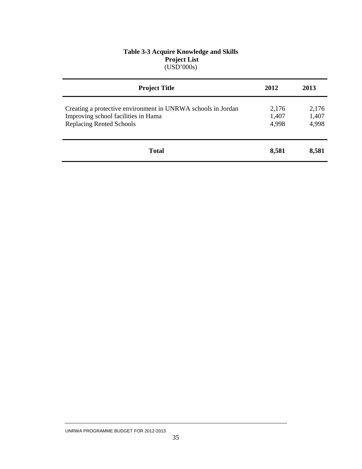#### **Table 3-3 Acquire Knowledge and Skills Project List**  (USD'000s)

| <b>Project Title</b>                                                                                                                   | 2012                    | 2013                    |
|----------------------------------------------------------------------------------------------------------------------------------------|-------------------------|-------------------------|
| Creating a protective environment in UNRWA schools in Jordan<br>Improving school facilities in Hama<br><b>Replacing Rented Schools</b> | 2,176<br>1,407<br>4,998 | 2,176<br>1,407<br>4,998 |
| <b>Total</b>                                                                                                                           | 8,581                   | 8,581                   |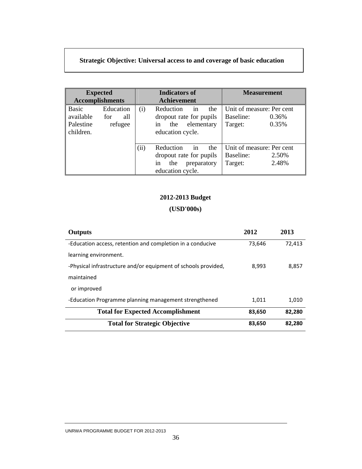# **Strategic Objective: Universal access to and coverage of basic education**

|                                              | <b>Expected</b><br><b>Accomplishments</b> |      | <b>Indicators of</b><br><b>Achievement</b>                                                        | <b>Measurement</b>                                                  |  |  |
|----------------------------------------------|-------------------------------------------|------|---------------------------------------------------------------------------------------------------|---------------------------------------------------------------------|--|--|
| Basic<br>available<br>Palestine<br>children. | Education<br>all<br>for<br>refugee        | (i)  | Reduction<br>in<br>the<br>dropout rate for pupils<br>elementary<br>in<br>the<br>education cycle.  | Unit of measure: Per cent<br>Baseline:<br>0.36%<br>0.35%<br>Target: |  |  |
|                                              |                                           | (ii) | Reduction<br>in<br>the<br>dropout rate for pupils<br>preparatory<br>the<br>in<br>education cycle. | Unit of measure: Per cent<br>Baseline:<br>2.50%<br>2.48%<br>Target: |  |  |

# **2012-2013 Budget**

| Outputs                                                        | 2012   | 2013   |
|----------------------------------------------------------------|--------|--------|
| -Education access, retention and completion in a conducive     | 73,646 | 72,413 |
| learning environment.                                          |        |        |
| -Physical infrastructure and/or equipment of schools provided, | 8,993  | 8,857  |
| maintained                                                     |        |        |
| or improved                                                    |        |        |
| -Education Programme planning management strengthened          | 1,011  | 1,010  |
| <b>Total for Expected Accomplishment</b>                       | 83,650 | 82,280 |
| <b>Total for Strategic Objective</b>                           | 83,650 | 82,280 |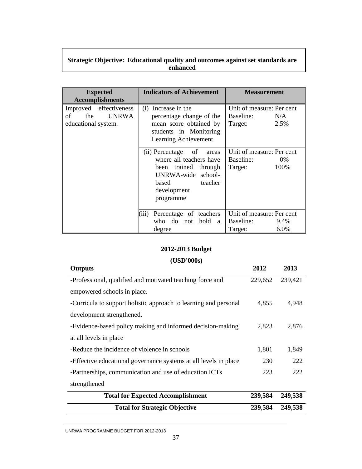# **Strategic Objective: Educational quality and outcomes against set standards are enhanced**

| <b>Expected</b><br><b>Accomplishments</b>                                  | <b>Indicators of Achievement</b>                                                                                                                     | <b>Measurement</b>                                                |
|----------------------------------------------------------------------------|------------------------------------------------------------------------------------------------------------------------------------------------------|-------------------------------------------------------------------|
| Improved effectiveness<br><b>UNRWA</b><br>of<br>the<br>educational system. | (i) Increase in the<br>percentage change of the<br>mean score obtained by<br>students in Monitoring<br>Learning Achievement                          | Unit of measure: Per cent<br>Baseline:<br>N/A<br>2.5%<br>Target:  |
|                                                                            | (ii) Percentage of<br>areas<br>where all teachers have<br>been trained through<br>UNRWA-wide school-<br>based<br>teacher<br>development<br>programme | Unit of measure: Per cent<br>Baseline:<br>0%<br>100%<br>Target:   |
|                                                                            | Percentage of teachers<br>(iii)<br>who do not hold<br><sub>a</sub><br>degree                                                                         | Unit of measure: Per cent<br>Baseline:<br>9.4%<br>6.0%<br>Target: |

# **2012-2013 Budget**

| <b>Outputs</b>                                                   | 2012    | 2013    |
|------------------------------------------------------------------|---------|---------|
| -Professional, qualified and motivated teaching force and        | 229,652 | 239,421 |
| empowered schools in place.                                      |         |         |
| -Curricula to support holistic approach to learning and personal | 4,855   | 4,948   |
| development strengthened.                                        |         |         |
| -Evidence-based policy making and informed decision-making       | 2,823   | 2,876   |
| at all levels in place                                           |         |         |
| -Reduce the incidence of violence in schools                     | 1,801   | 1,849   |
| -Effective educational governance systems at all levels in place | 230     | 222     |
| -Partnerships, communication and use of education ICTs           | 223     | 222     |
| strengthened                                                     |         |         |
| <b>Total for Expected Accomplishment</b>                         | 239,584 | 249,538 |
| <b>Total for Strategic Objective</b>                             | 239,584 | 249,538 |
|                                                                  |         |         |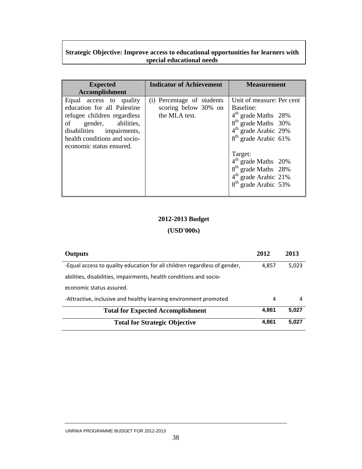# **Strategic Objective: Improve access to educational opportunities for learners with special educational needs**

| <b>Expected</b><br><b>Accomplishment</b>                                                                                                                                                                | <b>Indicator of Achievement</b>                                     | <b>Measurement</b>                                                                                                                                                                                                                                                                                                                        |
|---------------------------------------------------------------------------------------------------------------------------------------------------------------------------------------------------------|---------------------------------------------------------------------|-------------------------------------------------------------------------------------------------------------------------------------------------------------------------------------------------------------------------------------------------------------------------------------------------------------------------------------------|
| Equal access to quality<br>education for all Palestine<br>refugee children regardless<br>of gender, abilities,<br>disabilities impairments,<br>health conditions and socio-<br>economic status ensured. | (i) Percentage of students<br>scoring below 30% on<br>the MLA test. | Unit of measure: Per cent<br>Baseline:<br>4 <sup>th</sup> grade Maths 28%<br>8 <sup>th</sup> grade Maths 30%<br>$4th$ grade Arabic 29%<br>8 <sup>th</sup><br>grade Arabic 61%<br>Target:<br>4 <sup>th</sup> grade Maths 20%<br>8 <sup>th</sup> grade Maths 28%<br>4 <sup>th</sup> grade Arabic 21%<br>8 <sup>th</sup><br>grade Arabic 53% |

# **2012-2013 Budget**

| <b>Outputs</b>                                                            | 2012  | 2013  |
|---------------------------------------------------------------------------|-------|-------|
| -Equal access to quality education for all children regardless of gender, | 4,857 | 5,023 |
| abilities, disabilities, impairments, health conditions and socio-        |       |       |
| economic status assured.                                                  |       |       |
| -Attractive, inclusive and healthy learning environment promoted          | 4     | 4     |
| <b>Total for Expected Accomplishment</b>                                  | 4.861 | 5,027 |
| <b>Total for Strategic Objective</b>                                      | 4.861 | 5.027 |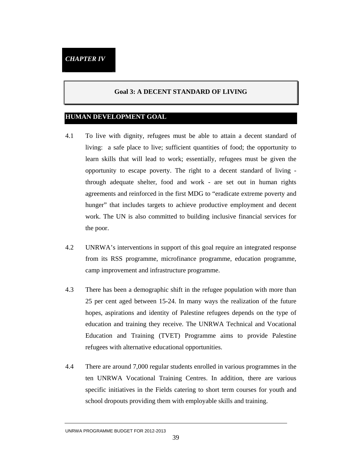#### **Goal 3: A DECENT STANDARD OF LIVING**

#### **HUMAN DEVELOPMENT GOAL**

- 4.1 To live with dignity, refugees must be able to attain a decent standard of living: a safe place to live; sufficient quantities of food; the opportunity to learn skills that will lead to work; essentially, refugees must be given the opportunity to escape poverty. The right to a decent standard of living through adequate shelter, food and work - are set out in human rights agreements and reinforced in the first MDG to "eradicate extreme poverty and hunger" that includes targets to achieve productive employment and decent work. The UN is also committed to building inclusive financial services for the poor.
- 4.2 UNRWA's interventions in support of this goal require an integrated response from its RSS programme, microfinance programme, education programme, camp improvement and infrastructure programme.
- 4.3 There has been a demographic shift in the refugee population with more than 25 per cent aged between 15-24. In many ways the realization of the future hopes, aspirations and identity of Palestine refugees depends on the type of education and training they receive. The UNRWA Technical and Vocational Education and Training (TVET) Programme aims to provide Palestine refugees with alternative educational opportunities.
- 4.4 There are around 7,000 regular students enrolled in various programmes in the ten UNRWA Vocational Training Centres. In addition, there are various specific initiatives in the Fields catering to short term courses for youth and school dropouts providing them with employable skills and training.

UNRWA PROGRAMME BUDGET FOR 2012-2013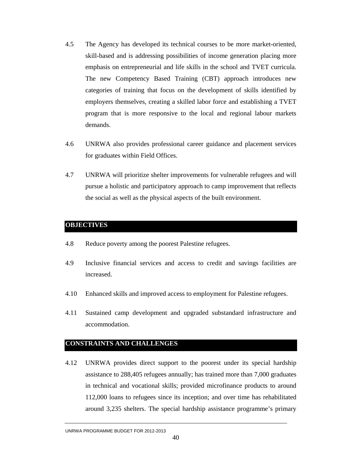- 4.5 The Agency has developed its technical courses to be more market-oriented, skill-based and is addressing possibilities of income generation placing more emphasis on entrepreneurial and life skills in the school and TVET curricula. The new Competency Based Training (CBT) approach introduces new categories of training that focus on the development of skills identified by employers themselves, creating a skilled labor force and establishing a TVET program that is more responsive to the local and regional labour markets demands.
- 4.6 UNRWA also provides professional career guidance and placement services for graduates within Field Offices.
- 4.7 UNRWA will prioritize shelter improvements for vulnerable refugees and will pursue a holistic and participatory approach to camp improvement that reflects the social as well as the physical aspects of the built environment.

## **OBJECTIVES**

- 4.8 Reduce poverty among the poorest Palestine refugees.
- 4.9 Inclusive financial services and access to credit and savings facilities are increased.
- 4.10 Enhanced skills and improved access to employment for Palestine refugees.
- 4.11 Sustained camp development and upgraded substandard infrastructure and accommodation.

### **CONSTRAINTS AND CHALLENGES**

4.12 UNRWA provides direct support to the poorest under its special hardship assistance to 288,405 refugees annually; has trained more than 7,000 graduates in technical and vocational skills; provided microfinance products to around 112,000 loans to refugees since its inception; and over time has rehabilitated around 3,235 shelters. The special hardship assistance programme's primary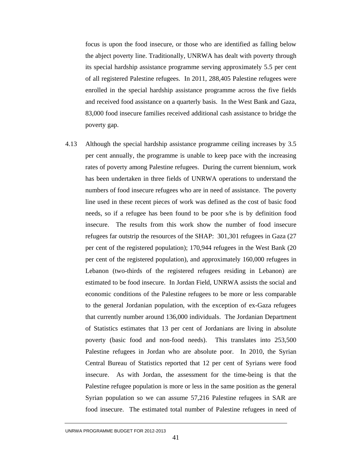focus is upon the food insecure, or those who are identified as falling below the abject poverty line. Traditionally, UNRWA has dealt with poverty through its special hardship assistance programme serving approximately 5.5 per cent of all registered Palestine refugees. In 2011, 288,405 Palestine refugees were enrolled in the special hardship assistance programme across the five fields and received food assistance on a quarterly basis. In the West Bank and Gaza, 83,000 food insecure families received additional cash assistance to bridge the poverty gap.

4.13 Although the special hardship assistance programme ceiling increases by 3.5 per cent annually, the programme is unable to keep pace with the increasing rates of poverty among Palestine refugees. During the current biennium, work has been undertaken in three fields of UNRWA operations to understand the numbers of food insecure refugees who are in need of assistance. The poverty line used in these recent pieces of work was defined as the cost of basic food needs, so if a refugee has been found to be poor s/he is by definition food insecure. The results from this work show the number of food insecure refugees far outstrip the resources of the SHAP: 301,301 refugees in Gaza (27 per cent of the registered population); 170,944 refugees in the West Bank (20 per cent of the registered population), and approximately 160,000 refugees in Lebanon (two-thirds of the registered refugees residing in Lebanon) are estimated to be food insecure. In Jordan Field, UNRWA assists the social and economic conditions of the Palestine refugees to be more or less comparable to the general Jordanian population, with the exception of ex-Gaza refugees that currently number around 136,000 individuals. The Jordanian Department of Statistics estimates that 13 per cent of Jordanians are living in absolute poverty (basic food and non-food needs). This translates into 253,500 Palestine refugees in Jordan who are absolute poor. In 2010, the Syrian Central Bureau of Statistics reported that 12 per cent of Syrians were food insecure. As with Jordan, the assessment for the time-being is that the Palestine refugee population is more or less in the same position as the general Syrian population so we can assume 57,216 Palestine refugees in SAR are food insecure. The estimated total number of Palestine refugees in need of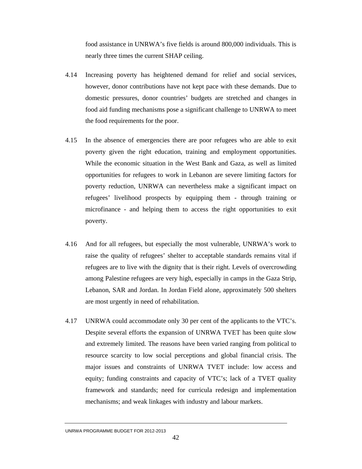food assistance in UNRWA's five fields is around 800,000 individuals. This is nearly three times the current SHAP ceiling.

- 4.14 Increasing poverty has heightened demand for relief and social services, however, donor contributions have not kept pace with these demands. Due to domestic pressures, donor countries' budgets are stretched and changes in food aid funding mechanisms pose a significant challenge to UNRWA to meet the food requirements for the poor.
- 4.15 In the absence of emergencies there are poor refugees who are able to exit poverty given the right education, training and employment opportunities. While the economic situation in the West Bank and Gaza, as well as limited opportunities for refugees to work in Lebanon are severe limiting factors for poverty reduction, UNRWA can nevertheless make a significant impact on refugees' livelihood prospects by equipping them - through training or microfinance - and helping them to access the right opportunities to exit poverty.
- 4.16 And for all refugees, but especially the most vulnerable, UNRWA's work to raise the quality of refugees' shelter to acceptable standards remains vital if refugees are to live with the dignity that is their right. Levels of overcrowding among Palestine refugees are very high, especially in camps in the Gaza Strip, Lebanon, SAR and Jordan. In Jordan Field alone, approximately 500 shelters are most urgently in need of rehabilitation.
- 4.17 UNRWA could accommodate only 30 per cent of the applicants to the VTC's. Despite several efforts the expansion of UNRWA TVET has been quite slow and extremely limited. The reasons have been varied ranging from political to resource scarcity to low social perceptions and global financial crisis. The major issues and constraints of UNRWA TVET include: low access and equity; funding constraints and capacity of VTC's; lack of a TVET quality framework and standards; need for curricula redesign and implementation mechanisms; and weak linkages with industry and labour markets.

UNRWA PROGRAMME BUDGET FOR 2012-2013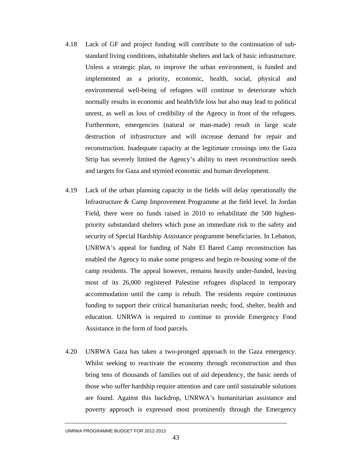- 4.18 Lack of GF and project funding will contribute to the continuation of substandard living conditions, inhabitable shelters and lack of basic infrastructure. Unless a strategic plan, to improve the urban environment, is funded and implemented as a priority, economic, health, social, physical and environmental well-being of refugees will continue to deteriorate which normally results in economic and health/life loss but also may lead to political unrest, as well as loss of credibility of the Agency in front of the refugees. Furthermore, emergencies (natural or man-made) result in large scale destruction of infrastructure and will increase demand for repair and reconstruction. Inadequate capacity at the legitimate crossings into the Gaza Strip has severely limited the Agency's ability to meet reconstruction needs and targets for Gaza and stymied economic and human development.
- 4.19 Lack of the urban planning capacity in the fields will delay operationally the Infrastructure & Camp Improvement Programme at the field level. In Jordan Field, there were no funds raised in 2010 to rehabilitate the 500 highestpriority substandard shelters which pose an immediate risk to the safety and security of Special Hardship Assistance programme beneficiaries. In Lebanon, UNRWA's appeal for funding of Nahr El Bared Camp reconstruction has enabled the Agency to make some progress and begin re-housing some of the camp residents. The appeal however, remains heavily under-funded, leaving most of its 26,000 registered Palestine refugees displaced in temporary accommodation until the camp is rebuilt. The residents require continuous funding to support their critical humanitarian needs; food, shelter, health and education. UNRWA is required to continue to provide Emergency Food Assistance in the form of food parcels.
- 4.20 UNRWA Gaza has taken a two-pronged approach to the Gaza emergency. Whilst seeking to reactivate the economy through reconstruction and thus bring tens of thousands of families out of aid dependency, the basic needs of those who suffer hardship require attention and care until sustainable solutions are found. Against this backdrop, UNRWA's humanitarian assistance and poverty approach is expressed most prominently through the Emergency

UNRWA PROGRAMME BUDGET FOR 2012-2013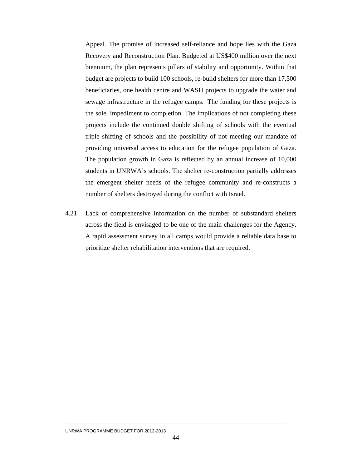Appeal. The promise of increased self-reliance and hope lies with the Gaza Recovery and Reconstruction Plan. Budgeted at US\$400 million over the next biennium, the plan represents pillars of stability and opportunity. Within that budget are projects to build 100 schools, re-build shelters for more than 17,500 beneficiaries, one health centre and WASH projects to upgrade the water and sewage infrastructure in the refugee camps. The funding for these projects is the sole impediment to completion. The implications of not completing these projects include the continued double shifting of schools with the eventual triple shifting of schools and the possibility of not meeting our mandate of providing universal access to education for the refugee population of Gaza. The population growth in Gaza is reflected by an annual increase of 10,000 students in UNRWA's schools. The shelter re-construction partially addresses the emergent shelter needs of the refugee community and re-constructs a number of shelters destroyed during the conflict with Israel.

4.21 Lack of comprehensive information on the number of substandard shelters across the field is envisaged to be one of the main challenges for the Agency. A rapid assessment survey in all camps would provide a reliable data base to prioritize shelter rehabilitation interventions that are required.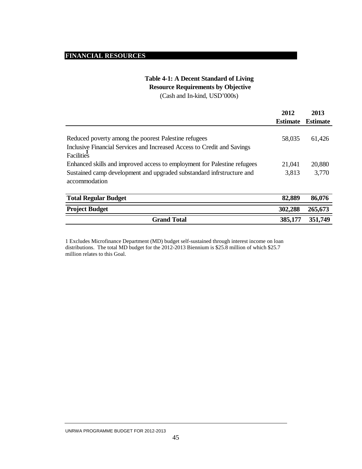## **FINANCIAL RESOURCES**

# **Table 4-1: A Decent Standard of Living**

 **Resource Requirements by Objective**

(Cash and In-kind, USD'000s)

|                                                                                                                                               | 2012            | 2013     |
|-----------------------------------------------------------------------------------------------------------------------------------------------|-----------------|----------|
|                                                                                                                                               | <b>Estimate</b> | Estimate |
| Reduced poverty among the poorest Palestine refugees<br>Inclusive Financial Services and Increased Access to Credit and Savings<br>Facilities | 58,035          | 61,426   |
| Enhanced skills and improved access to employment for Palestine refugees                                                                      | 21,041          | 20,880   |
| Sustained camp development and upgraded substandard infrstructure and<br>accommodation                                                        | 3,813           | 3,770    |
| <b>Total Regular Budget</b>                                                                                                                   | 82,889          | 86,076   |

| Total Regular Budget  | 04.00Y  | 00.V/0  |
|-----------------------|---------|---------|
| <b>Project Budget</b> | 302,288 | 265,673 |
| <b>Grand Total</b>    | 385,177 | 351,749 |

1 Excludes Microfinance Department (MD) budget self-sustained through interest income on loan distributions. The total MD budget for the 2012-2013 Biennium is \$25.8 million of which \$25.7 million relates to this Goal.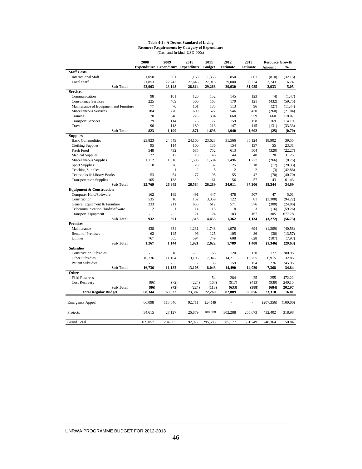#### **Table 4-2 : A Decent Standard of Living Resource Requirements by Category of Expenditure** (Cash and In-kind, USD'000s)

|                                        |                  | 2008           | 2009         | 2010                                       | 2011          | 2012            | 2013            | <b>Resource Growth</b> |               |
|----------------------------------------|------------------|----------------|--------------|--------------------------------------------|---------------|-----------------|-----------------|------------------------|---------------|
|                                        |                  |                |              | <b>Expenditure Expenditure Expenditure</b> | <b>Budget</b> | <b>Estimate</b> | <b>Estimate</b> | Amount                 | $\frac{0}{0}$ |
| <b>Staff Costs</b>                     |                  |                |              |                                            |               |                 |                 |                        |               |
| <b>International Staff</b>             |                  | 1,050          | 901          | 1,168                                      | 1,353         | 850             | 861             | (810)                  | (32.13)       |
| <b>Local Staff</b>                     |                  | 21,853         | 22.247       | 27.646                                     | 27,915        | 29.080          | 30.224          | 3,743                  | 6.74          |
|                                        | <b>Sub Total</b> | 22,903         | 23,148       | 28,814                                     | 29,268        | 29,930          | 31,085          | 2,933                  | 5.05          |
| <b>Services</b>                        |                  |                |              |                                            |               |                 |                 |                        |               |
| Communication                          |                  | 98             | 101          | 120                                        | 152           | 145             | 123             | (4)                    | (1.47)        |
| <b>Consultancy Services</b>            |                  | 225            | 469          | 560                                        | 163           | 170             | 121             | (432)                  | (59.75)       |
| Maintenance of Equipment and Furniture |                  | 77             | 70           | 101                                        | 135           | 113             | 96              | (27)                   | (11.44)       |
| Miscellaneous Services                 |                  | 184            | 270          | 609                                        | 627           | 546             | 430             | (260)                  | (21.04)       |
| Training                               |                  | 70             | 48           | 225                                        | 334           | 660             | 559             | 660                    | 118.07        |
| <b>Transport Services</b>              |                  | 79             | 114          | 76                                         | 72            | 159             | 158             | 169                    | 114.19        |
| Travel                                 |                  | 90             | 118          | 180                                        | 213           | 147             | 115             | (131)                  | (33.33)       |
|                                        | <b>Sub Total</b> | 823            | 1.190        | 1,871                                      | 1,696         | 1,940           | 1,602           | (25)                   | (0.70)        |
| <b>Supplies</b>                        |                  |                |              |                                            |               |                 |                 |                        |               |
| <b>Basic Commodities</b>               |                  | 23,823         | 24,549       | 24,160                                     | 23,628        | 31,566          | 35,124          | 18,902                 | 39.55         |
| <b>Clothing Supplies</b>               |                  | 95             | 114          | 100                                        | 136           | 154             | 137             | 55                     | 23.31         |
| <b>Fresh Food</b>                      |                  | 548            | 732          | 685                                        | 752           | 613             | 504             | (320)                  | (22.27)       |
| <b>Medical Supplies</b>                |                  | 22             | 17           | 18                                         | 46            | 44              | 40              | 20                     | 31.25         |
| Miscellaneous Supplies                 |                  | 1.112          | 1,316        | 1.505                                      | 1,534         | 1,496           | 1,277           | (266)                  | (8.75)        |
| <b>Sport Supplies</b>                  |                  | 10             | 28           | 28                                         | 32            | 25              | 18              | (17)                   | (28.33)       |
| <b>Teaching Supplies</b>               |                  | 1              | $\mathbf{1}$ | $\mathbf{2}$                               | 5             | $\overline{c}$  | $\overline{c}$  | (3)                    | (42.86)       |
| Textbooks & Library Books              |                  | 53             | 54           | 77                                         | 95            | 55              | 47              | (70)                   | (40.70)       |
| <b>Transportation Supplies</b>         |                  | 105            | 138          | 9                                          | 61            | 56              | 57              | 43                     | 61.43         |
|                                        | <b>Sub Total</b> | 25,769         | 26,949       | 26,584                                     | 26,289        | 34,011          | 37,206          | 18,344                 | 34.69         |
| <b>Equipment &amp; Construction</b>    |                  |                |              |                                            |               |                 |                 |                        |               |
| Computer Hard/Software                 |                  | 162            | 169          | 491                                        | 447           | 478             | 507             | 47                     | 5.01          |
| Construction                           |                  | 535            | 10           | 152                                        | 3.359         | 122             | 81              | (3.308)                | (94.22)       |
| General Equipment & Furniture          |                  | 233            | 211          | 635                                        | 612           | 571             | 376             | (300)                  | (24.06)       |
| Telecommunication Hard/Software        |                  | $\overline{c}$ | $\mathbf{1}$ | 14                                         | 13            | 8               | 3               | (16)                   | (59.26)       |
| <b>Transport Equipment</b>             |                  | J.             |              | 21                                         | 24            | 183             | 167             | 305                    | 677.78        |
|                                        | <b>Sub Total</b> | 932            | 391          | 1,313                                      | 4,455         | 1,362           | 1,134           | (3,272)                | (56.73)       |
| <b>Premises</b>                        |                  |                |              |                                            |               |                 |                 |                        |               |
| Maintenance                            |                  | 438            | 334          | 1,231                                      | 1,748         | 1,076           | 694             | (1,209)                | (40.58)       |
| <b>Rental of Premises</b>              |                  | 62             | 145          | 96                                         | 125           | 105             | 86              | (30)                   | (13.57)       |
| <b>Utilities</b>                       |                  | 767            | 665          | 594                                        | 749           | 608             | 628             | (107)                  | (7.97)        |
|                                        | <b>Sub Total</b> | 1,267          | 1,144        | 1,921                                      | 2,622         | 1,789           | 1,408           | (1,346)                | (29.63)       |
| <b>Subsidies</b>                       |                  |                |              |                                            |               |                 |                 |                        |               |
| <b>Construction Subsidies</b>          |                  |                | 18           | ä,                                         | 63            | 120             | 120             | 177                    | 280.95        |
| Other Subsidies                        |                  | 16,736         | 11,164       | 13,106                                     | 7,945         | 14,211          | 13,755          | 6,915                  | 32.85         |
| <b>Patient Subsidies</b>               |                  |                |              | $\overline{c}$                             | 35            | 159             | 154             | 276                    | 745.95        |
|                                        | <b>Sub Total</b> | 16,736         | 11,182       | 13,108                                     | 8,043         | 14,490          | 14,029          | 7,368                  | 34.84         |
| Other                                  |                  |                |              |                                            |               |                 |                 |                        |               |
| <b>Field Reserves</b>                  |                  |                |              |                                            | 54            | 284             | 25              | 255                    | 472.22        |
| <b>Cost Recovery</b>                   |                  | (86)           | (72)         | (224)                                      | (167)         | (917)           | (413)           | (939)                  | 240.15        |
|                                        | <b>Sub Total</b> | (86)           | (72)         | (224)                                      | (113)         | (633)           | (388)           | (684)                  | 202.97        |
| <b>Total Regular Budget</b>            |                  | 68.344         | 63.932       | 73,387                                     | 72,260        | 82,889          | 86,076          | 23,318                 | 16.01         |
| <b>Emergency Appeal</b>                |                  | 66,098         | 113,846      | 92,711                                     | 114,645       |                 | ä,              | (207, 356)             | (100.00)      |
| Projects                               |                  | 34,615         | 27,127       | 26,879                                     | 108,680       | 302,288         | 265,673         | 432,402                | 318.98        |
| <b>Grand Total</b>                     |                  | 169,057        | 204,905      | 192,977                                    | 295,585       | 385,177         | 351,749         | 248,364                | 50.84         |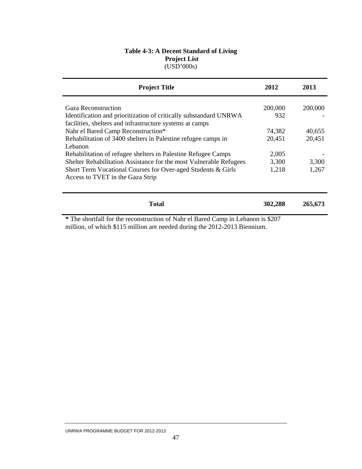#### **Table 4-3: A Decent Standard of Living Project List**  (USD'000s)

| <b>Project Title</b>                                                             | 2012    | 2013    |
|----------------------------------------------------------------------------------|---------|---------|
| <b>Gaza Reconstruction</b>                                                       | 200,000 | 200,000 |
| Identification and prioritization of critically substandard UNRWA                | 932     |         |
| facilities, shelters and infrastructure systems at camps                         |         |         |
| Nahr el Bared Camp Reconstruction*                                               | 74,382  | 40,655  |
| Rehabilitation of 3400 shelters in Palestine refugee camps in                    | 20,451  | 20,451  |
| Lebanon                                                                          |         |         |
| Rehabilitation of refugee shelters in Palestine Refugee Camps                    | 2,005   |         |
| Shelter Rehabilitation Assistance for the most Vulnerable Refugees               | 3,300   | 3,300   |
| Short Term Vocational Courses for Over-aged Students & Girls                     | 1,218   | 1,267   |
| Access to TVET in the Gaza Strip                                                 |         |         |
| <b>Total</b>                                                                     | 302,288 | 265,673 |
| * The shortfall for the reconstruction of Nahr el Bared Camp in Lebanon is \$207 |         |         |

**\*** The shortfall for the reconstruction of Nahr el Bared Camp in Lebanon is \$207 million, of which \$115 million are needed during the 2012-2013 Biennium.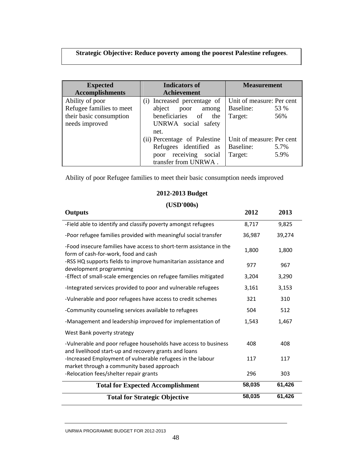# **Strategic Objective: Reduce poverty among the poorest Palestine refugees**.

| <b>Expected</b><br><b>Accomplishments</b> | <b>Indicators of</b><br><b>Measurement</b><br><b>Achievement</b> |                           |
|-------------------------------------------|------------------------------------------------------------------|---------------------------|
| Ability of poor                           | (i) Increased percentage of                                      | Unit of measure: Per cent |
| Refugee families to meet                  | abject<br>poor<br>among                                          | Baseline:<br>53 %         |
| their basic consumption                   | beneficiaries of<br>the                                          | 56%<br>Target:            |
| needs improved                            | UNRWA social safety                                              |                           |
|                                           | net.                                                             |                           |
|                                           | (ii) Percentage of Palestine                                     | Unit of measure: Per cent |
|                                           | Refugees identified as                                           | Baseline:<br>5.7%         |
|                                           | poor receiving social                                            | 5.9%<br>Target:           |
|                                           | transfer from UNRWA.                                             |                           |

Ability of poor Refugee families to meet their basic consumption needs improved

# **2012-2013 Budget**

#### **(USD'000s)**

| <b>Outputs</b>                                                                                                           | 2012   | 2013   |
|--------------------------------------------------------------------------------------------------------------------------|--------|--------|
| -Field able to identify and classify poverty amongst refugees                                                            | 8,717  | 9,825  |
| -Poor refugee families provided with meaningful social transfer                                                          | 36,987 | 39,274 |
| -Food insecure families have access to short-term assistance in the<br>form of cash-for-work, food and cash              | 1,800  | 1,800  |
| -RSS HQ supports fields to improve humanitarian assistance and<br>development programming                                | 977    | 967    |
| -Effect of small-scale emergencies on refugee families mitigated                                                         | 3,204  | 3,290  |
| -Integrated services provided to poor and vulnerable refugees                                                            | 3,161  | 3,153  |
| -Vulnerable and poor refugees have access to credit schemes                                                              | 321    | 310    |
| -Community counseling services available to refugees                                                                     | 504    | 512    |
| -Management and leadership improved for implementation of                                                                | 1,543  | 1,467  |
| West Bank poverty strategy                                                                                               |        |        |
| -Vulnerable and poor refugee households have access to business<br>and livelihood start-up and recovery grants and loans | 408    | 408    |
| -Increased Employment of vulnerable refugees in the labour<br>market through a community based approach                  | 117    | 117    |
| -Relocation fees/shelter repair grants                                                                                   | 296    | 303    |
| <b>Total for Expected Accomplishment</b>                                                                                 | 58,035 | 61,426 |
| <b>Total for Strategic Objective</b>                                                                                     | 58,035 | 61,426 |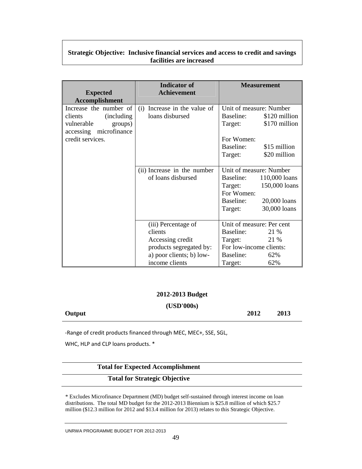#### **Strategic Objective: Inclusive financial services and access to credit and savings facilities are increased**

|                        | <b>Indicator of</b>          | <b>Measurement</b>         |  |
|------------------------|------------------------------|----------------------------|--|
| <b>Expected</b>        | <b>Achievement</b>           |                            |  |
| <b>Accomplishment</b>  |                              |                            |  |
| Increase the number of | (i) Increase in the value of | Unit of measure: Number    |  |
| clients<br>(including) | loans disbursed              | Baseline:<br>\$120 million |  |
| vulnerable<br>groups)  |                              | \$170 million<br>Target:   |  |
| accessing microfinance |                              |                            |  |
| credit services.       |                              | For Women:                 |  |
|                        |                              | \$15 million<br>Baseline:  |  |
|                        |                              | \$20 million<br>Target:    |  |
|                        |                              |                            |  |
|                        | (ii) Increase in the number  | Unit of measure: Number    |  |
|                        | of loans disbursed           | Baseline:<br>110,000 loans |  |
|                        |                              | 150,000 loans<br>Target:   |  |
|                        |                              | For Women:                 |  |
|                        |                              | Baseline:<br>20,000 loans  |  |
|                        |                              | 30,000 loans<br>Target:    |  |
|                        |                              |                            |  |
|                        | (iii) Percentage of          | Unit of measure: Per cent  |  |
|                        | clients                      | Baseline:<br>21 %          |  |
|                        | Accessing credit             | Target:<br>21 %            |  |
|                        | products segregated by:      | For low-income clients:    |  |
|                        | a) poor clients; b) low-     | Baseline:<br>62%           |  |
|                        | income clients               | 62%<br>Target:             |  |

#### **2012-2013 Budget**

**(USD'000s)** 

**Output 2012 2013** 

‐Range of credit products financed through MEC, MEC+, SSE, SGL,

WHC, HLP and CLP loans products. \*

#### **Total for Expected Accomplishment**

#### **Total for Strategic Objective**

\* Excludes Microfinance Department (MD) budget self-sustained through interest income on loan distributions. The total MD budget for the 2012-2013 Biennium is \$25.8 million of which \$25.7 million (\$12.3 million for 2012 and \$13.4 million for 2013) relates to this Strategic Objective.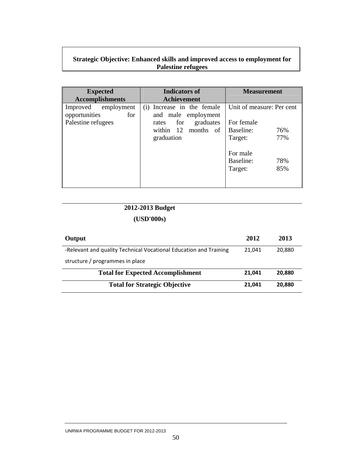#### **Strategic Objective: Enhanced skills and improved access to employment for Palestine refugees**

| <b>Expected</b><br><b>Accomplishments</b>                         | Indicators of<br><b>Achievement</b>                                                                                    | <b>Measurement</b>                                                                                                              |
|-------------------------------------------------------------------|------------------------------------------------------------------------------------------------------------------------|---------------------------------------------------------------------------------------------------------------------------------|
| Improved employment<br>opportunities<br>for<br>Palestine refugees | (i) Increase in the female<br>and male employment<br>graduates<br>for<br>rates<br>within 12<br>months of<br>graduation | Unit of measure: Per cent<br>For female<br>Baseline:<br>76%<br>77%<br>Target:<br>For male<br>Baseline:<br>78%<br>85%<br>Target: |

# **2012-2013 Budget**

| Output                                                            | 2012   | 2013   |
|-------------------------------------------------------------------|--------|--------|
| -Relevant and quality Technical Vocational Education and Training | 21.041 | 20,880 |
| structure / programmes in place                                   |        |        |
| <b>Total for Expected Accomplishment</b>                          | 21.041 | 20.880 |
| <b>Total for Strategic Objective</b>                              | 21,041 | 20.880 |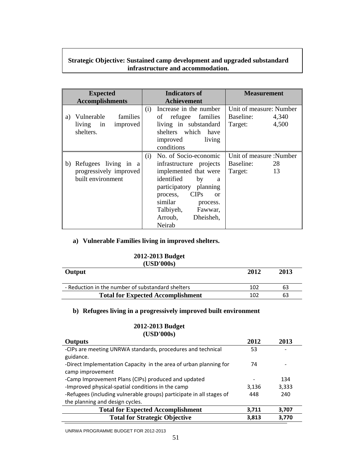## **Strategic Objective: Sustained camp development and upgraded substandard infrastructure and accommodation.**

| <b>Expected</b>                                                           | Indicators of                                                                                                                                                                                                                                                    | <b>Measurement</b>                                                |
|---------------------------------------------------------------------------|------------------------------------------------------------------------------------------------------------------------------------------------------------------------------------------------------------------------------------------------------------------|-------------------------------------------------------------------|
| <b>Accomplishments</b>                                                    | <b>Achievement</b>                                                                                                                                                                                                                                               |                                                                   |
| Vulnerable<br>families<br>a)<br>improved<br>living in<br>shelters.        | Increase in the number<br>(i)<br>refugee<br>families<br>οf<br>living in substandard<br>shelters which have<br>living<br>improved<br>conditions                                                                                                                   | Unit of measure: Number<br>Baseline:<br>4,340<br>4,500<br>Target: |
| Refugees living in a<br>b)<br>progressively improved<br>built environment | No. of Socio-economic<br>(i)<br>infrastructure projects<br>implemented that were<br>identified<br>by<br>a<br>participatory planning<br><b>CIPs</b><br>process,<br><sub>or</sub><br>similar<br>process.<br>Talbiyeh,<br>Fawwar,<br>Dheisheh,<br>Arroub,<br>Neirab | Unit of measure :Number<br>Baseline:<br>28<br>13<br>Target:       |

#### **a) Vulnerable Families living in improved shelters.**

#### **2012-2013 Budget**   $(TICD)000s$

| (USD'000S)                                        |      |      |
|---------------------------------------------------|------|------|
| Output                                            | 2012 | 2013 |
| - Reduction in the number of substandard shelters | 102  | 63   |
| <b>Total for Expected Accomplishment</b>          | 102  | 63   |

# **b) Refugees living in a progressively improved built environment**

#### **2012-2013 Budget (USD'000s)**

| <b>Outputs</b>                                                       | 2012  | 2013  |
|----------------------------------------------------------------------|-------|-------|
| -CIPs are meeting UNRWA standards, procedures and technical          | 53    |       |
| guidance.                                                            |       |       |
| -Direct Implementation Capacity in the area of urban planning for    | 74    |       |
| camp improvement                                                     |       |       |
| -Camp Improvement Plans (CIPs) produced and updated                  |       | 134   |
| -Improved physical-spatial conditions in the camp                    | 3,136 | 3,333 |
| -Refugees (including vulnerable groups) participate in all stages of | 448   | 240   |
| the planning and design cycles.                                      |       |       |
| <b>Total for Expected Accomplishment</b>                             | 3,711 | 3,707 |
| <b>Total for Strategic Objective</b>                                 | 3,813 | 3.770 |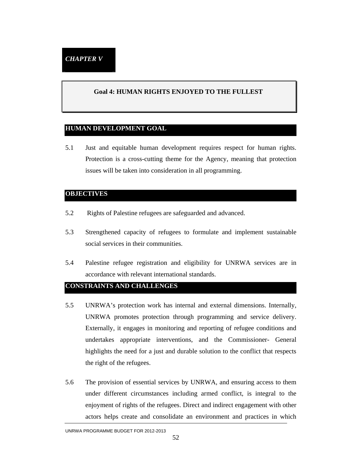#### **Goal 4: HUMAN RIGHTS ENJOYED TO THE FULLEST**

#### **HUMAN DEVELOPMENT GOAL**

5.1 Just and equitable human development requires respect for human rights. Protection is a cross-cutting theme for the Agency, meaning that protection issues will be taken into consideration in all programming.

#### **OBJECTIVES**

- 5.2 Rights of Palestine refugees are safeguarded and advanced.
- 5.3 Strengthened capacity of refugees to formulate and implement sustainable social services in their communities.
- 5.4 Palestine refugee registration and eligibility for UNRWA services are in accordance with relevant international standards.

#### **CONSTRAINTS AND CHALLENGES**

- 5.5 UNRWA's protection work has internal and external dimensions. Internally, UNRWA promotes protection through programming and service delivery. Externally, it engages in monitoring and reporting of refugee conditions and undertakes appropriate interventions, and the Commissioner- General highlights the need for a just and durable solution to the conflict that respects the right of the refugees.
- 5.6 The provision of essential services by UNRWA, and ensuring access to them under different circumstances including armed conflict, is integral to the enjoyment of rights of the refugees. Direct and indirect engagement with other actors helps create and consolidate an environment and practices in which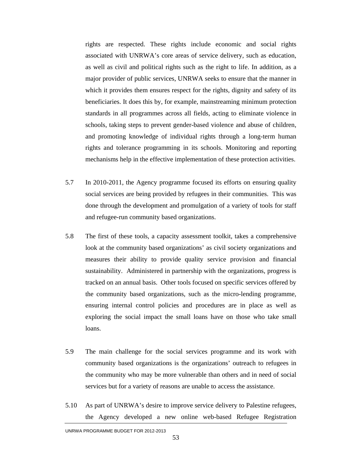rights are respected. These rights include economic and social rights associated with UNRWA's core areas of service delivery, such as education, as well as civil and political rights such as the right to life. In addition, as a major provider of public services, UNRWA seeks to ensure that the manner in which it provides them ensures respect for the rights, dignity and safety of its beneficiaries. It does this by, for example, mainstreaming minimum protection standards in all programmes across all fields, acting to eliminate violence in schools, taking steps to prevent gender-based violence and abuse of children, and promoting knowledge of individual rights through a long-term human rights and tolerance programming in its schools. Monitoring and reporting mechanisms help in the effective implementation of these protection activities.

- 5.7 In 2010-2011, the Agency programme focused its efforts on ensuring quality social services are being provided by refugees in their communities. This was done through the development and promulgation of a variety of tools for staff and refugee-run community based organizations.
- 5.8 The first of these tools, a capacity assessment toolkit, takes a comprehensive look at the community based organizations' as civil society organizations and measures their ability to provide quality service provision and financial sustainability. Administered in partnership with the organizations, progress is tracked on an annual basis. Other tools focused on specific services offered by the community based organizations, such as the micro-lending programme, ensuring internal control policies and procedures are in place as well as exploring the social impact the small loans have on those who take small loans.
- 5.9 The main challenge for the social services programme and its work with community based organizations is the organizations' outreach to refugees in the community who may be more vulnerable than others and in need of social services but for a variety of reasons are unable to access the assistance.
- 5.10 As part of UNRWA's desire to improve service delivery to Palestine refugees, the Agency developed a new online web-based Refugee Registration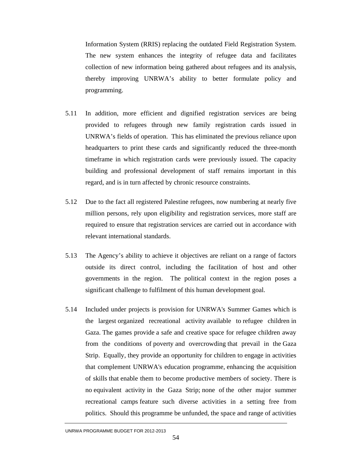Information System (RRIS) replacing the outdated Field Registration System. The new system enhances the integrity of refugee data and facilitates collection of new information being gathered about refugees and its analysis, thereby improving UNRWA's ability to better formulate policy and programming.

- 5.11 In addition, more efficient and dignified registration services are being provided to refugees through new family registration cards issued in UNRWA's fields of operation. This has eliminated the previous reliance upon headquarters to print these cards and significantly reduced the three-month timeframe in which registration cards were previously issued. The capacity building and professional development of staff remains important in this regard, and is in turn affected by chronic resource constraints.
- 5.12 Due to the fact all registered Palestine refugees, now numbering at nearly five million persons, rely upon eligibility and registration services, more staff are required to ensure that registration services are carried out in accordance with relevant international standards.
- 5.13 The Agency's ability to achieve it objectives are reliant on a range of factors outside its direct control, including the facilitation of host and other governments in the region. The political context in the region poses a significant challenge to fulfilment of this human development goal.
- 5.14 Included under projects is provision for UNRWA's Summer Games which is the largest organized recreational activity available to refugee children in Gaza. The games provide a safe and creative space for refugee children away from the conditions of poverty and overcrowding that prevail in the Gaza Strip. Equally, they provide an opportunity for children to engage in activities that complement UNRWA's education programme, enhancing the acquisition of skills that enable them to become productive members of society. There is no equivalent activity in the Gaza Strip; none of the other major summer recreational camps feature such diverse activities in a setting free from politics. Should this programme be unfunded, the space and range of activities

UNRWA PROGRAMME BUDGET FOR 2012-2013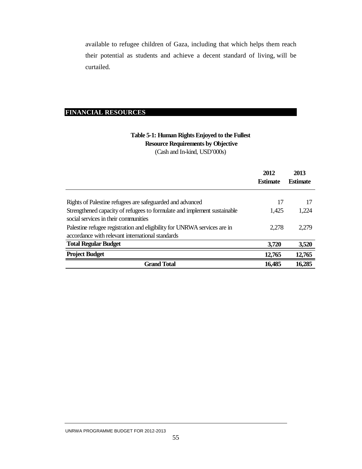available to refugee children of Gaza, including that which helps them reach their potential as students and achieve a decent standard of living, will be curtailed.

#### **FINANCIAL RESOURCES**

# (Cash and In-kind, USD'000s)  **Resource Requirements by Objective Table 5-1: Human Rights Enjoyed to the Fullest**

|                                                                                                                  | 2012<br><b>Estimate</b> | 2013<br><b>Estimate</b> |
|------------------------------------------------------------------------------------------------------------------|-------------------------|-------------------------|
| Rights of Palestine refugees are safeguarded and advanced                                                        | 17                      | 17                      |
|                                                                                                                  |                         |                         |
| Strengthened capacity of refugees to formulate and implement sustainable<br>social services in their communities | 1.425                   | 1,224                   |
| Palestine refugee registration and eligibility for UNRWA services are in                                         | 2.278                   | 2.279                   |
| accordance with relevant international standards                                                                 |                         |                         |
| <b>Total Regular Budget</b>                                                                                      | 3,720                   | 3,520                   |
| <b>Project Budget</b>                                                                                            | 12,765                  | 12,765                  |
| <b>Grand Total</b>                                                                                               | 16,485                  | 16,285                  |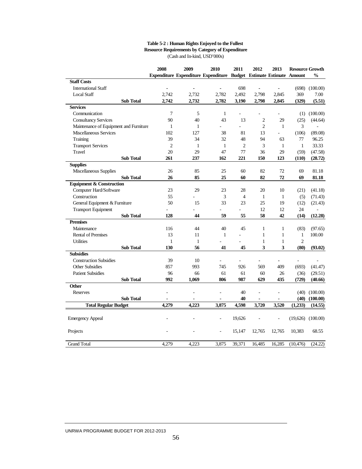#### **Table 5-2 : Human Rights Enjoyed to the Fullest Resource Requirements by Category of Expenditure** (Cash and In-kind, USD'000s)

|                                                                  |                  | 2008           | 2009                    | 2010                                                                | 2011           | 2012                    | 2013                     |                | <b>Resource Growth</b> |
|------------------------------------------------------------------|------------------|----------------|-------------------------|---------------------------------------------------------------------|----------------|-------------------------|--------------------------|----------------|------------------------|
| <b>Staff Costs</b>                                               |                  |                |                         | Expenditure Expenditure Expenditure Budget Estimate Estimate Amount |                |                         |                          |                | $\frac{0}{0}$          |
| <b>International Staff</b>                                       |                  |                |                         |                                                                     | 698            |                         |                          | (698)          | (100.00)               |
| <b>Local Staff</b>                                               |                  | ٠<br>2,742     | $\blacksquare$<br>2,732 |                                                                     | 2,492          | $\blacksquare$<br>2,798 | $\overline{\phantom{a}}$ | 369            | 7.00                   |
|                                                                  |                  | 2,742          |                         | 2,782                                                               |                |                         | 2,845                    |                |                        |
| <b>Services</b>                                                  | <b>Sub Total</b> |                | 2,732                   | 2,782                                                               | 3,190          | 2,798                   | 2,845                    | (329)          | (5.51)                 |
|                                                                  |                  | $\overline{7}$ | 5                       | $\mathbf{1}$                                                        |                |                         |                          |                |                        |
| Communication                                                    |                  | 90             | 40                      | 43                                                                  | 13             | $\overline{2}$          | ÷,<br>29                 |                | $(1)$ $(100.00)$       |
| <b>Consultancy Services</b>                                      |                  | $\mathbf{1}$   | $\mathbf{1}$            |                                                                     | $\overline{a}$ | $\overline{2}$          | $\mathbf{1}$             | (25)<br>3      | (44.64)                |
| Maintenance of Equipment and Furniture<br>Miscellaneous Services |                  | 102            | 127                     | 38                                                                  | 81             | 13                      | L,                       |                |                        |
|                                                                  |                  | 39             | 34                      | 32                                                                  | 48             | 94                      | 63                       | (106)<br>77    | (89.08)<br>96.25       |
| Training                                                         |                  | $\overline{2}$ | 1                       | $\mathbf{1}$                                                        | $\overline{2}$ | 3                       | $\mathbf{1}$             | $\mathbf{1}$   | 33.33                  |
| <b>Transport Services</b><br>Travel                              |                  |                | 29                      | 47                                                                  | 77             |                         |                          |                |                        |
|                                                                  |                  | 20             |                         |                                                                     | 221            | 36                      | 29                       | (59)           | (47.58)                |
| <b>Supplies</b>                                                  | <b>Sub Total</b> | 261            | 237                     | 162                                                                 |                | 150                     | 123                      | (110)          | (28.72)                |
|                                                                  |                  |                | 85                      | 25                                                                  | 60             | 82                      | 72                       | 69             | 81.18                  |
| Miscellaneous Supplies                                           |                  | 26<br>26       | 85                      | 25                                                                  |                |                         |                          |                |                        |
| <b>Equipment &amp; Construction</b>                              | <b>Sub Total</b> |                |                         |                                                                     | 60             | 82                      | 72                       | 69             | 81.18                  |
| Computer Hard/Software                                           |                  | 23             | 29                      | 23                                                                  | 28             | 20                      | 10                       |                |                        |
|                                                                  |                  |                |                         |                                                                     |                |                         |                          | (21)           | (41.18)                |
| Construction                                                     |                  | 55             |                         | 3                                                                   | $\overline{4}$ | $\mathbf{1}$            | $\mathbf{1}$             | (5)            | (71.43)                |
| General Equipment & Furniture                                    |                  | 50             | 15                      | 33                                                                  | 23             | 25                      | 19                       | (12)           | (21.43)                |
| <b>Transport Equipment</b>                                       |                  |                |                         |                                                                     | L,             | 12                      | 12                       | 24             |                        |
|                                                                  | <b>Sub Total</b> | 128            | 44                      | 59                                                                  | 55             | 58                      | 42                       | (14)           | (12.28)                |
| <b>Premises</b>                                                  |                  |                |                         |                                                                     |                |                         |                          |                |                        |
| Maintenance                                                      |                  | 116            | 44                      | 40                                                                  | 45             | $\mathbf{1}$            | $\mathbf{1}$             | (83)           | (97.65)                |
| <b>Rental of Premises</b>                                        |                  | 13             | 11                      | $\mathbf{1}$                                                        |                | $\mathbf{1}$            | $\mathbf{1}$             | 1              | 100.00                 |
| <b>Utilities</b>                                                 |                  | 1              | $\mathbf{1}$            |                                                                     |                | $\mathbf{1}$            | $\mathbf{1}$             | $\overline{2}$ |                        |
|                                                                  | <b>Sub Total</b> | 130            | 56                      | 41                                                                  | 45             | 3                       | 3                        | (80)           | (93.02)                |
| <b>Subsidies</b>                                                 |                  |                |                         |                                                                     |                |                         |                          |                |                        |
| <b>Construction Subsidies</b>                                    |                  | 39             | 10                      |                                                                     |                |                         |                          |                |                        |
| <b>Other Subsidies</b>                                           |                  | 857            | 993                     | 745                                                                 | 926            | 569                     | 409                      | (693)          | (41.47)                |
| <b>Patient Subsidies</b>                                         |                  | 96             | 66                      | 61                                                                  | 61             | 60                      | 26                       | (36)           | (29.51)                |
|                                                                  | <b>Sub Total</b> | 992            | 1.069                   | 806                                                                 | 987            | 629                     | 435                      | (729)          | (40.66)                |
| <b>Other</b>                                                     |                  |                |                         |                                                                     |                |                         |                          |                |                        |
| Reserves                                                         |                  | ä,             | ÷,                      | ä,                                                                  | 40             | ÷,                      | L,                       | (40)           | (100.00)               |
|                                                                  | <b>Sub Total</b> |                |                         |                                                                     | 40             | ٠                       |                          | (40)           | (100.00)               |
| <b>Total Regular Budget</b>                                      |                  | 4,279          | 4,223                   | 3,875                                                               | 4,598          | 3,720                   | 3,520                    | (1,233)        | (14.55)                |
| <b>Emergency Appeal</b>                                          |                  |                |                         | $\sim$                                                              | 19,626         |                         |                          |                | $(19,626)$ $(100.00)$  |
| Projects                                                         |                  |                |                         |                                                                     | 15,147         | 12,765                  | 12,765                   | 10,383         | 68.55                  |
| <b>Grand Total</b>                                               |                  | 4.279          | 4.223                   | 3.875                                                               | 39,371         | 16.485                  | 16,285                   | (10, 476)      | (24.22)                |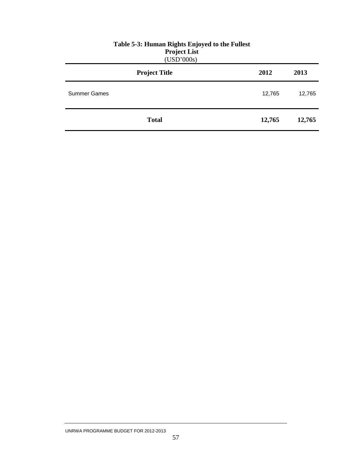|                     | ---,, <del></del> .<br>(USD'000s) |        |        |
|---------------------|-----------------------------------|--------|--------|
|                     | <b>Project Title</b>              | 2012   | 2013   |
| <b>Summer Games</b> |                                   | 12,765 | 12,765 |
|                     | <b>Total</b>                      | 12,765 | 12,765 |

# **Table 5-3: Human Rights Enjoyed to the Fullest Project List**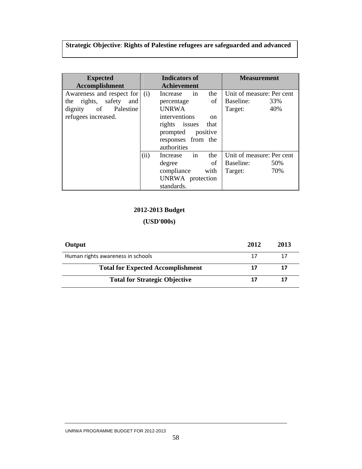# **Strategic Objective**: **Rights of Palestine refugees are safeguarded and advanced**

| <b>Expected</b><br>Accomplishment                                                                        | <b>Indicators of</b><br><b>Achievement</b> |                                                                                                                                                                                   | <b>Measurement</b>                                              |
|----------------------------------------------------------------------------------------------------------|--------------------------------------------|-----------------------------------------------------------------------------------------------------------------------------------------------------------------------------------|-----------------------------------------------------------------|
| Awareness and respect for<br>rights, safety<br>and<br>the<br>dignity of Palestine<br>refugees increased. | (i)                                        | Increase in<br>the<br>of<br>percentage<br><b>UNRWA</b><br>interventions<br><sub>on</sub><br>rights<br>issues<br>that<br>positive<br>prompted<br>responses from the<br>authorities | Unit of measure: Per cent<br>Baseline:<br>33%<br>40%<br>Target: |
|                                                                                                          | (ii)                                       | in<br>the<br>Increase<br>of<br>degree<br>with<br>compliance<br>UNRWA protection<br>standards.                                                                                     | Unit of measure: Per cent<br>Baseline:<br>50%<br>70%<br>Target: |

# **2012-2013 Budget**

| Output                                   | 2012 | 2013 |
|------------------------------------------|------|------|
| Human rights awareness in schools        | 17   | 17   |
| <b>Total for Expected Accomplishment</b> | 17   | 17   |
| <b>Total for Strategic Objective</b>     | 17   | 17   |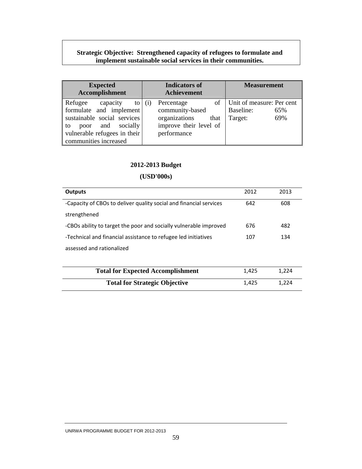### **Strategic Objective: Strengthened capacity of refugees to formulate and implement sustainable social services in their communities.**

| <b>Expected</b><br>Accomplishment                                                                                                                                       | <b>Indicators of</b><br><b>Achievement</b>                                                             | <b>Measurement</b>                                                   |
|-------------------------------------------------------------------------------------------------------------------------------------------------------------------------|--------------------------------------------------------------------------------------------------------|----------------------------------------------------------------------|
| Refugee<br>capacity<br>to<br>formulate and implement<br>sustainable social services<br>poor and socially<br>to<br>vulnerable refugees in their<br>communities increased | Percentage<br>(i)<br>community-based<br>organizations<br>that<br>improve their level of<br>performance | of   Unit of measure: Per cent<br>Baseline:<br>65%<br>69%<br>Target: |

# **2012-2013 Budget**

| Outputs                                                            | 2012  | 2013  |
|--------------------------------------------------------------------|-------|-------|
| -Capacity of CBOs to deliver quality social and financial services | 642   | 608   |
| strengthened                                                       |       |       |
| -CBOs ability to target the poor and socially vulnerable improved  | 676   | 482   |
| -Technical and financial assistance to refugee led initiatives     | 107   | 134   |
| assessed and rationalized                                          |       |       |
|                                                                    |       |       |
| <b>Total for Expected Accomplishment</b>                           | 1,425 | 1,224 |
| <b>Total for Strategic Objective</b>                               | 1,425 | 1.224 |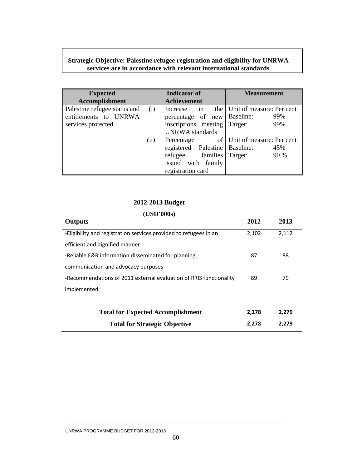## **Strategic Objective: Palestine refugee registration and eligibility for UNRWA services are in accordance with relevant international standards**

| <b>Expected</b>              | <b>Indicator of</b> |                                  | <b>Measurement</b>              |
|------------------------------|---------------------|----------------------------------|---------------------------------|
| Accomplishment               |                     | <b>Achievement</b>               |                                 |
| Palestine refugee status and | (i)                 | in<br>Increase                   | the   Unit of measure: Per cent |
| entitlements to UNRWA        |                     | of<br>percentage                 | new   Baseline:<br>99%          |
| services protected           |                     | inscriptions meeting             | 99%<br>Target:                  |
|                              |                     | <b>UNRWA</b> standards           |                                 |
|                              | (ii)                | Percentage                       | of Unit of measure: Per cent    |
|                              |                     | registered Palestine   Baseline: | 45%                             |
|                              |                     | refugee families                 | 90 %<br>Target:                 |
|                              |                     | issued with family               |                                 |
|                              |                     | registration card                |                                 |

# **2012-2013 Budget**

# **(USD'000s)**

| <b>Outputs</b>                                                     | 2012  | 2013  |
|--------------------------------------------------------------------|-------|-------|
| -Eligibility and registration services provided to refugees in an  | 2,102 | 2,112 |
| efficient and dignified manner                                     |       |       |
| -Reliable E&R information disseminated for planning.               | 87    | 88    |
| communication and advocacy purposes                                |       |       |
| -Recommendations of 2011 external evaluation of RRIS functionality | 89    | 79    |
| implemented                                                        |       |       |
|                                                                    |       |       |

| <b>Total for Expected Accomplishment</b> | 2.278 | 2.279 |
|------------------------------------------|-------|-------|
| <b>Total for Strategic Objective</b>     | 2.278 | 2.279 |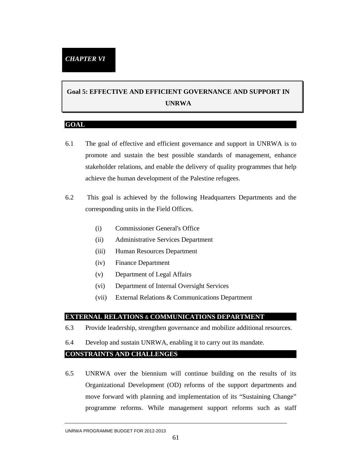# **Goal 5: EFFECTIVE AND EFFICIENT GOVERNANCE AND SUPPORT IN UNRWA**

#### **GOAL**

- 6.1 The goal of effective and efficient governance and support in UNRWA is to promote and sustain the best possible standards of management, enhance stakeholder relations, and enable the delivery of quality programmes that help achieve the human development of the Palestine refugees.
- 6.2 This goal is achieved by the following Headquarters Departments and the corresponding units in the Field Offices.
	- (i) Commissioner General's Office
	- (ii) Administrative Services Department
	- (iii) Human Resources Department
	- (iv) Finance Department
	- (v) Department of Legal Affairs
	- (vi) Department of Internal Oversight Services
	- (vii) External Relations & Communications Department

#### **EXTERNAL RELATIONS** & **COMMUNICATIONS DEPARTMENT**

- 6.3 Provide leadership, strengthen governance and mobilize additional resources.
- 6.4 Develop and sustain UNRWA, enabling it to carry out its mandate.

#### **CONSTRAINTS AND CHALLENGES**

6.5 UNRWA over the biennium will continue building on the results of its Organizational Development (OD) reforms of the support departments and move forward with planning and implementation of its "Sustaining Change" programme reforms. While management support reforms such as staff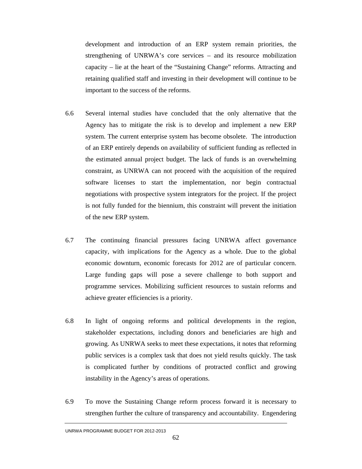development and introduction of an ERP system remain priorities, the strengthening of UNRWA's core services – and its resource mobilization capacity – lie at the heart of the "Sustaining Change" reforms. Attracting and retaining qualified staff and investing in their development will continue to be important to the success of the reforms.

- 6.6 Several internal studies have concluded that the only alternative that the Agency has to mitigate the risk is to develop and implement a new ERP system. The current enterprise system has become obsolete. The introduction of an ERP entirely depends on availability of sufficient funding as reflected in the estimated annual project budget. The lack of funds is an overwhelming constraint, as UNRWA can not proceed with the acquisition of the required software licenses to start the implementation, nor begin contractual negotiations with prospective system integrators for the project. If the project is not fully funded for the biennium, this constraint will prevent the initiation of the new ERP system.
- 6.7 The continuing financial pressures facing UNRWA affect governance capacity, with implications for the Agency as a whole. Due to the global economic downturn, economic forecasts for 2012 are of particular concern. Large funding gaps will pose a severe challenge to both support and programme services. Mobilizing sufficient resources to sustain reforms and achieve greater efficiencies is a priority.
- 6.8 In light of ongoing reforms and political developments in the region, stakeholder expectations, including donors and beneficiaries are high and growing. As UNRWA seeks to meet these expectations, it notes that reforming public services is a complex task that does not yield results quickly. The task is complicated further by conditions of protracted conflict and growing instability in the Agency's areas of operations.
- 6.9 To move the Sustaining Change reform process forward it is necessary to strengthen further the culture of transparency and accountability. Engendering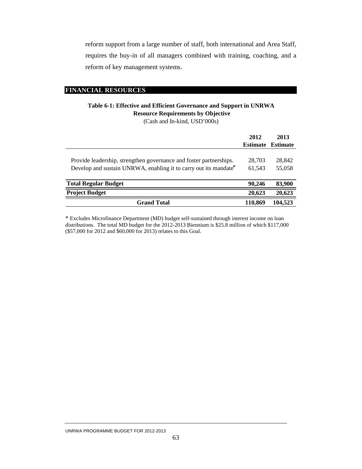reform support from a large number of staff, both international and Area Staff, requires the buy-in of all managers combined with training, coaching, and a reform of key management systems.

#### **FINANCIAL RESOURCES**

# **Table 6-1: Effective and Efficient Governance and Support in UNRWA Resource Requirements by Objective**

(Cash and In-kind, USD'000s)

|                                                                                                                                        | 2012             | 2013<br><b>Estimate Estimate</b> |
|----------------------------------------------------------------------------------------------------------------------------------------|------------------|----------------------------------|
| Provide leadership, strengthen governance and foster partnerships.<br>Develop and sustain UNRWA, enabling it to carry out its mandate* | 28,703<br>61,543 | 28,842<br>55,058                 |
| <b>Total Regular Budget</b>                                                                                                            | 90.246           | 83,900                           |
| <b>Project Budget</b>                                                                                                                  | 20,623           | 20,623                           |
| <b>Grand Total</b>                                                                                                                     | 110,869          | 104,523                          |

\* Excludes Microfinance Department (MD) budget self-sustained through interest income on loan distributions. The total MD budget for the 2012-2013 Biennium is \$25.8 million of which \$117,000 (\$57,000 for 2012 and \$60,000 for 2013) relates to this Goal.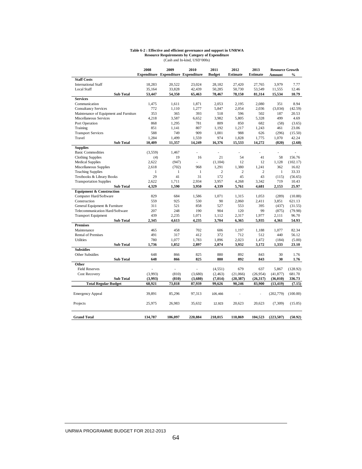#### **Table 6-2 : Effective and efficient governance and support in UNRWA Resource Requirements by Category of Expenditure** (Cash and In-kind, USD'000s)

|                                        | 2008         | 2009                                       | 2010         | 2011           | 2012            | 2013            | <b>Resource Growth</b> |               |
|----------------------------------------|--------------|--------------------------------------------|--------------|----------------|-----------------|-----------------|------------------------|---------------|
|                                        |              | <b>Expenditure Expenditure Expenditure</b> |              | <b>Budget</b>  | <b>Estimate</b> | <b>Estimate</b> | Amount                 | $\frac{0}{0}$ |
| <b>Staff Costs</b>                     |              |                                            |              |                |                 |                 |                        |               |
| <b>International Staff</b>             | 18,283       | 20,522                                     | 23.024       | 28,182         | 27,420          | 27,765          | 3.979                  | 7.77          |
| Local Staff                            | 35,164       | 33,828                                     | 42,439       | 50,285         | 50,730          | 53,549          | 11,555                 | 12.46         |
| <b>Sub Total</b>                       | 53,447       | 54,350                                     | 65,463       | 78,467         | 78,150          | 81,314          | 15,534                 | 10.79         |
| <b>Services</b>                        |              |                                            |              |                |                 |                 |                        |               |
| Communication                          | 1,475        | 1,611                                      | 1,871        | 2,053          | 2,195           | 2,080           | 351                    | 8.94          |
| <b>Consultancy Services</b>            | 772          | 1,110                                      | 1,277        | 5,847          | 2,054           | 2,036           | (3,034)                | (42.59)       |
| Maintenance of Equipment and Furniture | 353          | 365                                        | 393          | 518            | 596             | 502             | 187                    | 20.53         |
| Miscellaneous Services                 | 4,218        | 3,587                                      | 6.652        | 3.982          | 5,805           | 5,328           | 499                    | 4.69          |
| Port Operation                         | 868          | 1,295                                      | 781          | 809            | 850             | 682             | (58)                   | (3.65)        |
| Training                               | 851          | 1,141                                      | 807          | 1,192          | 1,217           | 1,243           | 461                    | 23.06         |
| <b>Transport Services</b>              | 588          | 749                                        | 909          | 1,001          | 988             | 626             | (296)                  | (15.50)       |
| Travel                                 | 1,284        | 1,499                                      | 1,559        | 974            | 1,828           | 1,775           | 1,070                  | 42.24         |
| <b>Sub Total</b>                       | 10,409       | 11,357                                     | 14,249       | 16,376         | 15,533          | 14,272          | (820)                  | (2.68)        |
| <b>Supplies</b>                        |              |                                            |              |                |                 |                 |                        |               |
| <b>Basic Commodities</b>               | (3,559)      | 1,467                                      | ÷,           | ÷,             | $\overline{a}$  | L,              | ÷,                     |               |
| <b>Clothing Supplies</b>               | (4)          | 19                                         | 16           | 21             | 54              | 41              | 58                     | 156.76        |
| <b>Medical Supplies</b>                | 2.622        | (947)                                      |              | (1, 104)       | 12              | 12              | 1,128                  | (102.17)      |
| Miscellaneous Supplies                 | 2.618        | (702)                                      | 968          | 1,291          | 1.380           | 1.241           | 362                    | 16.02         |
| <b>Teaching Supplies</b>               | $\mathbf{1}$ | $\mathbf{1}$                               | $\mathbf{1}$ | $\overline{c}$ | $\overline{c}$  | $\overline{c}$  | $\mathbf{1}$           | 33.33         |
| Textbooks & Library Books              | 29           | 41                                         | 31           | 172            | 45              | 43              | (115)                  | (56.65)       |
| <b>Transportation Supplies</b>         | 2,622        | 1,711                                      | 2,934        | 3,957          | 4,268           | 3,342           | 719                    | 10.43         |
| <b>Sub Total</b>                       | 4,329        | 1,590                                      | 3,950        | 4,339          | 5,761           | 4,681           | 2,153                  | 25.97         |
| <b>Equipment &amp; Construction</b>    |              |                                            |              |                |                 |                 |                        |               |
| Computer Hard/Software                 | 829          | 684                                        | 1,586        | 1,071          | 1,315           | 1,053           | (289)                  | (10.88)       |
| Construction                           | 559          | 925                                        | 530          | 90             | 2,060           | 2,411           | 3,851                  | 621.13        |
| General Equipment & Furniture          | 311          | 521                                        | 858          | 527            | 553             | 395             | (437)                  | (31.55)       |
| Telecommunication Hard/Software        | 207          | 248                                        | 190          | 904            | 120             | 99              | (875)                  | (79.98)       |
| <b>Transport Equipment</b>             | 439          | 2,235                                      | 1,071        | 1,112          | 2,317           | 1,977           | 2,111                  | 96.70         |
| <b>Sub Total</b>                       | 2,345        | 4,613                                      | 4,235        | 3,704          | 6,365           | 5,935           | 4,361                  | 54.93         |
| <b>Premises</b>                        |              |                                            |              |                |                 |                 |                        |               |
| Maintenance                            | 465          | 458                                        | 702          | 606            | 1,197           | 1,188           | 1,077                  | 82.34         |
| <b>Rental of Premises</b>              | 491          | 317                                        | 412          | 372            | 712             | 512             | 440                    | 56.12         |
| <b>Utilities</b>                       | 780          | 1,077                                      | 1,783        | 1,896          | 2,023           | 1,472           | (184)                  | (5.00)        |
| <b>Sub Total</b>                       | 1,736        | 1,852                                      | 2,897        | 2,874          | 3,932           | 3,172           | 1,333                  | 23.10         |
| <b>Subsidies</b>                       |              |                                            |              |                |                 |                 |                        |               |
| <b>Other Subsidies</b>                 | 648          | 866                                        | 825          | 880            | 892             | 843             | 30                     | 1.76          |
| <b>Sub Total</b>                       | 648          | 866                                        | 825          | 880            | 892             | 843             | 30                     | 1.76          |
| Other                                  |              |                                            |              |                |                 |                 |                        |               |
| <b>Field Reserves</b>                  |              | L,                                         |              | (4, 551)       | 679             | 637             | 5,867                  | (128.92)      |
| Cost Recovery                          | (3,993)      | (810)                                      | (3,680)      | (2, 463)       | (21,066)        | (26,954)        | (41, 877)              | 681.70        |
| <b>Sub Total</b>                       | (3,993)      | (810)                                      | (3,680)      | (7, 014)       | (20, 387)       | (26, 317)       | (36, 010)              | 336.73        |
| <b>Total Regular Budget</b>            | 68,921       | 73,818                                     | 87,939       | 99,626         | 90,246          | 83,900          |                        | (7.15)        |
|                                        |              |                                            |              |                |                 |                 | (13, 419)              |               |
|                                        |              |                                            |              |                |                 |                 |                        |               |
| <b>Emergency Appeal</b>                | 39.891       | 85.296                                     | 97.313       | 105.466        |                 |                 | (202, 779)             | (100.00)      |
|                                        |              |                                            |              |                |                 |                 |                        |               |
| Projects                               | 25,975       | 26,983                                     | 35,632       | 12,923         | 20,623          | 20,623          | (7,309)                | (15.05)       |
|                                        |              |                                            |              |                |                 |                 |                        |               |
| <b>Grand Total</b>                     | 134,787      | 186,097                                    | 220,884      | 218,015        | 110,869         | 104,523         | (223, 507)             | (50.92)       |
|                                        |              |                                            |              |                |                 |                 |                        |               |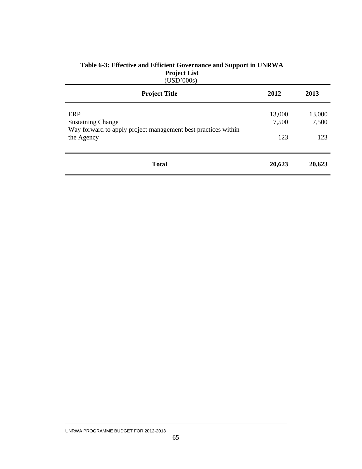| <b>Project Title</b>                                                                             | 2012            | 2013            |
|--------------------------------------------------------------------------------------------------|-----------------|-----------------|
| ERP<br><b>Sustaining Change</b><br>Way forward to apply project management best practices within | 13,000<br>7,500 | 13,000<br>7,500 |
| the Agency                                                                                       | 123             | 123             |
| <b>Total</b>                                                                                     | 20,623          | 20,623          |

#### **Table 6-3: Effective and Efficient Governance and Support in UNRWA Project List**  (USD'000s)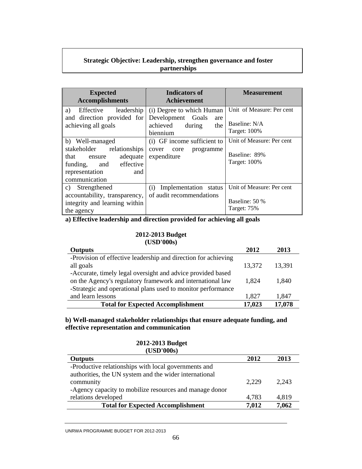#### **Strategic Objective: Leadership, strengthen governance and foster partnerships**

| <b>Expected</b><br><b>Accomplishments</b>                                                                                                                                                                                         | <b>Indicators of</b><br><b>Achievement</b>                                                                                                                                 | <b>Measurement</b>                                                                                                                     |
|-----------------------------------------------------------------------------------------------------------------------------------------------------------------------------------------------------------------------------------|----------------------------------------------------------------------------------------------------------------------------------------------------------------------------|----------------------------------------------------------------------------------------------------------------------------------------|
| Effective leadership<br>a)<br>and direction provided for<br>achieving all goals<br>b) Well-managed<br>stakeholder relationships<br>adequate<br>that<br>ensure<br>funding, and effective<br>representation<br>and<br>communication | (i) Degree to which Human<br>Development Goals<br>are<br>achieved<br>the<br>during<br>biennium<br>(i) GF income sufficient to<br>cover<br>core<br>programme<br>expenditure | Unit of Measure: Per cent<br>Baseline: N/A<br><b>Target: 100%</b><br>Unit of Measure: Per cent<br>Baseline: 89%<br><b>Target: 100%</b> |
| c) Strengthened<br>accountability, transparency,<br>integrity and learning within<br>the agency                                                                                                                                   | Implementation status<br>(i)<br>of audit recommendations                                                                                                                   | Unit of Measure: Per cent<br>Baseline: 50 %<br>Target: 75%                                                                             |

**a) Effective leadership and direction provided for achieving all goals** 

#### **2012-2013 Budget (USD'000s)**

| I UNIV VUVJI                                                   |        |        |
|----------------------------------------------------------------|--------|--------|
| <b>Outputs</b>                                                 | 2012   | 2013   |
| -Provision of effective leadership and direction for achieving |        |        |
| all goals                                                      | 13,372 | 13,391 |
| -Accurate, timely legal oversight and advice provided based    |        |        |
| on the Agency's regulatory framework and international law     | 1,824  | 1,840  |
| -Strategic and operational plans used to monitor performance   |        |        |
| and learn lessons                                              | 1,827  | 1,847  |
| <b>Total for Expected Accomplishment</b>                       | 17,023 | 17,078 |

**b) Well-managed stakeholder relationships that ensure adequate funding, and effective representation and communication** 

| 2012  | 2013  |
|-------|-------|
|       |       |
|       |       |
| 2,229 | 2,243 |
|       |       |
| 4,783 | 4,819 |
| 7,012 | 7,062 |
|       |       |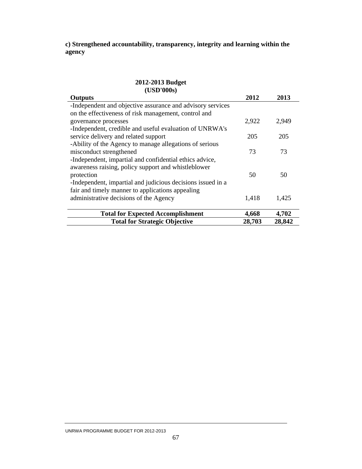**c) Strengthened accountability, transparency, integrity and learning within the agency** 

| (USD'000s)                                                                                                                                                                                  |        |        |
|---------------------------------------------------------------------------------------------------------------------------------------------------------------------------------------------|--------|--------|
| <b>Outputs</b>                                                                                                                                                                              | 2012   | 2013   |
| -Independent and objective assurance and advisory services<br>on the effectiveness of risk management, control and                                                                          |        |        |
| governance processes                                                                                                                                                                        | 2,922  | 2,949  |
| -Independent, credible and useful evaluation of UNRWA's<br>service delivery and related support                                                                                             | 205    | 205    |
| -Ability of the Agency to manage allegations of serious<br>misconduct strengthened                                                                                                          | 73     | 73     |
| -Independent, impartial and confidential ethics advice,<br>awareness raising, policy support and whistleblower<br>protection<br>-Independent, impartial and judicious decisions issued in a | 50     | 50     |
| fair and timely manner to applications appealing<br>administrative decisions of the Agency                                                                                                  | 1,418  | 1,425  |
| <b>Total for Expected Accomplishment</b>                                                                                                                                                    | 4,668  | 4,702  |
| <b>Total for Strategic Objective</b>                                                                                                                                                        | 28,703 | 28,842 |

# **2012-2013 Budget**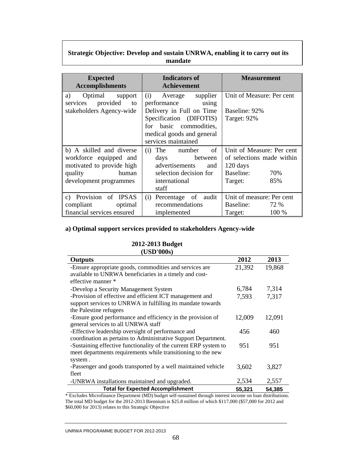#### **Strategic Objective: Develop and sustain UNRWA, enabling it to carry out its mandate**

| <b>Expected</b><br><b>Accomplishments</b>                                                                                     | Indicators of<br><b>Achievement</b>                                                                                                                                                  | <b>Measurement</b>                                                                                       |
|-------------------------------------------------------------------------------------------------------------------------------|--------------------------------------------------------------------------------------------------------------------------------------------------------------------------------------|----------------------------------------------------------------------------------------------------------|
| a)<br>Optimal support<br>services provided<br>to<br>stakeholders Agency-wide                                                  | Average supplier<br>(i)<br>performance<br>using<br>Delivery in Full on Time<br>Specification (DIFOTIS)<br>for basic commodities,<br>medical goods and general<br>services maintained | Unit of Measure: Per cent<br>Baseline: 92%<br>Target: 92%                                                |
| b) A skilled and diverse<br>workforce equipped and<br>motivated to provide high<br>human<br>quality<br>development programmes | of<br>The number<br>(i)<br>days<br>between<br>advertisements<br>and<br>selection decision for<br>international<br>staff                                                              | Unit of Measure: Per cent<br>of selections made within<br>120 days<br>Baseline:<br>70%<br>Target:<br>85% |
| c) Provision of IPSAS<br>compliant<br>optimal<br>financial services ensured                                                   | Percentage of<br>audit<br>(i)<br>recommendations<br>implemented                                                                                                                      | Unit of measure: Per cent<br>Baseline:<br>72 %<br>Target:<br>100 %                                       |

## **a) Optimal support services provided to stakeholders Agency-wide**

#### **2012-2013 Budget (USD'000s)**

| LUDIY VUVSI                                                      |        |        |
|------------------------------------------------------------------|--------|--------|
| <b>Outputs</b>                                                   | 2012   | 2013   |
| -Ensure appropriate goods, commodities and services are          | 21,392 | 19,868 |
| available to UNRWA beneficiaries in a timely and cost-           |        |        |
| effective manner *                                               |        |        |
| -Develop a Security Management System                            | 6,784  | 7,314  |
| -Provision of effective and efficient ICT management and         | 7,593  | 7,317  |
| support services to UNRWA in fulfilling its mandate towards      |        |        |
| the Palestine refugees                                           |        |        |
| -Ensure good performance and efficiency in the provision of      | 12,009 | 12,091 |
| general services to all UNRWA staff                              |        |        |
| -Effective leadership oversight of performance and               | 456    | 460    |
| coordination as pertains to Administrative Support Department.   |        |        |
| -Sustaining effective functionality of the current ERP system to | 951    | 951    |
| meet departments requirements while transitioning to the new     |        |        |
| system.                                                          |        |        |
| -Passenger and goods transported by a well maintained vehicle    | 3,602  | 3,827  |
| fleet                                                            |        |        |
| -UNRWA installations maintained and upgraded.                    | 2,534  | 2,557  |
| <b>Total for Expected Accomplishment</b>                         | 55,321 | 54,385 |

\* Excludes Microfinance Department (MD) budget self-sustained through interest income on loan distributions. The total MD budget for the 2012-2013 Biennium is \$25.8 million of which \$117,000 (\$57,000 for 2012 and \$60,000 for 2013) relates to this Strategic Objective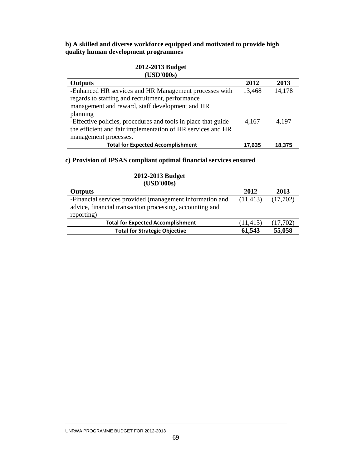### **b) A skilled and diverse workforce equipped and motivated to provide high quality human development programmes**

### **2012-2013 Budget (USD'000s)**

| <b>Outputs</b>                                                | 2012   | 2013   |
|---------------------------------------------------------------|--------|--------|
| -Enhanced HR services and HR Management processes with        | 13,468 | 14,178 |
| regards to staffing and recruitment, performance              |        |        |
| management and reward, staff development and HR               |        |        |
| planning                                                      |        |        |
| -Effective policies, procedures and tools in place that guide | 4,167  | 4,197  |
| the efficient and fair implementation of HR services and HR   |        |        |
| management processes.                                         |        |        |
| <b>Total for Expected Accomplishment</b>                      | 17,635 | 18,375 |

### **c) Provision of IPSAS compliant optimal financial services ensured**

| (USD'000s)                                                                                                                         |           |          |
|------------------------------------------------------------------------------------------------------------------------------------|-----------|----------|
| <b>Outputs</b>                                                                                                                     | 2012      | 2013     |
| -Financial services provided (management information and<br>advice, financial transaction processing, accounting and<br>reporting) | (11, 413) | (17,702) |
| <b>Total for Expected Accomplishment</b>                                                                                           | (11, 413) | (17,702) |
| <b>Total for Strategic Objective</b>                                                                                               | 61,543    | 55,058   |

# **2012-2013 Budget**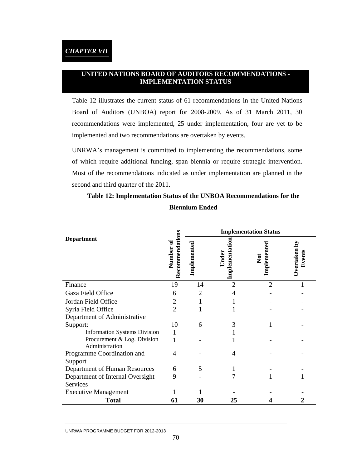## **UNITED NATIONS BOARD OF AUDITORS RECOMMENDATIONS - IMPLEMENTATION STATUS**

Table 12 illustrates the current status of 61 recommendations in the United Nations Board of Auditors (UNBOA) report for 2008-2009. As of 31 March 2011, 30 recommendations were implemented, 25 under implementation, four are yet to be implemented and two recommendations are overtaken by events.

UNRWA's management is committed to implementing the recommendations, some of which require additional funding, span biennia or require strategic intervention. Most of the recommendations indicated as under implementation are planned in the second and third quarter of the 2011.

|                                               | $\sin$                    | <b>Implementation Status</b> |                                |                                 |                            |  |  |  |  |
|-----------------------------------------------|---------------------------|------------------------------|--------------------------------|---------------------------------|----------------------------|--|--|--|--|
| <b>Department</b>                             | Recommendati<br>Number of | Implemented                  | <b>Implementation</b><br>Under | Implemented<br>$\sum_{i=1}^{n}$ | <b>Dvertaken</b><br>Events |  |  |  |  |
| Finance                                       | 19                        | 14                           | $\overline{2}$                 | $\overline{2}$                  |                            |  |  |  |  |
| Gaza Field Office                             | 6                         | 2                            |                                |                                 |                            |  |  |  |  |
| Jordan Field Office                           | 2                         |                              |                                |                                 |                            |  |  |  |  |
| Syria Field Office                            | 2                         |                              |                                |                                 |                            |  |  |  |  |
| Department of Administrative                  |                           |                              |                                |                                 |                            |  |  |  |  |
| Support:                                      | 10                        | 6                            | 3                              |                                 |                            |  |  |  |  |
| <b>Information Systems Division</b>           |                           |                              |                                |                                 |                            |  |  |  |  |
| Procurement & Log. Division<br>Administration |                           |                              |                                |                                 |                            |  |  |  |  |
| Programme Coordination and<br>Support         | 4                         |                              | 4                              |                                 |                            |  |  |  |  |
| Department of Human Resources                 | 6                         | 5                            |                                |                                 |                            |  |  |  |  |
| Department of Internal Oversight              | 9                         |                              |                                |                                 |                            |  |  |  |  |
| Services                                      |                           |                              |                                |                                 |                            |  |  |  |  |
| <b>Executive Management</b>                   |                           |                              |                                |                                 |                            |  |  |  |  |
| <b>Total</b>                                  | 61                        | 30                           | 25                             | 4                               | 2                          |  |  |  |  |

# **Table 12: Implementation Status of the UNBOA Recommendations for the Biennium Ended**

#### UNRWA PROGRAMME BUDGET FOR 2012-2013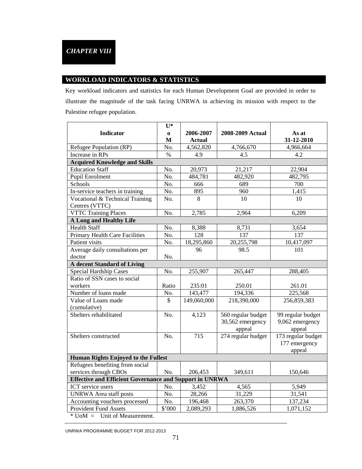### **WORKLOAD INDICATORS & STATISTICS**

Key workload indicators and statistics for each Human Development Goal are provided in order to illustrate the magnitude of the task facing UNRWA in achieving its mission with respect to the Palestine refugee population.

|                                                                | $U^*$                    |               |                    |                    |
|----------------------------------------------------------------|--------------------------|---------------|--------------------|--------------------|
| <b>Indicator</b>                                               | $\mathbf 0$              | 2006-2007     | 2008-2009 Actual   | As at              |
|                                                                | $\mathbf{M}$             | <b>Actual</b> |                    | 31-12-2010         |
| Refugee Population (RP)                                        | No.                      | 4,562,820     | 4,766,670          | 4,966,664          |
| Increase in RPs                                                | $\%$                     | 4.9           | 4.5                | 4.2                |
| <b>Acquired Knowledge and Skills</b>                           |                          |               |                    |                    |
| <b>Education Staff</b>                                         | No.                      | 20,973        | 21,217             | 22,904             |
| <b>Pupil Enrolment</b>                                         | No.                      | 484,781       | 482,920            | 482,795            |
| Schools                                                        | No.                      | 666           | 689                | 700                |
| In-service teachers in training                                | No.                      | 895           | 960                | 1,415              |
| Vocational & Technical Training<br>Centres (VTTC)              | No.                      | 8             | 10                 | 10                 |
| <b>VTTC Training Places</b>                                    | No.                      | 2,785         | 2,964              | 6,209              |
| <b>A Long and Healthy Life</b>                                 |                          |               |                    |                    |
| <b>Health Staff</b>                                            | No.                      | 8,388         | 8,731              | 3,654              |
| <b>Primary Health Care Facilities</b>                          | No.                      | 128           | 137                | 137                |
| Patient visits                                                 | No.                      | 18,295,860    | 20,255,798         | 10,417,097         |
| Average daily consultations per                                |                          | 96            | 98.5               | 101                |
| doctor                                                         | No.                      |               |                    |                    |
| <b>A</b> decent Standard of Living                             |                          |               |                    |                    |
| <b>Special Hardship Cases</b>                                  | No.                      | 255,907       | 265,447            | 288,405            |
| Ratio of SSN cases to social                                   |                          |               |                    |                    |
| workers                                                        | Ratio                    | 235:01        | 250.01             | 261.01             |
| Number of loans made                                           | No.                      | 143,477       | 194,336            | 225,568            |
| Value of Loans made                                            | $\overline{\mathcal{S}}$ | 149,060,000   | 218,390,000        | 256,859,383        |
| (cumulative)                                                   |                          |               |                    |                    |
| Shelters rehabilitated                                         | No.                      | 4,123         | 560 regular budget | 99 regular budget  |
|                                                                |                          |               | 30,562 emergency   | 9,062 emergency    |
|                                                                |                          |               | appeal             | appeal             |
| Shelters constructed                                           | No.                      | 715           | 274 regular budget | 173 regular budget |
|                                                                |                          |               |                    | 177 emergency      |
|                                                                |                          |               |                    | appeal             |
| <b>Human Rights Enjoyed to the Fullest</b>                     |                          |               |                    |                    |
| Refugees benefiting from social                                |                          |               |                    |                    |
| services through CBOs                                          | No.                      | 206,453       | 349,611            | 150,646            |
| <b>Effective and Efficient Governance and Support in UNRWA</b> |                          |               |                    |                    |
| ICT service users                                              | No.                      | 3,452         | 4,565              | 5,949              |
| <b>UNRWA</b> Area staff posts                                  | No.                      | 28,266        | 31,229             | 31,541             |
| Accounting vouchers processed                                  | No.                      | 196,468       | 263,370            | 137,234            |
| <b>Provident Fund Assets</b>                                   | \$'000                   | 2,089,293     | 1,886,526          | 1,071,152          |
| $*$ UoM = Unit of Measurement.                                 |                          |               |                    |                    |

UNRWA PROGRAMME BUDGET FOR 2012-2013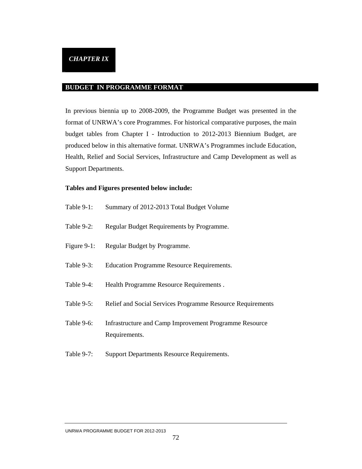### **BUDGET IN PROGRAMME FORMAT**

In previous biennia up to 2008-2009, the Programme Budget was presented in the format of UNRWA's core Programmes. For historical comparative purposes, the main budget tables from Chapter I - Introduction to 2012-2013 Biennium Budget, are produced below in this alternative format. UNRWA's Programmes include Education, Health, Relief and Social Services, Infrastructure and Camp Development as well as Support Departments.

### **Tables and Figures presented below include:**

| Table 9-1:     | Summary of 2012-2013 Total Budget Volume                                |
|----------------|-------------------------------------------------------------------------|
| Table 9-2:     | Regular Budget Requirements by Programme.                               |
| Figure $9-1$ : | Regular Budget by Programme.                                            |
| Table 9-3:     | <b>Education Programme Resource Requirements.</b>                       |
| Table 9-4:     | Health Programme Resource Requirements.                                 |
| Table 9-5:     | Relief and Social Services Programme Resource Requirements              |
| Table 9-6:     | Infrastructure and Camp Improvement Programme Resource<br>Requirements. |
| Table 9-7:     | <b>Support Departments Resource Requirements.</b>                       |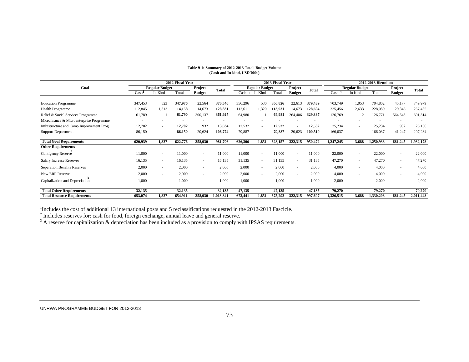| 2012 Fiscal Year                         |         |                       |         |               | 2013 Fiscal Year |         |                          |         | 2012-2013 Biennium       |              |                   |                       |           |               |           |
|------------------------------------------|---------|-----------------------|---------|---------------|------------------|---------|--------------------------|---------|--------------------------|--------------|-------------------|-----------------------|-----------|---------------|-----------|
| Goal                                     |         | <b>Regular Budget</b> |         | Project       | <b>Total</b>     |         | <b>Regular Budget</b>    |         | Project                  | <b>Total</b> |                   | <b>Regular Budget</b> |           | Project       | Total     |
|                                          | Cash    | In Kind               | Total   | <b>Budget</b> |                  | Cash 1  | In Kind                  | Total   | <b>Budget</b>            |              | Cash <sup>1</sup> | In Kind               | Total     | <b>Budget</b> |           |
|                                          |         |                       |         |               |                  |         |                          |         |                          |              |                   |                       |           |               |           |
| <b>Education Programme</b>               | 347,453 | 523                   | 347,976 | 22,564        | 370,540          | 356,296 | 530                      | 356,826 | 22,613                   | 379,439      | 703,749           | 1,053                 | 704,802   | 45,177        | 749,979   |
| Health Programme                         | 112,845 | 1,313                 | 114,158 | 14,673        | 128,831          | 112,611 | 1.320                    | 113,931 | 14,673                   | 128,604      | 225,456           | 2,633                 | 228,089   | 29,346        | 257,435   |
| Relief & Social Services Programme       | 61,789  |                       | 61,790  | 300,137       | 361,927          | 64,980  |                          | 64,981  | 264,406                  | 329,387      | 126,769           |                       | 126,771   | 564,543       | 691,314   |
| Microfinance & Microenterprise Programme |         |                       |         |               |                  |         |                          |         |                          |              |                   |                       |           |               |           |
| Infrastructure and Camp Improvement Prog | 12,702  | $\sim$                | 12,702  | 932           | 13,634           | 12,532  | $\sim$                   | 12,532  | ٠                        | 12,532       | 25,234            | ٠                     | 25,234    | 932           | 26,166    |
| <b>Support Departments</b>               | 86,150  | $\sim$                | 86,150  | 20,624        | 106,774          | 79,887  |                          | 79,887  | 20,623                   | 100.510      | 166,037           | $\sim$                | 166,037   | 41,247        | 207,284   |
| <b>Total Goal Requirements</b>           | 620,939 | 1,837                 | 622,776 | 358,930       | 981,706          | 626,306 | 1,851                    | 628,157 | 322,315                  | 950,472      | 1,247,245         | 3,688                 | 1,250,933 | 681,245       | 1,932,178 |
| <b>Other Requirements</b>                |         |                       |         |               |                  |         |                          |         |                          |              |                   |                       |           |               |           |
| Contigency Reserve                       | 11,000  |                       | 11,000  | $\sim$        | 11,000           | 11,000  | $\overline{\phantom{a}}$ | 11,000  | $\overline{\phantom{a}}$ | 11,000       | 22,000            | ۰                     | 22,000    | $\sim$        | 22,000    |
| <b>Salary Increase Reserves</b>          | 16,135  | $\sim$                | 16,135  | ٠             | 16,135           | 31,135  | ٠                        | 31,135  | ٠                        | 31,135       | 47,270            | ٠                     | 47,270    | ٠             | 47,270    |
| Seperation Benefits Reserves             | 2,000   | $\sim$                | 2,000   | ٠             | 2,000            | 2,000   | $\overline{\phantom{a}}$ | 2,000   | $\overline{\phantom{a}}$ | 2,000        | 4,000             | ٠                     | 4,000     | ٠             | 4,000     |
| New ERP Reserve                          | 2,000   |                       | 2,000   | ٠             | 2,000            | 2,000   | ٠                        | 2,000   | $\overline{\phantom{a}}$ | 2,000        | 4,000             | ٠                     | 4,000     | ٠             | 4,000     |
| Capitalization and Depreciation          | 1,000   | <b>COL</b>            | 1,000   | ٠             | 1,000            | 1,000   | $\overline{\phantom{a}}$ | 1,000   | $\overline{\phantom{a}}$ | 1.000        | 2,000             | ٠                     | 2,000     | ٠             | 2,000     |
| <b>Total Other Requirements</b>          | 32,135  |                       | 32,135  |               | 32,135           | 47,135  |                          | 47,135  |                          | 47,135       | 79,270            | ٠                     | 79,270    |               | 79,270    |
| <b>Total Resource Requirements</b>       | 653,074 | 1.837                 | 654,911 | 358,930       | 1,013,841        | 673,441 | 1,851                    | 675,292 | 322,315                  | 997,607      | 1,326,515         | 3,688                 | 1,330,203 | 681.245       | 2,011,448 |

#### **Table 9-1: Summary of 2012-2013 Total Budget Volume (Cash and In-kind, USD'000s)**

<sup>1</sup>Includes the cost of additional 13 international posts and 5 reclassifications requested in the 2012-2013 Fascicle.

 $2<sup>2</sup>$  Includes reserves for: cash for food, foreign exchange, annual leave and general reserve.

 $3$  A reserve for capitalization  $\&$  depreciation has been included as a provision to comply with IPSAS requirements.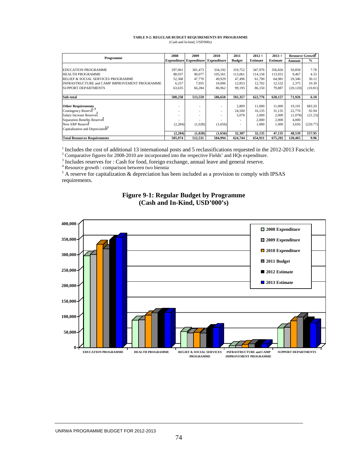#### **TABLE 9-2: REGULAR BUDGET REQUIREMENTS BY PROGRAMME** (Cash and In-kind, USD'000s)

| Programme                                      | 2008                     | 2009                           | 2010                     | 2011          | 2012 1          | 2013 1          | Resource Growth <sup>4</sup> |               |
|------------------------------------------------|--------------------------|--------------------------------|--------------------------|---------------|-----------------|-----------------|------------------------------|---------------|
|                                                |                          | <b>Expenditure Expenditure</b> | <b>Expenditure</b>       | <b>Budget</b> | <b>Estimate</b> | <b>Estimate</b> | Amount                       | $\frac{0}{0}$ |
|                                                |                          |                                |                          |               |                 |                 |                              |               |
| <b>EDUCATION PROGRAMME</b>                     | 297.061                  | 301.473                        | 334.192                  | 319,752       | 347,976         | 356,826         | 50.858                       | 7.78          |
| <b>HEALTH PROGRAMME</b>                        | 88,937                   | 90.077                         | 105,561                  | 113,061       | 114,158         | 113,931         | 9.467                        | 4.33          |
| <b>RELIEF &amp; SOCIAL SERVICES PROGRAMME</b>  | 52,368                   | 47,770                         | 49.929                   | 47.496        | 61,790          | 64,981          | 29,346                       | 30.12         |
| INFRASTRUCTURE and CAMP IMPROVEMENT PROGRAMME  | 6,257                    | 7.955                          | 10,006                   | 12,853        | 12,702          | 12,532          | 2,375                        | 10.39         |
| SUPPORT DEPARTMENTS                            | 63,635                   | 66,284                         | 86,962                   | 99.195        | 86,150          | 79,887          | (20, 120)                    | (10.81)       |
|                                                |                          |                                |                          |               |                 |                 |                              |               |
| Sub-total                                      | 508.258                  | 513.559                        | 586.650                  | 592.357       | 622.776         | 628.157         | 71.926                       | 6.10          |
|                                                |                          |                                |                          |               |                 |                 |                              |               |
| <b>Other Requirements</b>                      | -                        |                                | ٠                        | 2,809         | 11,000          | 11,000          | 19.191                       | 683.20        |
| Contingency Reserve                            | $\overline{\phantom{a}}$ |                                | $\overline{\phantom{a}}$ | 24.500        | 16.135          | 31,135          | 22,770                       | 92.94         |
| Salary Increase Reserves                       | $\overline{\phantom{a}}$ | $\overline{\phantom{a}}$       | $\overline{\phantom{a}}$ | 5.078         | 2,000           | 2,000           | (1,078)                      | (21.23)       |
| Separation Benefits Reserves                   |                          |                                |                          |               | 2,000           | 2,000           | 4,000                        |               |
| New ERP Reserve                                | (2, 284)                 | (1,028)                        | (1,656)                  |               | 1,000           | 1,000           | 3,656                        | (220.77)      |
| Capitalization and Depreciation <sup>2,5</sup> |                          |                                |                          |               |                 |                 |                              |               |
|                                                | (2, 284)                 | (1,028)                        | (1,656)                  | 32,387        | 32,135          | 47,135          | 48,539                       | 157.95        |
| <b>Total Resources Requirements</b>            | 505.974                  | 512,531                        | 584.994                  | 624,744       | 654,911         | 675,292         | 120,465                      | 9.96          |

<sup>1</sup> Includes the cost of additional 13 international posts and 5 reclassifications requested in the 2012-2013 Fascicle.

<sup>2</sup> Comparative figures for 2008-2010 are incorporated into the respective Fields' and HQs expenditure.

<sup>3</sup> Includes reserves for : Cash for food, foreign exchange, annual leave and general reserve.

4 Resource growth : comparison between two biennia.

 $<sup>5</sup>$  A reserve for capitalization & depreciation has been included as a provision to comply with IPSAS</sup> requirements.



### **Figure 9-1: Regular Budget by Programme (Cash and In-Kind, USD'000's)**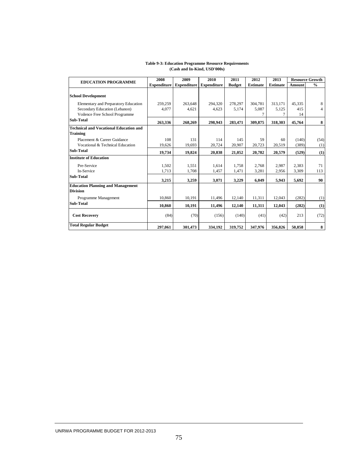|                                                                                                         | 2008               | 2009               | 2010               | 2011             | 2012             | 2013             |                     | <b>Resource Growth</b> |
|---------------------------------------------------------------------------------------------------------|--------------------|--------------------|--------------------|------------------|------------------|------------------|---------------------|------------------------|
| <b>EDUCATION PROGRAMME</b>                                                                              | <b>Expenditure</b> | <b>Expenditure</b> | <b>Expenditure</b> | <b>Budget</b>    | <b>Estimate</b>  | <b>Estimate</b>  | Amount              | $\frac{0}{0}$          |
| <b>School Development</b>                                                                               |                    |                    |                    |                  |                  |                  |                     |                        |
| Elementary and Preparatory Education<br>Secondary Education (Lebanon)<br>Voilence Free School Programme | 259,259<br>4.077   | 263,648<br>4.621   | 294,320<br>4.623   | 278,297<br>5.174 | 304.781<br>5.087 | 313,171<br>5.125 | 45,335<br>415<br>14 | 8<br>4                 |
| Sub-Total                                                                                               | 263,336            | 268,269            | 298,943            | 283,471          | 309,875          | 318,303          | 45,764              | 8                      |
| <b>Technical and Vocational Education and</b><br><b>Training</b>                                        |                    |                    |                    |                  |                  |                  |                     |                        |
| Placement & Career Guidance<br>Vocational & Technical Education                                         | 108<br>19,626      | 131<br>19,693      | 114<br>20,724      | 145<br>20,907    | 59<br>20,723     | 60<br>20,519     | (140)<br>(389)      | (54)<br>(1)            |
| Sub-Total                                                                                               | 19,734             | 19,824             | 20,838             | 21,052           | 20,782           | 20.579           | (529)               | (1)                    |
| <b>Institute of Education</b>                                                                           |                    |                    |                    |                  |                  |                  |                     |                        |
| Pre-Service<br>In-Service                                                                               | 1,502<br>1,713     | 1,551<br>1,708     | 1,614<br>1,457     | 1.758<br>1,471   | 2,768<br>3,281   | 2,987<br>2,956   | 2,383<br>3,309      | 71<br>113              |
| Sub-Total                                                                                               | 3,215              | 3,259              | 3,071              | 3,229            | 6,049            | 5,943            | 5,692               | 90                     |
| <b>Education Planning and Management</b><br><b>Division</b>                                             |                    |                    |                    |                  |                  |                  |                     |                        |
| Programme Management                                                                                    | 10.860             | 10,191             | 11,496             | 12,140           | 11,311           | 12,043           | (282)               | (1)                    |
| Sub-Total                                                                                               | 10,860             | 10,191             | 11,496             | 12,140           | 11,311           | 12,043           | (282)               | (1)                    |
| <b>Cost Recovery</b>                                                                                    | (84)               | (70)               | (156)              | (140)            | (41)             | (42)             | 213                 | (72)                   |
| <b>Total Regular Budget</b>                                                                             | 297,061            | 301,473            | 334,192            | 319,752          | 347,976          | 356,826          | 50.858              | 8                      |

#### **Table 9-3: Education Programme Resource Requirements (Cash and In-Kind, USD'000s)**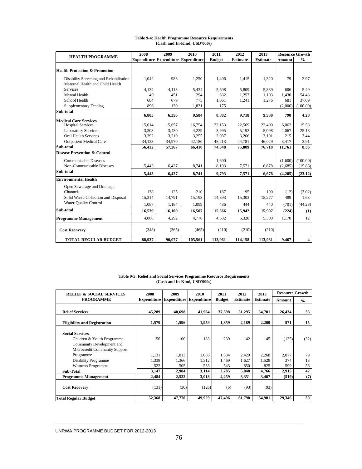| <b>HEALTH PROGRAMME</b>                                                     | 2008   | 2009   | 2010                                       | 2011          | 2012            | 2013            |               | <b>Resource Growth</b>  |
|-----------------------------------------------------------------------------|--------|--------|--------------------------------------------|---------------|-----------------|-----------------|---------------|-------------------------|
|                                                                             |        |        | <b>Expenditure Expenditure Expenditure</b> | <b>Budget</b> | <b>Estimate</b> | <b>Estimate</b> | <b>Amount</b> | $\frac{0}{0}$           |
| <b>Health Protection &amp; Promotion</b>                                    |        |        |                                            |               |                 |                 |               |                         |
| Disability Screening and Rehabilitation<br>Maternal Health and Child Health | 1.042  | 983    | 1.250                                      | 1,406         | 1,415           | 1.320           | 79            | 2.97                    |
| <b>Services</b>                                                             | 4.134  | 4,113  | 5.434                                      | 5.608         | 5.809           | 5.839           | 606           | 5.49                    |
| Mental Health                                                               | 49     | 451    | 294                                        | 632           | 1,253           | 1,103           | 1,430         | 154.43                  |
| School Health                                                               | 684    | 679    | 775                                        | 1,061         | 1,241           | 1,276           | 681           | 37.09                   |
| <b>Supplementary Feeding</b>                                                | 896    | 130    | 1,831                                      | 175           |                 |                 | (2,006)       | (100.00)                |
| Sub-total                                                                   | 6,805  | 6,356  | 9,584                                      | 8.882         | 9,718           | 9,538           | 790           | 4.28                    |
| <b>Medical Care Services</b>                                                |        |        |                                            |               |                 |                 |               |                         |
| <b>Hospital Services</b>                                                    | 15,614 | 15,657 | 16,754                                     | 22,153        | 22,569          | 22,400          | 6,062         | 15.58                   |
| <b>Laboratory Services</b>                                                  | 3,303  | 3,430  | 4,229                                      | 3,995         | 5,193           | 5,098           | 2,067         | 25.13                   |
| <b>Oral Health Services</b>                                                 | 3,392  | 3,210  | 3,255                                      | 2,987         | 3,266           | 3,191           | 215           | 3.44                    |
| <b>Outpatient Medical Care</b>                                              | 34,123 | 34,970 | 42,180                                     | 45,213        | 44,781          | 46,029          | 3,417         | 3.91                    |
| Sub-total                                                                   | 56,432 | 57,267 | 66,418                                     | 74,348        | 75,809          | 76,718          | 11,761        | 8.36                    |
| <b>Disease Prevention &amp; Control</b>                                     |        |        |                                            |               |                 |                 |               |                         |
| Communicable Diseases                                                       |        |        |                                            | 1.600         |                 |                 | (1,600)       | (100.00)                |
| Non-Communicable Diseases                                                   | 5.443  | 6.427  | 8.741                                      | 8,193         | 7.571           | 6.678           | (2,685)       | (15.86)                 |
| Sub-total                                                                   | 5,443  | 6,427  | 8,741                                      | 9,793         | 7,571           | 6,678           | (4, 285)      | (23.12)                 |
| <b>Environmental Health</b>                                                 |        |        |                                            |               |                 |                 |               |                         |
| Open Sewerage and Drainage                                                  |        |        |                                            |               |                 |                 |               |                         |
| Channels                                                                    | 138    | 125    | 210                                        | 187           | 195             | 190             | (12)          | (3.02)                  |
| Solid Waste Collection and Disposal                                         | 15,314 | 14,791 | 15,198                                     | 14,893        | 15,303          | 15,277          | 489           | 1.63                    |
| Water Quality Control                                                       | 1.087  | 1.184  | 1.099                                      | 486           | 444             | 440             | (701)         | (44.23)                 |
| Sub-total                                                                   | 16,539 | 16,100 | 16,507                                     | 15,566        | 15,942          | 15,907          | (224)         | (1)                     |
| <b>Programme Management</b>                                                 | 4.066  | 4,292  | 4,776                                      | 4,682         | 5,328           | 5,300           | 1.170         | 12                      |
| <b>Cost Recovery</b>                                                        | (348)  | (365)  | (465)                                      | (210)         | (210)           | (210)           |               |                         |
| <b>TOTAL REGULAR BUDGET</b>                                                 | 88,937 | 90,077 | 105,561                                    | 113,061       | 114,158         | 113,931         | 9,467         | $\overline{\mathbf{4}}$ |

#### **Table 9-4: Health Programme Resource Requirements (Cash and In-Kind, USD'000s)**

#### **Table 9-5: Relief and Social Services Programme Resource Requirements (Cash and In-Kind, USD'000s)**

| <b>RELIEF &amp; SOCIAL SERVICES</b>                                               | 2008               | 2009           | 2010                           | 2011           | 2012            | 2013            | <b>Resource Growth</b> |               |
|-----------------------------------------------------------------------------------|--------------------|----------------|--------------------------------|----------------|-----------------|-----------------|------------------------|---------------|
| <b>PROGRAMME</b>                                                                  | <b>Expenditure</b> |                | <b>Expenditure Expenditure</b> | <b>Budget</b>  | <b>Estimate</b> | <b>Estimate</b> | Amount                 | $\frac{0}{0}$ |
| <b>Relief Services</b>                                                            | 45,289             | 40.698         | 41,964                         | 37,598         | 51,295          | 54,701          | 26,434                 | 33            |
| <b>Eligibility and Registration</b>                                               | 1,579              | 1,596          | 1,959                          | 1.859          | 2,189           | 2,200           | 571                    | 15            |
| <b>Social Services</b><br>Children & Youth Programme<br>Community Development and | 156                | 100            | 183                            | 239            | 142             | 145             | (135)                  | (32)          |
| Microcredit Community Support<br>Programme                                        | 1.131              | 1,013          | 1,086                          | 1,534          | 2,429           | 2,268           | 2.077                  | 79            |
| Disability Programme<br>Women's Programme                                         | 1,338<br>522       | 1,366<br>505   | 1,312<br>533                   | 1,469<br>543   | 1,627<br>850    | 1,528<br>825    | 374<br>599             | 13<br>56      |
| <b>Sub-Total</b><br><b>Programme Management</b>                                   | 3,147<br>2,484     | 2,984<br>2,522 | 3,114<br>3,018                 | 3,785<br>4,259 | 5,048<br>3,351  | 4,766<br>3,407  | 2,915<br>(519)         | 42<br>(7)     |
| <b>Cost Recovery</b>                                                              | (131)              | (30)           | (126)                          | (5)            | (93)            | (93)            |                        |               |
| <b>Total Regular Budget</b>                                                       | 52,368             | 47,770         | 49.929                         | 47.496         | 61.790          | 64.981          | 29.346                 | 30            |